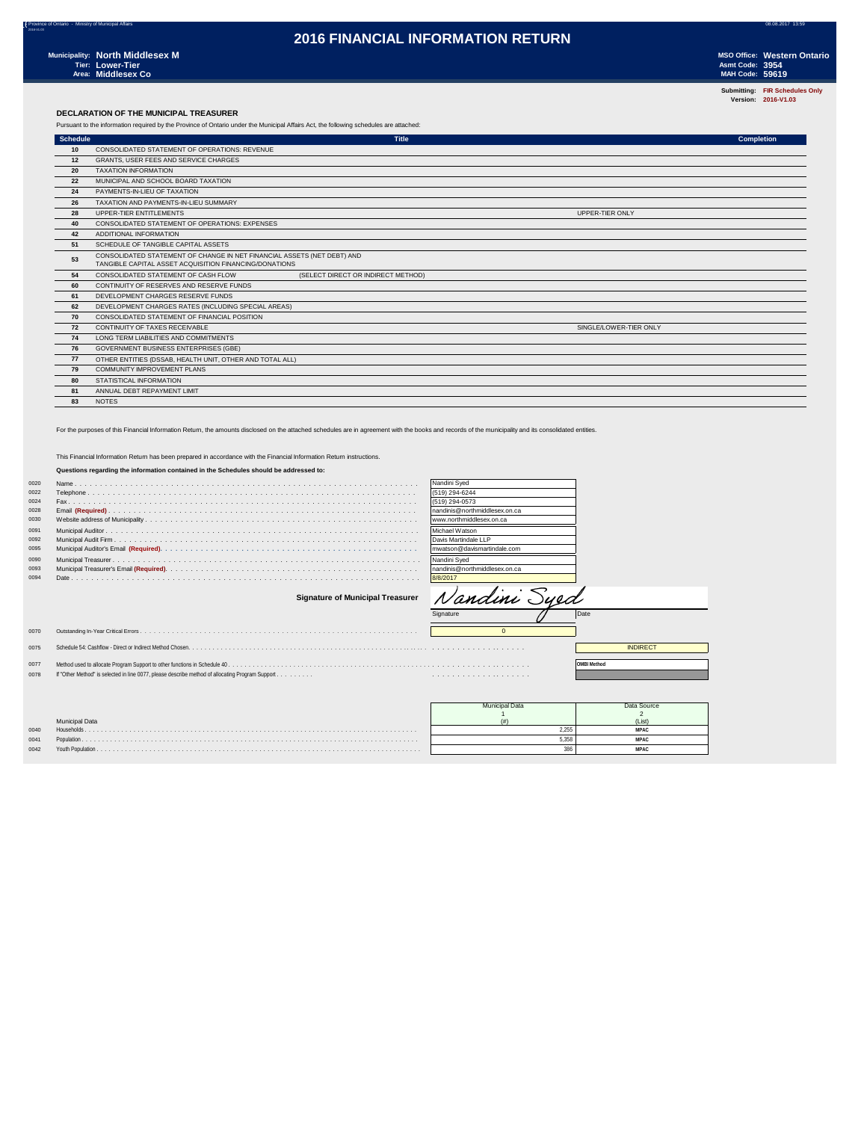**Submitting: FIR Schedules Only Version: 2016-V1.03**

### **DECLARATION OF THE MUNICIPAL TREASURER**

Pursuant to the information required by the Province of Ontario under the Municipal Affairs Act, the following schedules are attached:

| <b>Schedule</b> | <b>Title</b>                                                                                                                      |                        | <b>Completion</b> |
|-----------------|-----------------------------------------------------------------------------------------------------------------------------------|------------------------|-------------------|
| 10              | CONSOLIDATED STATEMENT OF OPERATIONS: REVENUE                                                                                     |                        |                   |
| 12              | GRANTS, USER FEES AND SERVICE CHARGES                                                                                             |                        |                   |
| 20              | <b>TAXATION INFORMATION</b>                                                                                                       |                        |                   |
| 22              | MUNICIPAL AND SCHOOL BOARD TAXATION                                                                                               |                        |                   |
| 24              | PAYMENTS-IN-LIEU OF TAXATION                                                                                                      |                        |                   |
| 26              | TAXATION AND PAYMENTS-IN-LIEU SUMMARY                                                                                             |                        |                   |
| 28              | UPPER-TIER ENTITLEMENTS                                                                                                           | UPPER-TIER ONLY        |                   |
| 40              | CONSOLIDATED STATEMENT OF OPERATIONS: EXPENSES                                                                                    |                        |                   |
| 42              | ADDITIONAL INFORMATION                                                                                                            |                        |                   |
| 51              | SCHEDULE OF TANGIBLE CAPITAL ASSETS                                                                                               |                        |                   |
| 53              | CONSOLIDATED STATEMENT OF CHANGE IN NET FINANCIAL ASSETS (NET DEBT) AND<br>TANGIBLE CAPITAL ASSET ACQUISITION FINANCING/DONATIONS |                        |                   |
| 54              | (SELECT DIRECT OR INDIRECT METHOD)<br>CONSOLIDATED STATEMENT OF CASH FLOW                                                         |                        |                   |
| 60              | CONTINUITY OF RESERVES AND RESERVE FUNDS                                                                                          |                        |                   |
| 61              | DEVELOPMENT CHARGES RESERVE FUNDS                                                                                                 |                        |                   |
| 62              | DEVELOPMENT CHARGES RATES (INCLUDING SPECIAL AREAS)                                                                               |                        |                   |
| 70              | CONSOLIDATED STATEMENT OF FINANCIAL POSITION                                                                                      |                        |                   |
| 72              | CONTINUITY OF TAXES RECEIVABLE                                                                                                    | SINGLE/LOWER-TIER ONLY |                   |
| 74              | LONG TERM LIABILITIES AND COMMITMENTS                                                                                             |                        |                   |
| 76              | GOVERNMENT BUSINESS ENTERPRISES (GBE)                                                                                             |                        |                   |
| 77              | OTHER ENTITIES (DSSAB, HEALTH UNIT, OTHER AND TOTAL ALL)                                                                          |                        |                   |
| 79              | <b>COMMUNITY IMPROVEMENT PLANS</b>                                                                                                |                        |                   |
| 80              | STATISTICAL INFORMATION                                                                                                           |                        |                   |
| 81              | ANNUAL DEBT REPAYMENT LIMIT                                                                                                       |                        |                   |
| 83              | <b>NOTES</b>                                                                                                                      |                        |                   |

For the purposes of this Financial Information Return, the amounts disclosed on the attached schedules are in agreement with the books and records of the municipality and its consolidated entities.

### This Financial Information Return has been prepared in accordance with the Financial Information Return instructions.

### **Questions regarding the information contained in the Schedules should be addressed to:**

| 0020 |                                         | Nandini Syed                   |
|------|-----------------------------------------|--------------------------------|
| 0022 |                                         | (519) 294-6244                 |
| 0024 |                                         | (519) 294-0573                 |
| 0028 |                                         | nandinis@northmiddlesex.on.ca  |
| 0030 |                                         | www.northmiddlesex.on.ca       |
| 0091 |                                         | Michael Watson                 |
| 0092 |                                         | Davis Martindale LLP           |
| 0095 |                                         | mwatson@davismartindale.com    |
| 0090 |                                         | Nandini Sved                   |
| 0093 |                                         | Inandinis@northmiddlesex.on.ca |
| 0094 |                                         | 8/8/2017                       |
|      | <b>Signature of Municipal Treasurer</b> | Nandini Syed                   |
|      |                                         | Signature<br>Date              |
| 0070 |                                         |                                |

 Schedule 54: Cashflow - Direct or Indirect Method Chosen. . . . . . . . . . . . . . . . . . . . . . . . . . . . . . . . . . . . . . . . . . . . . . . . . . . . . . . . . . . . . . . . . . . . . . . . . . . . . . . INDIRECT T. 0077 Method used to allocate Program Support to other functions in Schedule 40 . . . . . . . . . . . . . . . . . . . . . . . . . . . . . . . . . . . . . . . . . . . . . . . . . . . . . . . . . . . . . . . . . . . . . . **OMBI Method** If "Other Method" is selected in line 0077, please describe method of allocating Program Support . . . . . . . . . . . . . . . . . . . . . . . . . . . . .

|      |                | unicipal Data | Data Source |
|------|----------------|---------------|-------------|
|      |                |               |             |
|      | Municipal Data |               | (List)      |
| 0040 | Households.    |               | <b>MPAC</b> |
| 0041 |                |               | <b>MPAC</b> |
| 0042 |                |               | <b>MPAC</b> |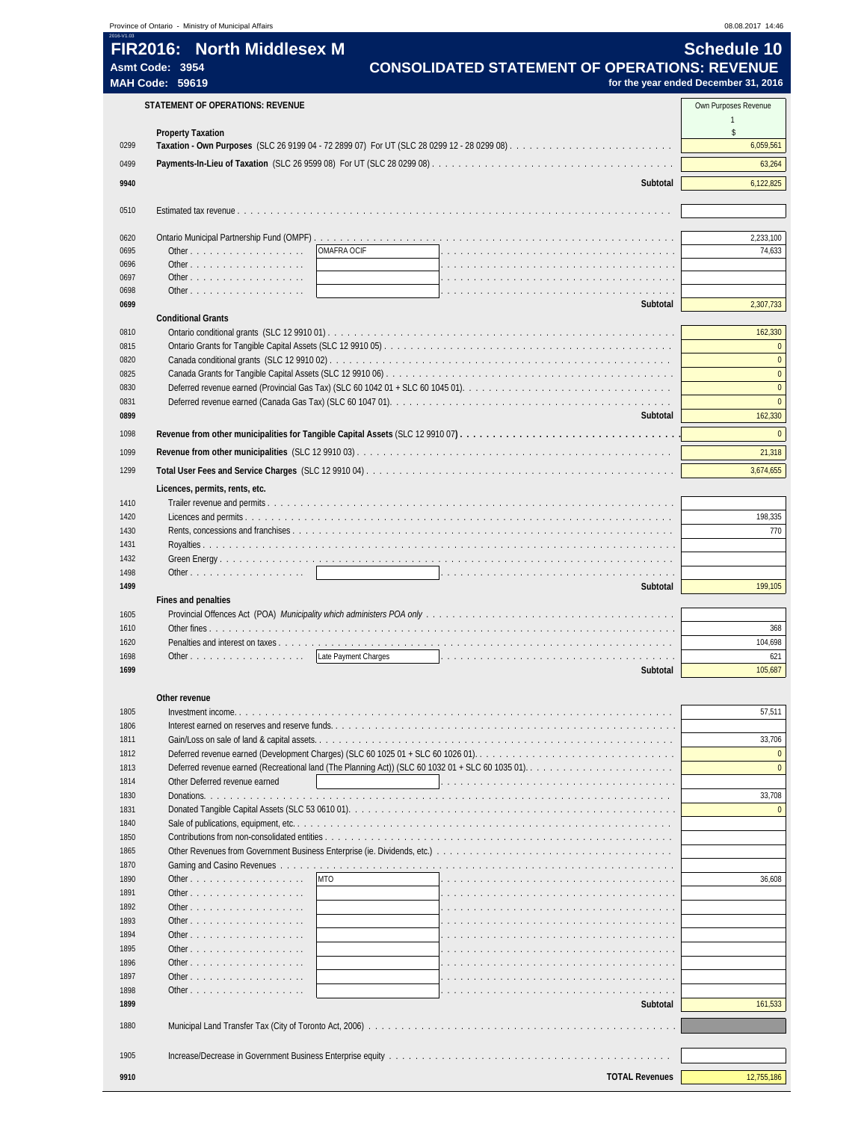| 2016-V1.03   | Province of Ontario - Ministry of Municipal Affairs                                                                                                                              |                       | 08.08.2017 14:46                     |
|--------------|----------------------------------------------------------------------------------------------------------------------------------------------------------------------------------|-----------------------|--------------------------------------|
|              | <b>North Middlesex M</b><br><b>FIR2016:</b>                                                                                                                                      |                       | <b>Schedule 10</b>                   |
|              | <b>CONSOLIDATED STATEMENT OF OPERATIONS: REVENUE</b><br>Asmt Code: 3954                                                                                                          |                       |                                      |
|              | <b>MAH Code: 59619</b>                                                                                                                                                           |                       | for the year ended December 31, 2016 |
|              | <b>STATEMENT OF OPERATIONS: REVENUE</b>                                                                                                                                          |                       | Own Purposes Revenue                 |
|              |                                                                                                                                                                                  |                       | $\mathbf{1}$                         |
|              | <b>Property Taxation</b>                                                                                                                                                         |                       | \$                                   |
| 0299         |                                                                                                                                                                                  |                       | 6,059,561                            |
| 0499         |                                                                                                                                                                                  |                       | 63,264                               |
| 9940         |                                                                                                                                                                                  | Subtotal              | 6,122,825                            |
|              |                                                                                                                                                                                  |                       |                                      |
| 0510         |                                                                                                                                                                                  |                       |                                      |
| 0620         |                                                                                                                                                                                  |                       | 2,233,100                            |
| 0695         | OMAFRA OCIF<br>Other                                                                                                                                                             |                       | 74,633                               |
| 0696         | Other                                                                                                                                                                            |                       |                                      |
| 0697<br>0698 | Other<br>Other                                                                                                                                                                   |                       |                                      |
| 0699         |                                                                                                                                                                                  | Subtotal              | 2,307,733                            |
|              | <b>Conditional Grants</b>                                                                                                                                                        |                       |                                      |
| 0810         |                                                                                                                                                                                  |                       | 162,330                              |
| 0815<br>0820 |                                                                                                                                                                                  |                       | $\mathbf{0}$<br>$\mathbf{0}$         |
| 0825         |                                                                                                                                                                                  |                       | $\overline{0}$                       |
| 0830         | Deferred revenue earned (Provincial Gas Tax) (SLC 60 1042 01 + SLC 60 1045 01). $\ldots$ , $\ldots$ , $\ldots$ , $\ldots$ , $\ldots$ , $\ldots$ , $\ldots$ , $\ldots$ , $\ldots$ |                       | $\mathbf{0}$                         |
| 0831         |                                                                                                                                                                                  |                       | $\mathbf{0}$                         |
| 0899         |                                                                                                                                                                                  | Subtotal              | 162,330                              |
| 1098         |                                                                                                                                                                                  |                       | $\pmb{0}$                            |
| 1099         |                                                                                                                                                                                  |                       | 21,318                               |
| 1299         |                                                                                                                                                                                  |                       | 3,674,655                            |
|              | Licences, permits, rents, etc.                                                                                                                                                   |                       |                                      |
| 1410         |                                                                                                                                                                                  |                       |                                      |
| 1420         |                                                                                                                                                                                  |                       | 198,335                              |
| 1430<br>1431 |                                                                                                                                                                                  |                       | 770                                  |
| 1432         |                                                                                                                                                                                  |                       |                                      |
| 1498         | Other, $\ldots$ , $\ldots$ , $\ldots$ , $\ldots$ , $\ldots$                                                                                                                      |                       |                                      |
| 1499         |                                                                                                                                                                                  | Subtotal              | 199,105                              |
|              | Fines and penalties                                                                                                                                                              |                       |                                      |
| 1605<br>1610 |                                                                                                                                                                                  |                       | 368                                  |
| 1620         |                                                                                                                                                                                  |                       | 104,698                              |
| 1698         | Late Payment Charges<br>Other.                                                                                                                                                   |                       | 621                                  |
| 1699         |                                                                                                                                                                                  | Subtotal              | 105,687                              |
|              |                                                                                                                                                                                  |                       |                                      |
| 1805         | Other revenue<br>distribution of the control of the                                                                                                                              |                       | 57,511                               |
| 1806         |                                                                                                                                                                                  |                       |                                      |
| 1811         |                                                                                                                                                                                  |                       | 33,706                               |
| 1812         | Deferred revenue earned (Development Charges) (SLC 60 1025 01 + SLC 60 1026 01).                                                                                                 |                       | $\mathbf{0}$                         |
| 1813         |                                                                                                                                                                                  |                       | $\mathbf{0}$                         |
| 1814<br>1830 | Other Deferred revenue earned<br>de la caractería de la caractería                                                                                                               |                       | 33,708                               |
| 1831         |                                                                                                                                                                                  |                       | $\mathbf{0}$                         |
| 1840         |                                                                                                                                                                                  |                       |                                      |
| 1850         |                                                                                                                                                                                  |                       |                                      |
| 1865         | Other Revenues from Government Business Enterprise (ie. Dividends, etc.)                                                                                                         |                       |                                      |
| 1870<br>1890 | <b>MTO</b><br>Other                                                                                                                                                              |                       | 36,608                               |
| 1891         | Other                                                                                                                                                                            |                       |                                      |
| 1892         | Other                                                                                                                                                                            |                       |                                      |
| 1893         | Other                                                                                                                                                                            |                       |                                      |
| 1894         | Other $\ldots$ $\ldots$ $\ldots$ $\ldots$ $\ldots$ $\ldots$                                                                                                                      |                       |                                      |
| 1895<br>1896 | Other $\ldots$ $\ldots$ $\ldots$ $\ldots$ $\ldots$<br>Other                                                                                                                      |                       |                                      |
| 1897         | Other $\ldots$ $\ldots$ $\ldots$ $\ldots$ $\ldots$                                                                                                                               |                       |                                      |
| 1898         | Other $\ldots$ $\ldots$ $\ldots$ $\ldots$ $\ldots$                                                                                                                               |                       |                                      |
| 1899         |                                                                                                                                                                                  | Subtotal              | 161,533                              |
| 1880         |                                                                                                                                                                                  |                       |                                      |
|              |                                                                                                                                                                                  |                       |                                      |
| 1905         |                                                                                                                                                                                  |                       |                                      |
| 9910         |                                                                                                                                                                                  | <b>TOTAL Revenues</b> | 12,755,186                           |
|              |                                                                                                                                                                                  |                       |                                      |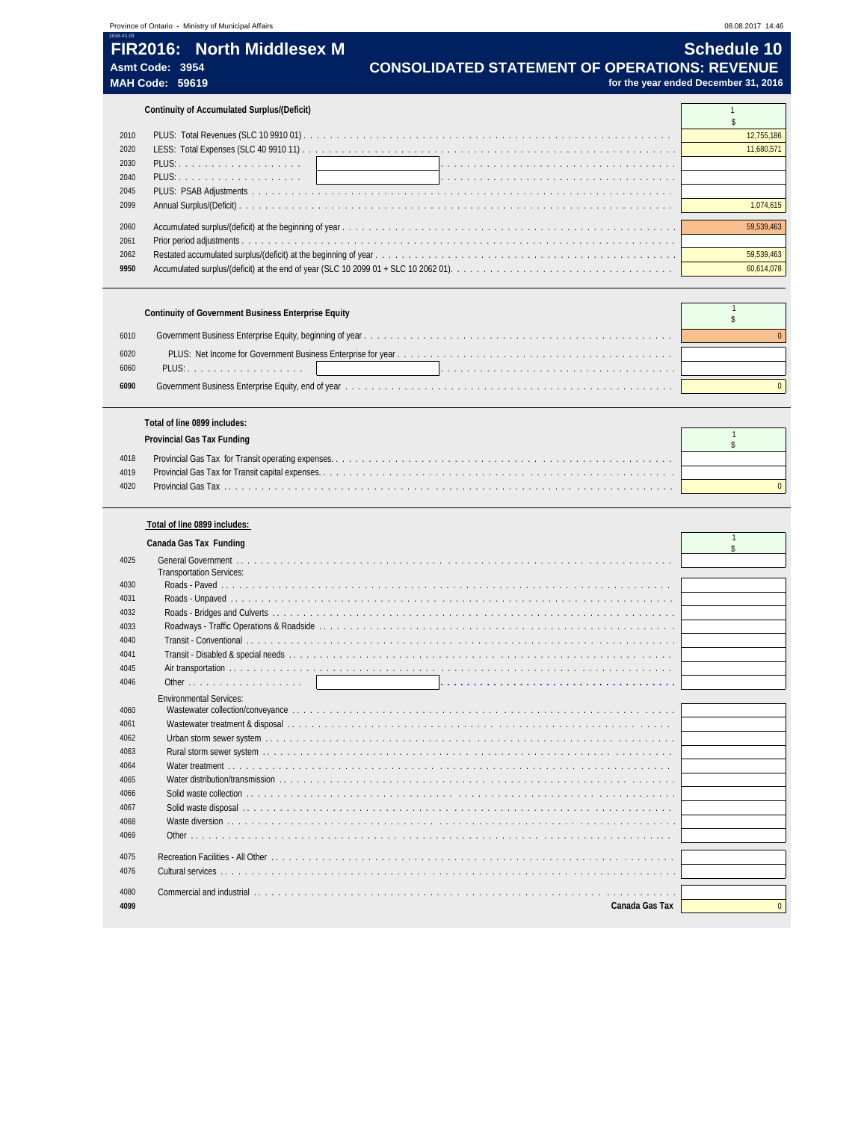# **FIR2016: North Middlesex M Contract Contract Contract Contract Contract Contract Contract Contract Contract Contract Contract Contract Contract Contract Contract Contract Contract Contract Contract Contract Contract Con**

| THRZUTU. TVURIT MIUUIGSGA M | <b>OUTCANIC TV</b>                                   |
|-----------------------------|------------------------------------------------------|
| Asmt Code: 3954             | <b>CONSOLIDATED STATEMENT OF OPERATIONS: REVENUE</b> |
| <b>MAH Code: 59619</b>      | for the year ended December 31, 2016                 |

|      | Continuity of Accumulated Surplus/(Deficit) |            |
|------|---------------------------------------------|------------|
|      |                                             |            |
| 2010 |                                             | 12,755,186 |
| 2020 |                                             | 11.680.571 |
| 2030 |                                             |            |
| 2040 |                                             |            |
| 2045 |                                             |            |
| 2099 |                                             | 1074615    |
|      |                                             |            |
| 2060 |                                             | 59.539.463 |
| 2061 |                                             |            |
| 2062 |                                             | 59.539.463 |
| 9950 |                                             | 60,614,078 |

|              | <b>Continuity of Government Business Enterprise Equity</b> |  |
|--------------|------------------------------------------------------------|--|
| 6010         |                                                            |  |
| 6020<br>6060 | PLUS: 1                                                    |  |
| 6090         |                                                            |  |

|      | Total of line 0899 includes: |  |
|------|------------------------------|--|
|      | Provincial Gas Tax Funding   |  |
|      |                              |  |
| 4018 |                              |  |
| 4019 |                              |  |
| 4020 |                              |  |
|      |                              |  |

|      | Total of line 0899 includes:                                                                                                                                                                                                   |          |
|------|--------------------------------------------------------------------------------------------------------------------------------------------------------------------------------------------------------------------------------|----------|
|      | Canada Gas Tax Funding                                                                                                                                                                                                         |          |
| 4025 | <b>Transportation Services:</b>                                                                                                                                                                                                |          |
| 4030 |                                                                                                                                                                                                                                |          |
| 4031 |                                                                                                                                                                                                                                |          |
| 4032 |                                                                                                                                                                                                                                |          |
| 4033 |                                                                                                                                                                                                                                |          |
| 4040 |                                                                                                                                                                                                                                |          |
| 4041 |                                                                                                                                                                                                                                |          |
| 4045 |                                                                                                                                                                                                                                |          |
| 4046 |                                                                                                                                                                                                                                |          |
|      | <b>Environmental Services:</b>                                                                                                                                                                                                 |          |
| 4060 |                                                                                                                                                                                                                                |          |
| 4061 |                                                                                                                                                                                                                                |          |
| 4062 |                                                                                                                                                                                                                                |          |
| 4063 |                                                                                                                                                                                                                                |          |
| 4064 |                                                                                                                                                                                                                                |          |
| 4065 |                                                                                                                                                                                                                                |          |
| 4066 |                                                                                                                                                                                                                                |          |
| 4067 |                                                                                                                                                                                                                                |          |
| 4068 |                                                                                                                                                                                                                                |          |
| 4069 |                                                                                                                                                                                                                                |          |
|      |                                                                                                                                                                                                                                |          |
| 4075 |                                                                                                                                                                                                                                |          |
| 4076 |                                                                                                                                                                                                                                |          |
| 4080 | Commercial and industrial experience is a property of the control of the control of the control of the control of the control of the control of the control of the control of the control of the control of the control of the |          |
| 4099 | Canada Gas Tax                                                                                                                                                                                                                 | $\Omega$ |
|      |                                                                                                                                                                                                                                |          |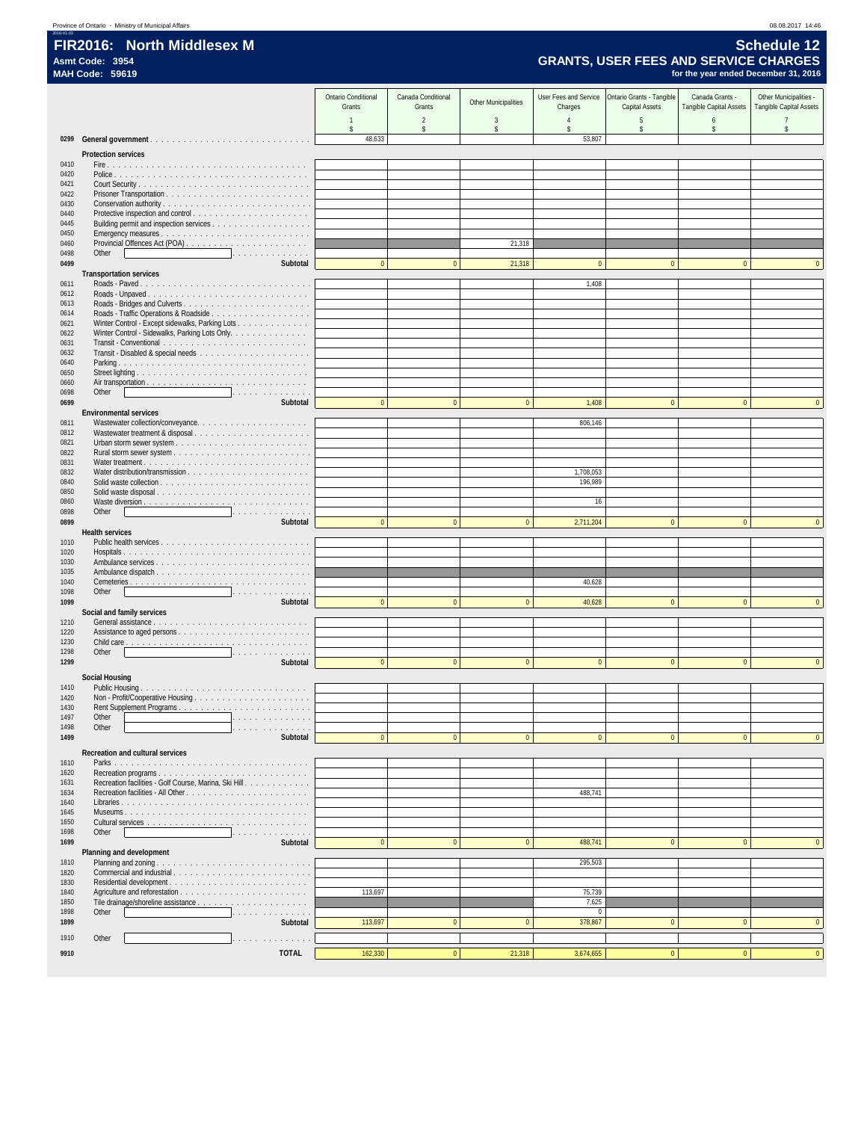|                        | Province of Ontario - Ministry of Municipal Affairs |  |
|------------------------|-----------------------------------------------------|--|
| 2016-V1.03             |                                                     |  |
| FIR2016: North Mido    |                                                     |  |
| Asmt Code: 3954        |                                                     |  |
| <b>MAH Code: 59619</b> |                                                     |  |

| Province of Ontario - Ministry of Municipal Affairs | 08.08.2017 14:46                             |
|-----------------------------------------------------|----------------------------------------------|
| 2016-V1.03<br><b>FIR2016: North Middlesex M</b>     | <b>Schedule 12</b>                           |
| Asmt Code: 3954                                     | <b>GRANTS, USER FEES AND SERVICE CHARGES</b> |
| <b>MAH Code: 59619</b>                              | for the year ended December 31, 2016         |

|              |                                                                                                                                                                                                                                                     | <b>Ontario Conditional</b><br>Grants | Canada Conditional<br>Grants | <b>Other Municipalities</b> | User Fees and Service<br>Charges     | Ontario Grants - Tangible<br>Capital Assets | Canada Grants -<br>Tangible Capital Assets | Other Municipalities -<br>Tangible Capital Assets |
|--------------|-----------------------------------------------------------------------------------------------------------------------------------------------------------------------------------------------------------------------------------------------------|--------------------------------------|------------------------------|-----------------------------|--------------------------------------|---------------------------------------------|--------------------------------------------|---------------------------------------------------|
|              |                                                                                                                                                                                                                                                     | $\overline{1}$<br>\$                 | $\overline{2}$<br>\$         | 3<br>\$                     | $\overline{4}$<br>$\hat{\mathbf{S}}$ | 5<br>\$                                     | 6<br>\$                                    | $\overline{7}$<br>\$                              |
|              | 0299 General government                                                                                                                                                                                                                             | 48,633                               |                              |                             | 53,807                               |                                             |                                            |                                                   |
|              | <b>Protection services</b>                                                                                                                                                                                                                          |                                      |                              |                             |                                      |                                             |                                            |                                                   |
| 0410<br>0420 |                                                                                                                                                                                                                                                     |                                      |                              |                             |                                      |                                             |                                            |                                                   |
| 0421         |                                                                                                                                                                                                                                                     |                                      |                              |                             |                                      |                                             |                                            |                                                   |
| 0422<br>0430 |                                                                                                                                                                                                                                                     |                                      |                              |                             |                                      |                                             |                                            |                                                   |
| 0440         |                                                                                                                                                                                                                                                     |                                      |                              |                             |                                      |                                             |                                            |                                                   |
| 0445<br>0450 |                                                                                                                                                                                                                                                     |                                      |                              |                             |                                      |                                             |                                            |                                                   |
| 0460         |                                                                                                                                                                                                                                                     |                                      |                              | 21,318                      |                                      |                                             |                                            |                                                   |
| 0498<br>0499 | Other<br>Subtotal                                                                                                                                                                                                                                   | $\mathbf{0}$                         | $\mathbf{0}$                 | 21,318                      | $\mathbf{0}$                         | $\mathbf{0}$                                | $\mathbf{0}$                               | $\overline{0}$                                    |
|              | <b>Transportation services</b>                                                                                                                                                                                                                      |                                      |                              |                             |                                      |                                             |                                            |                                                   |
| 0611<br>0612 | Roads - Unpaved                                                                                                                                                                                                                                     |                                      |                              |                             | 1,408                                |                                             |                                            |                                                   |
| 0613         |                                                                                                                                                                                                                                                     |                                      |                              |                             |                                      |                                             |                                            |                                                   |
| 0614<br>0621 | Winter Control - Except sidewalks, Parking Lots                                                                                                                                                                                                     |                                      |                              |                             |                                      |                                             |                                            |                                                   |
| 0622         | Winter Control - Sidewalks, Parking Lots Only.                                                                                                                                                                                                      |                                      |                              |                             |                                      |                                             |                                            |                                                   |
| 0631<br>0632 |                                                                                                                                                                                                                                                     |                                      |                              |                             |                                      |                                             |                                            |                                                   |
| 0640         |                                                                                                                                                                                                                                                     |                                      |                              |                             |                                      |                                             |                                            |                                                   |
| 0650<br>0660 |                                                                                                                                                                                                                                                     |                                      |                              |                             |                                      |                                             |                                            |                                                   |
| 0698<br>0699 | Other<br>the contract of the contract of the contract of the contract of the contract of the contract of the contract of<br>Subtotal                                                                                                                | $\mathbf{0}$                         | $\mathbf{0}$                 | $\Omega$                    | 1,408                                | $\bf{0}$                                    | $\Omega$                                   | $\Omega$                                          |
|              | <b>Environmental services</b>                                                                                                                                                                                                                       |                                      |                              |                             |                                      |                                             |                                            |                                                   |
| 0811<br>0812 |                                                                                                                                                                                                                                                     |                                      |                              |                             | 806,146                              |                                             |                                            |                                                   |
| 0821         |                                                                                                                                                                                                                                                     |                                      |                              |                             |                                      |                                             |                                            |                                                   |
| 0822<br>0831 |                                                                                                                                                                                                                                                     |                                      |                              |                             |                                      |                                             |                                            |                                                   |
| 0832         |                                                                                                                                                                                                                                                     |                                      |                              |                             | 1,708,053                            |                                             |                                            |                                                   |
| 0840<br>0850 |                                                                                                                                                                                                                                                     |                                      |                              |                             | 196,989                              |                                             |                                            |                                                   |
| 0860         |                                                                                                                                                                                                                                                     |                                      |                              |                             | 16                                   |                                             |                                            |                                                   |
| 0898<br>0899 | Other<br>the contract of the contract of the contract of the contract of the contract of the contract of the<br>Subtotal                                                                                                                            | $\mathbf{0}$                         | $\Omega$                     | $\Omega$                    | 2,711,204                            | $\mathbf{0}$                                | $\Omega$                                   |                                                   |
|              | <b>Health services</b>                                                                                                                                                                                                                              |                                      |                              |                             |                                      |                                             |                                            |                                                   |
| 1010<br>1020 |                                                                                                                                                                                                                                                     |                                      |                              |                             |                                      |                                             |                                            |                                                   |
| 1030         | Ambulance services                                                                                                                                                                                                                                  |                                      |                              |                             |                                      |                                             |                                            |                                                   |
| 1035<br>1040 |                                                                                                                                                                                                                                                     |                                      |                              |                             | 40,628                               |                                             |                                            |                                                   |
| 1098         | Other<br>and the contract of the contract of the contract of the contract of the contract of the contract of the contract of the contract of the contract of the contract of the contract of the contract of the contract of the contra<br>Subtotal | $\mathbf{0}$                         | $\Omega$                     | $\Omega$                    | 40,628                               | $\mathbf{0}$                                | $\Omega$                                   | $\Omega$                                          |
| 1099         | Social and family services                                                                                                                                                                                                                          |                                      |                              |                             |                                      |                                             |                                            |                                                   |
| 1210<br>1220 |                                                                                                                                                                                                                                                     |                                      |                              |                             |                                      |                                             |                                            |                                                   |
| 1230         |                                                                                                                                                                                                                                                     |                                      |                              |                             |                                      |                                             |                                            |                                                   |
| 1298<br>1299 | Other<br>the contract of the contract of the contract of the contract of the contract of the contract of the contract of<br>Subtotal                                                                                                                | $\overline{0}$                       | $\mathbf{0}$                 | $\mathbf{0}$                | $\mathbf{0}$                         | $\mathbf{0}$                                | $\mathbf{0}$                               | $\mathbf{0}$                                      |
|              | <b>Social Housing</b>                                                                                                                                                                                                                               |                                      |                              |                             |                                      |                                             |                                            |                                                   |
| 1410         |                                                                                                                                                                                                                                                     |                                      |                              |                             |                                      |                                             |                                            |                                                   |
| 1420<br>1430 |                                                                                                                                                                                                                                                     |                                      |                              |                             |                                      |                                             |                                            |                                                   |
| 1497         | Other<br>.                                                                                                                                                                                                                                          |                                      |                              |                             |                                      |                                             |                                            |                                                   |
| 1498<br>1499 | Other<br>Subtotal                                                                                                                                                                                                                                   | $\Omega$                             | $\Omega$                     | $\Omega$                    |                                      |                                             | $\Omega$                                   | $\mathbf{0}$                                      |
|              | Recreation and cultural services                                                                                                                                                                                                                    |                                      |                              |                             |                                      |                                             |                                            |                                                   |
| 1610         |                                                                                                                                                                                                                                                     |                                      |                              |                             |                                      |                                             |                                            |                                                   |
| 1620<br>1631 | Recreation facilities - Golf Course, Marina, Ski Hill.                                                                                                                                                                                              |                                      |                              |                             |                                      |                                             |                                            |                                                   |
| 1634<br>1640 |                                                                                                                                                                                                                                                     |                                      |                              |                             | 488,741                              |                                             |                                            |                                                   |
| 1645         |                                                                                                                                                                                                                                                     |                                      |                              |                             |                                      |                                             |                                            |                                                   |
| 1650<br>1698 | Other                                                                                                                                                                                                                                               |                                      |                              |                             |                                      |                                             |                                            |                                                   |
| 1699         | Subtotal                                                                                                                                                                                                                                            | $\mathbf{0}$                         | $\bf 0$                      | $\bf{0}$                    | 488,741                              | $\bf{0}$                                    | $\pmb{0}$                                  | $\mathbf{0}$                                      |
| 1810         | Planning and development                                                                                                                                                                                                                            |                                      |                              |                             | 295,503                              |                                             |                                            |                                                   |
| 1820         |                                                                                                                                                                                                                                                     |                                      |                              |                             |                                      |                                             |                                            |                                                   |
| 1830<br>1840 |                                                                                                                                                                                                                                                     | 113,697                              |                              |                             | 75,739                               |                                             |                                            |                                                   |
| 1850         |                                                                                                                                                                                                                                                     |                                      |                              |                             | 7,625                                |                                             |                                            |                                                   |
| 1898<br>1899 | Other<br>.<br>Subtotal                                                                                                                                                                                                                              | 113,697                              | $\bf 0$                      | $\pmb{0}$                   | $\bf{0}$<br>378,867                  | $\pmb{0}$                                   | $\pmb{0}$                                  | $\bf{0}$                                          |
| 1910         | Other<br>.                                                                                                                                                                                                                                          |                                      |                              |                             |                                      |                                             |                                            |                                                   |
| 9910         | <b>TOTAL</b>                                                                                                                                                                                                                                        | 162,330                              | $\pmb{0}$                    | 21,318                      | 3,674,655                            | $\mathbf{0}$                                | $\mathbf{0}$                               | $\overline{0}$                                    |
|              |                                                                                                                                                                                                                                                     |                                      |                              |                             |                                      |                                             |                                            |                                                   |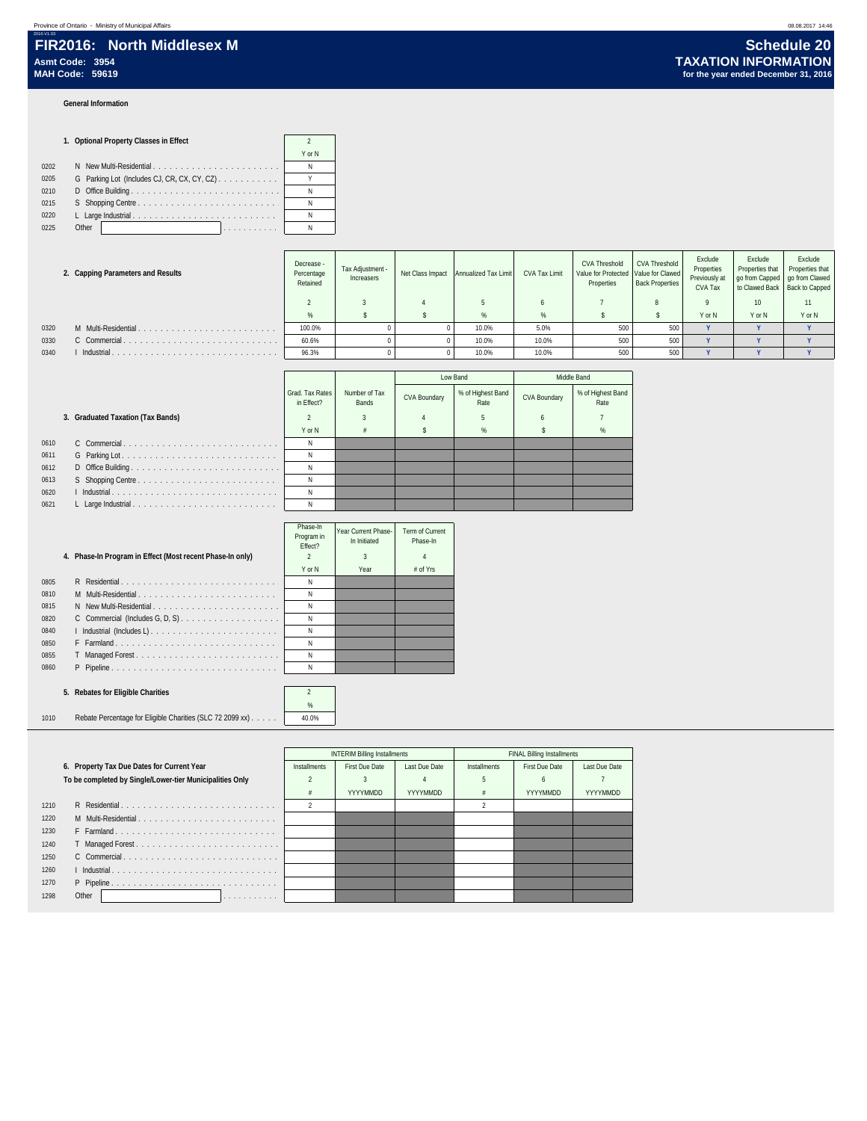### **General Information**

### **1. Optional Property Classes in Effect** 2 Y or N 0202 N New Multi-Residential . . . . . . . . . . . . . . . . . . . . . . . N 0205 G Parking Lot (Includes CJ, CR, CX, CY, CZ) . . . . . . . . . . . . . . . . Y 0210 D Office Building . . . . . . . . . . . . . . . . . . . . . . . . . . . N 0215 S Shopping Centre . . . . . . . . . . . . . . . . . . . . . . . . . . N 0220 L Large Industrial . . . . . . . . . . . . . . . . . . . . . . . . . . N 0225 Other . . . . . . . . . . . N

|      | 2. Capping Parameters and Results | Decrease -<br>Percentage<br>Retained | Tax Adjustment -<br>Increasers | Net Class Impact | Annualized Tax Limit | <b>CVA Tax Limit</b> | <b>CVA Threshold</b><br>Value for Protected   Value for Clawed<br>Properties | <b>CVA Threshold</b><br><b>Back Properties</b> | Exclude<br>Properties<br>Previously at<br>CVA Tax | Exclude<br>Properties that<br>go from Capped   go from Clawed<br>to Clawed Back Back to Capped | Exclude<br>Properties that |
|------|-----------------------------------|--------------------------------------|--------------------------------|------------------|----------------------|----------------------|------------------------------------------------------------------------------|------------------------------------------------|---------------------------------------------------|------------------------------------------------------------------------------------------------|----------------------------|
|      |                                   |                                      |                                |                  |                      |                      |                                                                              |                                                |                                                   | 10 <sup>10</sup>                                                                               |                            |
|      |                                   | %                                    |                                |                  |                      | %                    |                                                                              |                                                | Y or N                                            | Y or N                                                                                         | Y or N                     |
| 0320 | M Multi-Residential.              | 100.0%                               |                                |                  | 10.0%                | 5.0%                 | 500                                                                          | 500                                            |                                                   |                                                                                                |                            |
| 0330 | C Commercial.                     | 60.6%                                |                                |                  | 10.0%                | 10.0%                | 500                                                                          | 500                                            |                                                   |                                                                                                |                            |
| 0340 | Industrial.                       | 96.3%                                |                                |                  | 10.0%                | 10.0%                |                                                                              | 500                                            |                                                   |                                                                                                |                            |

|      |                                   |                               |                        |                     | Low Band                  | Middle Band         |                           |  |
|------|-----------------------------------|-------------------------------|------------------------|---------------------|---------------------------|---------------------|---------------------------|--|
|      |                                   | Grad, Tax Rates<br>in Effect? | Number of Tax<br>Bands | <b>CVA Boundary</b> | % of Highest Band<br>Rate | <b>CVA Boundary</b> | % of Highest Band<br>Rate |  |
|      | 3. Graduated Taxation (Tax Bands) |                               |                        |                     | 5                         |                     |                           |  |
|      |                                   | Y or N                        |                        |                     | %                         |                     | %                         |  |
| 0610 |                                   |                               |                        |                     |                           |                     |                           |  |
| 0611 |                                   |                               |                        |                     |                           |                     |                           |  |
| 0612 |                                   |                               |                        |                     |                           |                     |                           |  |
| 0613 |                                   |                               |                        |                     |                           |                     |                           |  |
| 0620 |                                   |                               |                        |                     |                           |                     |                           |  |
| 0621 |                                   | Ν                             |                        |                     |                           |                     |                           |  |

|      |                                                           | Phase-In<br>Program in<br>Fffect? | Year Current Phase-<br>In Initiated | Term of Current<br>Phase-In |  |
|------|-----------------------------------------------------------|-----------------------------------|-------------------------------------|-----------------------------|--|
|      | 4. Phase-In Program in Effect (Most recent Phase-In only) | $\mathfrak{p}$                    | 3                                   | 4                           |  |
|      |                                                           | Y or N                            | Year                                | # of Yrs                    |  |
| 0805 | R Residential                                             | N                                 |                                     |                             |  |
| 0810 | M Multi-Residential                                       | N                                 |                                     |                             |  |
| 0815 |                                                           | N                                 |                                     |                             |  |
| 0820 |                                                           | N                                 |                                     |                             |  |
| 0840 | I Industrial (Includes L)                                 | N                                 |                                     |                             |  |
| 0850 | F Farmland                                                | Ν                                 |                                     |                             |  |
| 0855 | T Managed Forest                                          | Ν                                 |                                     |                             |  |
| 0860 | P Pipeline                                                | N                                 |                                     |                             |  |
|      |                                                           |                                   |                                     |                             |  |

### **5. Rebates for Eligible Charities** 2

| 1010 | Rebate Percentage for Eligible Charities (SLC 72 2099 xx) | 40.0% |
|------|-----------------------------------------------------------|-------|

|      |                                                          |              | <b>INTERIM Billing Installments</b> |               |              | <b>FINAL Billing Installments</b> |               |
|------|----------------------------------------------------------|--------------|-------------------------------------|---------------|--------------|-----------------------------------|---------------|
|      | 6. Property Tax Due Dates for Current Year               | Installments | <b>First Due Date</b>               | Last Due Date | Installments | <b>First Due Date</b>             | Last Due Date |
|      | To be completed by Single/Lower-tier Municipalities Only |              |                                     |               |              |                                   |               |
|      |                                                          |              | YYYYMMDD                            | YYYYMMDD      |              | YYYYMMDD                          | YYYYMMDD      |
| 1210 |                                                          |              |                                     |               |              |                                   |               |
| 1220 | M Multi-Residential                                      |              |                                     |               |              |                                   |               |
| 1230 | F Farmland                                               |              |                                     |               |              |                                   |               |
| 1240 |                                                          |              |                                     |               |              |                                   |               |
| 1250 |                                                          |              |                                     |               |              |                                   |               |
| 1260 |                                                          |              |                                     |               |              |                                   |               |
| 1270 | P Pipeline                                               |              |                                     |               |              |                                   |               |
| 1298 | Other<br>.                                               |              |                                     |               |              |                                   |               |
|      |                                                          |              |                                     |               |              |                                   |               |

%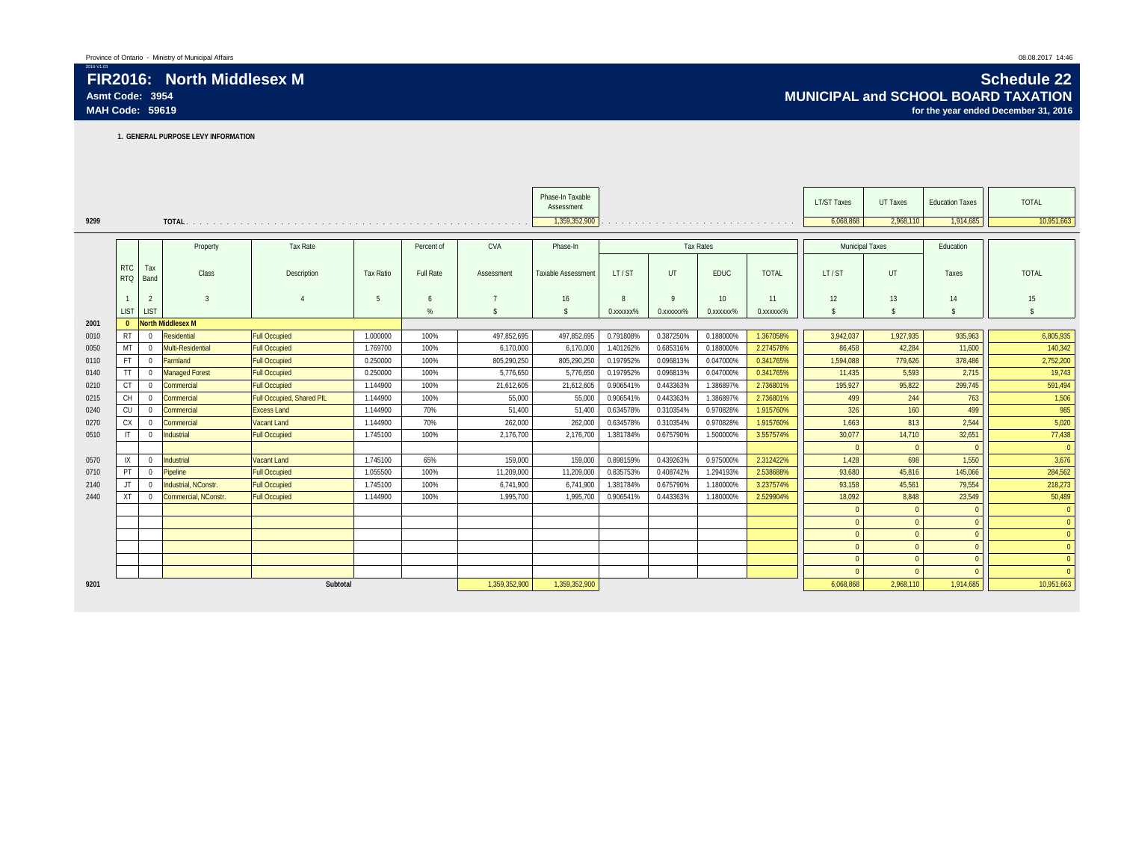**1. GENERAL PURPOSE LEVY INFORMATION**

|      |                          |                |                          |                           |                  |            |               | Phase-In Taxable   |                        |                                                                                                                                                                                                                               |                         |                        | <b>LT/ST Taxes</b>     | UT Taxes           | <b>Education Taxes</b> | <b>TOTAL</b>   |
|------|--------------------------|----------------|--------------------------|---------------------------|------------------|------------|---------------|--------------------|------------------------|-------------------------------------------------------------------------------------------------------------------------------------------------------------------------------------------------------------------------------|-------------------------|------------------------|------------------------|--------------------|------------------------|----------------|
|      |                          |                |                          |                           |                  |            |               | Assessment         |                        |                                                                                                                                                                                                                               |                         |                        |                        |                    |                        |                |
| 9299 |                          |                |                          |                           |                  |            |               | 1,359,352,900      |                        | and a construction of the construction of the construction of the construction of the construction of the construction of the construction of the construction of the construction of the construction of the construction of |                         |                        | 6.068.868              | 2,968,110          | 1,914,685              | 10,951,663     |
|      |                          |                |                          |                           |                  |            |               |                    |                        |                                                                                                                                                                                                                               |                         |                        |                        |                    |                        |                |
|      |                          |                | Property                 | <b>Tax Rate</b>           |                  | Percent of | <b>CVA</b>    | Phase-In           |                        |                                                                                                                                                                                                                               | <b>Tax Rates</b>        |                        | <b>Municipal Taxes</b> |                    | Education              |                |
|      | <b>RTC</b><br><b>RTQ</b> | Tax<br>Band    | Class                    | Description               | <b>Tax Ratio</b> | Full Rate  | Assessment    | Taxable Assessment | LT/ST                  | UT                                                                                                                                                                                                                            | <b>EDUC</b>             | <b>TOTAL</b>           | LT/ST                  | <b>UT</b>          | Taxes                  | <b>TOTAL</b>   |
|      |                          | $\overline{2}$ | $\overline{3}$           |                           | 5                | 6          |               | 16                 | 8                      | $\mathbf Q$                                                                                                                                                                                                                   | 10 <sup>°</sup>         | 11                     | 12                     | 13                 | 14                     | 15             |
|      | <b>LIST</b>              | <b>LIST</b>    |                          |                           |                  | $\%$       |               | \$                 | 0. XXXXXX <sup>%</sup> | 0.xxxxxx%                                                                                                                                                                                                                     | 0. XXXXXX <sup>96</sup> | 0. XXXXXX <sup>%</sup> | $\mathbf{\hat{s}}$     | $\mathbf{\hat{s}}$ | $\mathbf{\hat{S}}$     |                |
| 2001 | $\Omega$                 |                | <b>North Middlesex M</b> |                           |                  |            |               |                    |                        |                                                                                                                                                                                                                               |                         |                        |                        |                    |                        |                |
| 0010 | <b>RT</b>                | $\Omega$       | Residential              | <b>Full Occupied</b>      | 1.000000         | 100%       | 497.852.695   | 497,852,695        | 0.791808%              | 0.387250%                                                                                                                                                                                                                     | 0.188000%               | 1.367058%              | 3,942,037              | 1,927,935          | 935,963                | 6,805,935      |
| 0050 | MT                       | $\Omega$       | Multi-Residential        | <b>Full Occupied</b>      | 1.769700         | 100%       | 6.170.000     | 6.170.000          | 1.401262%              | 0.685316%                                                                                                                                                                                                                     | 0.188000%               | 2.274578%              | 86.458                 | 42.284             | 11.600                 | 140,342        |
| 0110 | <b>FT</b>                | $\Omega$       | Farmland                 | <b>Full Occupied</b>      | 0.250000         | 100%       | 805,290,250   | 805,290,250        | 0.197952%              | 0.096813%                                                                                                                                                                                                                     | 0.047000%               | 0.341765%              | 1.594.088              | 779,626            | 378,486                | 2,752,200      |
| 0140 | <b>TT</b>                | $\Omega$       | <b>Managed Forest</b>    | <b>Full Occupied</b>      | 0.250000         | 100%       | 5,776,650     | 5,776,650          | 0.197952%              | 0.096813%                                                                                                                                                                                                                     | 0.047000%               | 0.341765%              | 11.435                 | 5,593              | 2.715                  | 19,743         |
| 0210 | <b>CT</b>                | $\Omega$       | Commercial               | <b>Full Occupied</b>      | 1.144900         | 100%       | 21.612.605    | 21.612.605         | 0.906541%              | 0.443363%                                                                                                                                                                                                                     | 1.386897%               | 2.736801%              | 195,927                | 95.822             | 299.745                | 591,494        |
| 0215 | <b>CH</b>                | $\overline{0}$ | Commercial               | Full Occupied, Shared PIL | 1.144900         | 100%       | 55,000        | 55.000             | 0.906541%              | 0.443363%                                                                                                                                                                                                                     | 1.386897%               | 2.736801%              | 499                    | 244                | 763                    | 1,506          |
| 0240 | CU                       | $\overline{0}$ | Commercial               | <b>Excess Land</b>        | 1.144900         | 70%        | 51.400        | 51.400             | 0.634578%              | 0.310354%                                                                                                                                                                                                                     | 0.970828%               | 1.915760%              | 326                    | 160                | 499                    | 985            |
| 0270 | <b>CX</b>                |                | Commercial               | Vacant Land               | 1.144900         | 70%        | 262.000       | 262.000            | 0.634578%              | 0.310354%                                                                                                                                                                                                                     | 0.970828%               | 1.915760%              | 1.663                  | 813                | 2,544                  | 5,020          |
| 0510 | IT                       | $\Omega$       | Industrial               | <b>Full Occupied</b>      | 1.745100         | 100%       | 2.176.700     | 2.176.700          | 1.381784%              | 0.675790%                                                                                                                                                                                                                     | 1.500000%               | 3.557574%              | 30,077                 | 14,710             | 32,651                 | 77,438         |
|      |                          |                |                          |                           |                  |            |               |                    |                        |                                                                                                                                                                                                                               |                         |                        | $\Omega$               | $\Omega$           | $\Omega$               | $\Omega$       |
| 0570 | IX                       | $\Omega$       | Industrial               | Vacant Land               | 1.745100         | 65%        | 159,000       | 159.000            | 0.898159%              | 0.439263%                                                                                                                                                                                                                     | 0.975000%               | 2.312422%              | 1.428                  | 698                | 1.550                  | 3,676          |
| 0710 | PT                       | $\mathbf{0}$   | Pipeline                 | <b>Full Occupied</b>      | 1.055500         | 100%       | 11.209.000    | 11,209,000         | 0.835753%              | 0.408742%                                                                                                                                                                                                                     | 1.294193%               | 2.538688%              | 93.680                 | 45,816             | 145.066                | 284,562        |
| 2140 |                          | $\Omega$       | Industrial, NConstr      | <b>Full Occupied</b>      | 1.745100         | 100%       | 6.741.900     | 6,741,900          | 1.381784%              | 0.675790%                                                                                                                                                                                                                     | 1.180000%               | 3.237574%              | 93.158                 | 45,561             | 79,554                 | 218,273        |
| 2440 | <b>XT</b>                | $\Omega$       | Commercial, NConstr.     | <b>Full Occupied</b>      | 1.144900         | 100%       | 1.995.700     | 1.995.700          | 0.906541%              | 0.443363%                                                                                                                                                                                                                     | 1.180000%               | 2.529904%              | 18.092                 | 8.848              | 23.549                 | 50,489         |
|      |                          |                |                          |                           |                  |            |               |                    |                        |                                                                                                                                                                                                                               |                         |                        | $\Omega$               |                    | $\Omega$               | $\Omega$       |
|      |                          |                |                          |                           |                  |            |               |                    |                        |                                                                                                                                                                                                                               |                         |                        | $\Omega$               |                    | $\Omega$               | $\Omega$       |
|      |                          |                |                          |                           |                  |            |               |                    |                        |                                                                                                                                                                                                                               |                         |                        | $\overline{0}$         |                    | $\Omega$               | $\overline{0}$ |
|      |                          |                |                          |                           |                  |            |               |                    |                        |                                                                                                                                                                                                                               |                         |                        | $\mathbf{0}$           | $\Omega$           | $\Omega$               | $\Omega$       |
|      |                          |                |                          |                           |                  |            |               |                    |                        |                                                                                                                                                                                                                               |                         |                        | $\Omega$               | $\Omega$           | $\Omega$               | $\Omega$       |
|      |                          |                |                          |                           |                  |            |               |                    |                        |                                                                                                                                                                                                                               |                         |                        | $\Omega$               |                    |                        | $\Omega$       |
| 9201 |                          |                |                          | Subtotal                  |                  |            | 1,359,352,900 | 1,359,352,900      |                        |                                                                                                                                                                                                                               |                         |                        | 6,068,868              | 2,968,110          | 1,914,685              | 10,951,663     |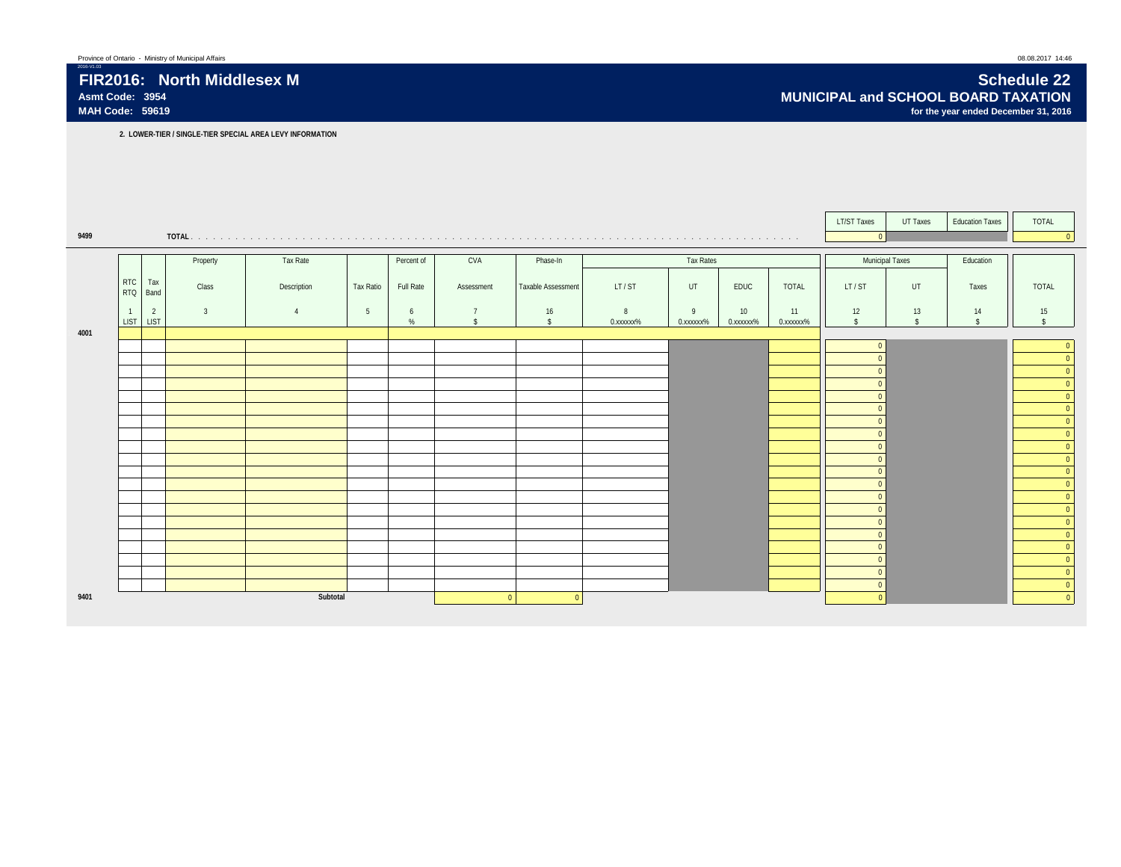2016-V1.03 **FIR2016: North Middlesex M Schedule 22 Asmt Code: 3954 MUNICIPAL and SCHOOL BOARD TAXATION** for the year ended December 31, 2016

**2. LOWER-TIER / SINGLE-TIER SPECIAL AREA LEVY INFORMATION**

|      |                          |                |                |             |                 |            |            |                    |           |           |                 |                        | <b>LT/ST Taxes</b>       | UT Taxes           | <b>Education Taxes</b> | <b>TOTAL</b>        |
|------|--------------------------|----------------|----------------|-------------|-----------------|------------|------------|--------------------|-----------|-----------|-----------------|------------------------|--------------------------|--------------------|------------------------|---------------------|
| 9499 |                          |                |                |             |                 |            |            |                    |           |           |                 |                        | $\overline{0}$           |                    |                        |                     |
|      |                          |                | Property       | Tax Rate    |                 | Percent of | CVA        | Phase-In           |           | Tax Rates |                 |                        |                          | Municipal Taxes    | Education              |                     |
|      |                          |                |                |             |                 |            |            |                    |           |           |                 |                        |                          |                    |                        |                     |
|      | <b>RTC</b><br><b>RTQ</b> | Tax<br>Band    | Class          | Description | Tax Ratio       | Full Rate  | Assessment | Taxable Assessment | LT/ST     | UT        | EDUC            | TOTAL                  | LT/ST                    | UT                 | Taxes                  | <b>TOTAL</b>        |
|      | $\overline{1}$           | $\overline{2}$ | $\overline{3}$ |             | $5\phantom{.0}$ | 6          |            | 16                 | 8         | 9         | 10 <sup>1</sup> | 11                     | 12                       | 13                 | 14                     | 15                  |
|      | <b>LIST</b>              | <b>LIST</b>    |                |             |                 | %          |            | $\hat{\mathbf{x}}$ | 0.xxxxxx% | 0.xxxxxx% | 0.xxxxxx%       | 0. XXXXXX <sup>%</sup> | $\mathbf{s}$             | $\hat{\mathbf{r}}$ | $\ddot{\sigma}$        | $\ddot{\mathbf{c}}$ |
| 4001 |                          |                |                |             |                 |            |            |                    |           |           |                 |                        |                          |                    |                        |                     |
|      |                          |                |                |             |                 |            |            |                    |           |           |                 |                        | $\Omega$<br>$\Omega$     |                    |                        |                     |
|      |                          |                |                |             |                 |            |            |                    |           |           |                 |                        | $\Omega$                 |                    |                        |                     |
|      |                          |                |                |             |                 |            |            |                    |           |           |                 |                        | $\Omega$                 |                    |                        |                     |
|      |                          |                |                |             |                 |            |            |                    |           |           |                 |                        | $\Omega$                 |                    |                        |                     |
|      |                          |                |                |             |                 |            |            |                    |           |           |                 |                        | $\Omega$                 |                    |                        |                     |
|      |                          |                |                |             |                 |            |            |                    |           |           |                 |                        | $\Omega$                 |                    |                        |                     |
|      |                          |                |                |             |                 |            |            |                    |           |           |                 |                        | $\Omega$<br>$\Omega$     |                    |                        |                     |
|      |                          |                |                |             |                 |            |            |                    |           |           |                 |                        | $\Omega$                 |                    |                        |                     |
|      |                          |                |                |             |                 |            |            |                    |           |           |                 |                        | $\Omega$                 |                    |                        |                     |
|      |                          |                |                |             |                 |            |            |                    |           |           |                 |                        | $\Omega$                 |                    |                        |                     |
|      |                          |                |                |             |                 |            |            |                    |           |           |                 |                        | $\Omega$                 |                    |                        |                     |
|      |                          |                |                |             |                 |            |            |                    |           |           |                 |                        | $\Omega$<br>$\Omega$     |                    |                        |                     |
|      |                          |                |                |             |                 |            |            |                    |           |           |                 |                        | $\Omega$                 |                    |                        |                     |
|      |                          |                |                |             |                 |            |            |                    |           |           |                 |                        | $\Omega$                 |                    |                        |                     |
|      |                          |                |                |             |                 |            |            |                    |           |           |                 |                        | $\Omega$                 |                    |                        | $\Omega$            |
|      |                          |                |                |             |                 |            |            |                    |           |           |                 |                        | $\Omega$                 |                    |                        |                     |
| 9401 |                          |                |                | Subtotal    |                 |            | $\Omega$   | $\Omega$           |           |           |                 |                        | $\mathbf{0}$<br>$\Omega$ |                    |                        |                     |
|      |                          |                |                |             |                 |            |            |                    |           |           |                 |                        |                          |                    |                        |                     |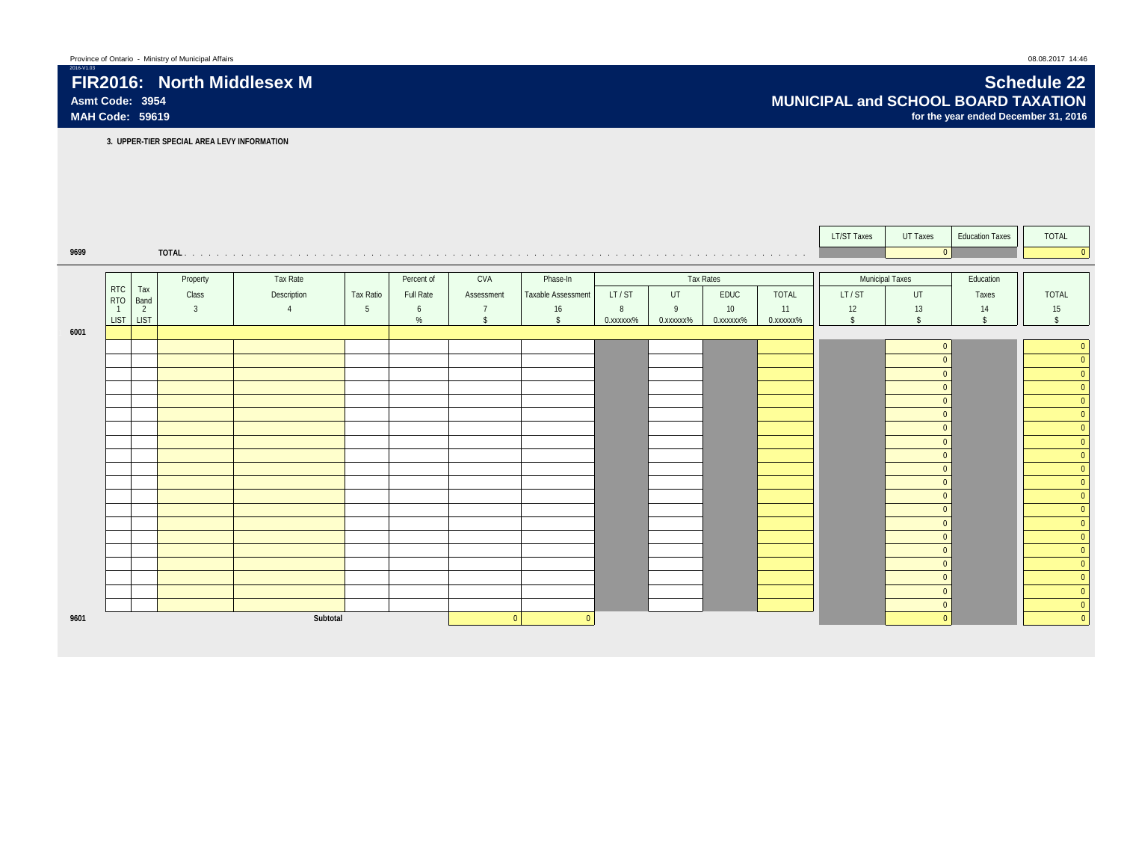### FIR2016: North Middlesex M<br>Asmt Code: 3954 **Schedule 22** Asmt Code: 3954 **Schedule 22** Asmt Code: 3954 **Asmt Code: 3954 MUNICIPAL and SCHOOL BOARD TAXATION** for the year ended December 31, 2016

**3. UPPER-TIER SPECIAL AREA LEVY INFORMATION**

|      |                                         |          |             |                  |            |            |                    |            |                        |                  |                        | <b>LT/ST Taxes</b> | UT Taxes             | <b>Education Taxes</b> | TOTAL                                              |
|------|-----------------------------------------|----------|-------------|------------------|------------|------------|--------------------|------------|------------------------|------------------|------------------------|--------------------|----------------------|------------------------|----------------------------------------------------|
| 9699 |                                         |          |             |                  |            |            |                    |            |                        |                  |                        |                    | $\overline{0}$       |                        | $\overline{0}$                                     |
|      |                                         |          |             |                  |            |            |                    |            |                        |                  |                        |                    |                      |                        |                                                    |
|      |                                         | Property | Tax Rate    |                  | Percent of | CVA        | Phase-In           |            |                        | <b>Tax Rates</b> |                        |                    | Municipal Taxes      | Education              |                                                    |
|      | <b>RTC</b><br>Tax<br><b>RTQ</b><br>Band | Class    | Description | <b>Tax Ratio</b> | Full Rate  | Assessment | Taxable Assessment | LT/ST      | UT                     | EDUC             | <b>TOTAL</b>           | LT/ST              | UT                   | Taxes                  | TOTAL                                              |
|      | $\overline{2}$<br>$\overline{1}$        | 3        |             | 5                | 6          |            | 16                 | 8          | $\overline{9}$         | 10               | 11                     | 12                 | 13                   | 14                     | 15                                                 |
|      | <b>LIST</b><br><b>LIST</b>              |          |             |                  | %          |            | $\mathbf{\hat{S}}$ | 0. xxxxxx% | 0. XXXXXX <sup>%</sup> | 0.xxxxxx%        | 0. XXXXXX <sup>%</sup> | $\mathbf{\hat{s}}$ | $\hat{\mathbf{S}}$   | $\hat{\zeta}$          | $\hat{\mathbf{S}}$                                 |
| 6001 |                                         |          |             |                  |            |            |                    |            |                        |                  |                        |                    |                      |                        |                                                    |
|      |                                         |          |             |                  |            |            |                    |            |                        |                  |                        |                    | $\Omega$             |                        | $\overline{0}$                                     |
|      |                                         |          |             |                  |            |            |                    |            |                        |                  |                        |                    | $\Omega$<br>$\Omega$ |                        | $\overline{0}$<br>$\overline{0}$                   |
|      |                                         |          |             |                  |            |            |                    |            |                        |                  |                        |                    | $\Omega$             |                        | $\overline{0}$                                     |
|      |                                         |          |             |                  |            |            |                    |            |                        |                  |                        |                    | $\Omega$             |                        | $\overline{\mathbf{0}}$                            |
|      |                                         |          |             |                  |            |            |                    |            |                        |                  |                        |                    | $\Omega$             |                        | e e                                                |
|      |                                         |          |             |                  |            |            |                    |            |                        |                  |                        |                    | $\Omega$             |                        | $\begin{array}{c}\n0 \\ 0\n\end{array}$            |
|      |                                         |          |             |                  |            |            |                    |            |                        |                  |                        |                    | $\Omega$             |                        | erialisti<br>1980<br>$\overline{\mathbf{0}}$       |
|      |                                         |          |             |                  |            |            |                    |            |                        |                  |                        |                    | $\Omega$             |                        | e e c<br>$\overline{\mathbf{0}}$                   |
|      |                                         |          |             |                  |            |            |                    |            |                        |                  |                        |                    | $\Omega$             |                        | $\overline{\mathbf{0}}$<br>e e                     |
|      |                                         |          |             |                  |            |            |                    |            |                        |                  |                        |                    | $\Omega$             |                        | $\overline{\mathbf{0}}$                            |
|      |                                         |          |             |                  |            |            |                    |            |                        |                  |                        |                    | $\Omega$             |                        | $\overline{0}$<br>e e                              |
|      |                                         |          |             |                  |            |            |                    |            |                        |                  |                        |                    | $\Omega$             |                        | $\overline{\mathbf{0}}$                            |
|      |                                         |          |             |                  |            |            |                    |            |                        |                  |                        |                    | $\Omega$             |                        | $\overline{\mathbf{0}}$                            |
|      |                                         |          |             |                  |            |            |                    |            |                        |                  |                        |                    | $\Omega$<br>$\Omega$ |                        | $\mathbf 0$<br>e e                                 |
|      |                                         |          |             |                  |            |            |                    |            |                        |                  |                        |                    | $\Omega$             |                        | $\overline{\mathbf{0}}$<br>$\overline{\mathbf{0}}$ |
|      |                                         |          |             |                  |            |            |                    |            |                        |                  |                        |                    | $\Omega$             |                        | $\overline{0}$                                     |
|      |                                         |          |             |                  |            |            |                    |            |                        |                  |                        |                    | $\Omega$             |                        | $\overline{0}$                                     |
|      |                                         |          |             |                  |            |            |                    |            |                        |                  |                        |                    | $\mathbf{0}$         |                        | $\overline{\mathbf{0}}$                            |
| 9601 |                                         |          | Subtotal    |                  |            | $\Omega$   | $\Omega$           |            |                        |                  |                        |                    | $\Omega$             |                        | e e<br>$\Omega$                                    |
|      |                                         |          |             |                  |            |            |                    |            |                        |                  |                        |                    |                      |                        |                                                    |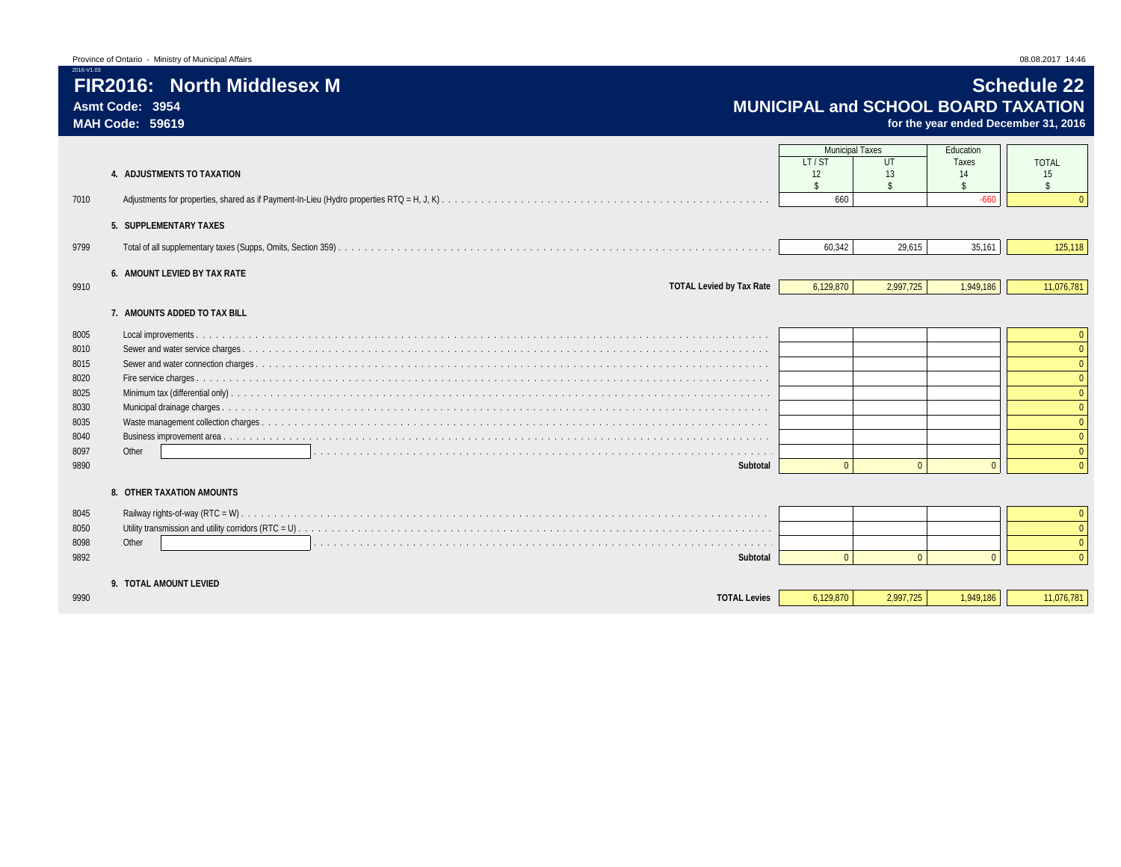|                | Province of Ontario - Ministry of Municipal Affairs | 08.08.2017 14:46 |
|----------------|-----------------------------------------------------|------------------|
| <b>0-71.09</b> |                                                     |                  |

for the year ended December 31, 2016

| 7010<br>9799<br>9910 | 4. ADJUSTMENTS TO TAXATION<br>5. SUPPLEMENTARY TAXES<br>6. AMOUNT LEVIED BY TAX RATE<br><b>TOTAL Levied by Tax Rate</b> | <b>Municipal Taxes</b><br>LT/ST<br>12<br>$\mathbf{\hat{S}}$<br>660<br>60,342<br>6,129,870 | UT<br>13<br>$\hat{\mathbf{S}}$<br>29,615<br>2,997,725 | Education<br>Taxes<br>14<br>$-660$<br>35,161<br>1,949,186 | <b>TOTAL</b><br>15<br>$\hat{\mathbf{S}}$<br>125,118<br>11,076,781 |
|----------------------|-------------------------------------------------------------------------------------------------------------------------|-------------------------------------------------------------------------------------------|-------------------------------------------------------|-----------------------------------------------------------|-------------------------------------------------------------------|
|                      |                                                                                                                         |                                                                                           |                                                       |                                                           |                                                                   |
|                      | 7. AMOUNTS ADDED TO TAX BILL                                                                                            |                                                                                           |                                                       |                                                           |                                                                   |
| 8005                 |                                                                                                                         |                                                                                           |                                                       |                                                           |                                                                   |
| 8010                 |                                                                                                                         |                                                                                           |                                                       |                                                           |                                                                   |
| 8015                 |                                                                                                                         |                                                                                           |                                                       |                                                           |                                                                   |
| 8020                 |                                                                                                                         |                                                                                           |                                                       |                                                           |                                                                   |
| 8025<br>8030         |                                                                                                                         |                                                                                           |                                                       |                                                           |                                                                   |
| 8035                 |                                                                                                                         |                                                                                           |                                                       |                                                           |                                                                   |
| 8040                 |                                                                                                                         |                                                                                           |                                                       |                                                           |                                                                   |
| 8097                 | Other                                                                                                                   |                                                                                           |                                                       |                                                           |                                                                   |
| 9890                 | Subtotal                                                                                                                | $\cap$                                                                                    | $\Omega$                                              | $\Omega$                                                  | $\Omega$                                                          |
|                      | 8. OTHER TAXATION AMOUNTS                                                                                               |                                                                                           |                                                       |                                                           |                                                                   |
| 8045                 | Railway rights-of-way (RTC = $W$ )                                                                                      |                                                                                           |                                                       |                                                           |                                                                   |
| 8050                 |                                                                                                                         |                                                                                           |                                                       |                                                           |                                                                   |
| 8098                 | Other                                                                                                                   |                                                                                           |                                                       |                                                           |                                                                   |
| 9892                 | Subtotal                                                                                                                | $\cap$                                                                                    | $\Omega$                                              | $\Omega$                                                  |                                                                   |
|                      | 9. TOTAL AMOUNT LEVIED                                                                                                  |                                                                                           |                                                       |                                                           |                                                                   |
| 9990                 | <b>TOTAL Levies</b>                                                                                                     | 6,129,870                                                                                 | 2,997,725                                             | 1,949,186                                                 | 11,076,781                                                        |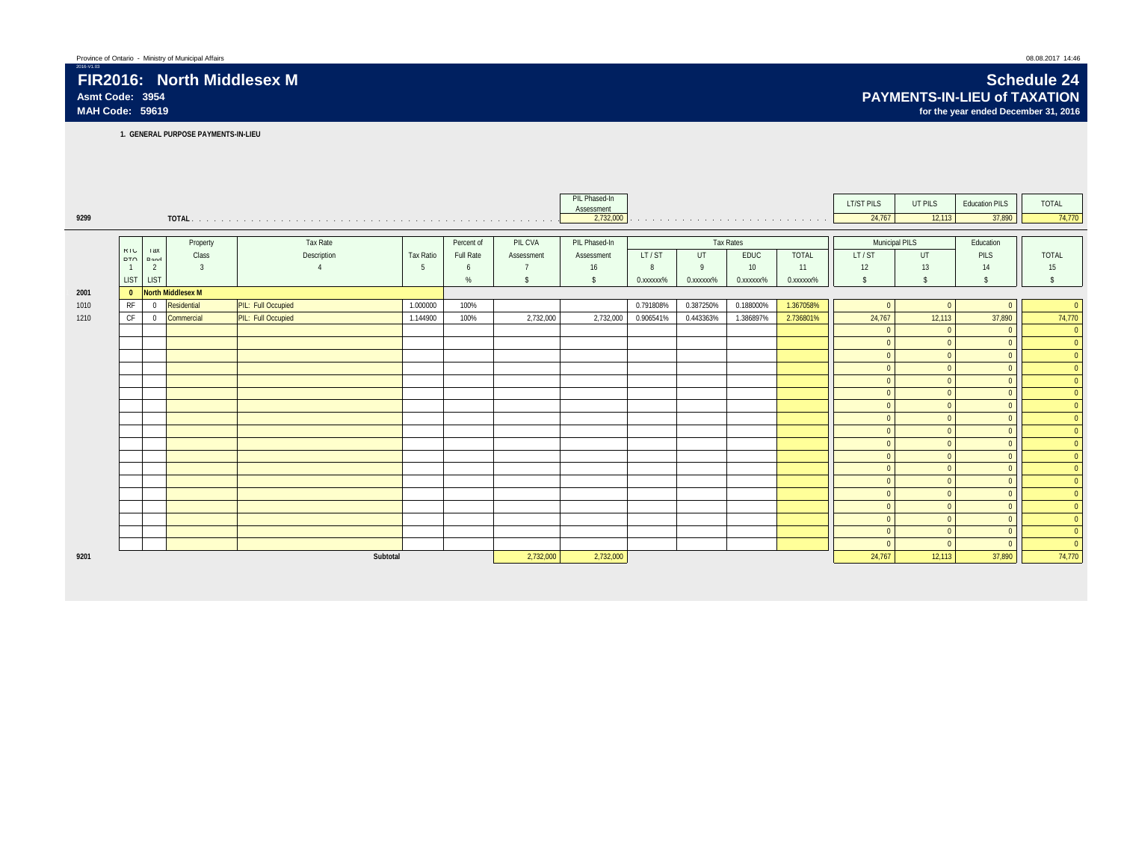# **Asmt Code: 3954 PAYMENTS-IN-LIEU of TAXATION**

**1. GENERAL PURPOSE PAYMENTS-IN-LIEU**

|      |                |                |                          |                    |                  |            |                | PIL Phased-In<br>Assessment |           |           |                  |                                                                                                                                                                                                                               | <b>LT/ST PILS</b> | UT PILS            | <b>Education PILS</b> | TOTAL          |
|------|----------------|----------------|--------------------------|--------------------|------------------|------------|----------------|-----------------------------|-----------|-----------|------------------|-------------------------------------------------------------------------------------------------------------------------------------------------------------------------------------------------------------------------------|-------------------|--------------------|-----------------------|----------------|
| 9299 |                |                |                          |                    |                  |            |                | 2,732,000                   |           |           |                  | the company of the company of the company of the company of the company of the company of the company of the company of the company of the company of the company of the company of the company of the company of the company | 24,767            | 12,113             | 37,890                | 74,770         |
|      |                |                |                          |                    |                  |            |                |                             |           |           |                  |                                                                                                                                                                                                                               |                   |                    |                       |                |
|      | KIL            | <b>Xbi</b>     | Property                 | Tax Rate           |                  | Percent of | PIL CVA        | PIL Phased-In               |           |           | <b>Tax Rates</b> |                                                                                                                                                                                                                               | Municipal PILS    |                    | Education             |                |
|      | DTO            | Dond           | Class                    | Description        | <b>Tax Ratio</b> | Full Rate  | Assessment     | Assessment                  | LT/ST     | UT        | <b>EDUC</b>      | <b>TOTAL</b>                                                                                                                                                                                                                  | LT/ST             | <b>UT</b>          | PILS                  | <b>TOTAL</b>   |
|      | $\overline{1}$ | $\overline{2}$ | $\overline{3}$           |                    | -5               | 6          | $\overline{7}$ | 16                          | 8         | 9         | 10               | 11                                                                                                                                                                                                                            | 12                | 13                 | 14                    | 15             |
|      | <b>LIST</b>    | LIST           |                          |                    |                  | %          | $\mathsf{s}$   | $\mathsf{s}$                | 0.xxxxxx% | 0.xxxxxx% | 0.xxxxxx%        | 0. XXXXXX <sup>%</sup>                                                                                                                                                                                                        | s.                | $\mathbf{\hat{S}}$ | $\hat{\mathbb{S}}$    | $\sqrt{2}$     |
| 2001 | $\mathbf{0}$   |                | <b>North Middlesex M</b> |                    |                  |            |                |                             |           |           |                  |                                                                                                                                                                                                                               |                   |                    |                       |                |
| 1010 | RF             | $\overline{0}$ | Residential              | PIL: Full Occupied | 1.000000         | 100%       |                |                             | 0.791808% | 0.387250% | 0.188000%        | 1.367058%                                                                                                                                                                                                                     | $\overline{0}$    |                    |                       | $\overline{0}$ |
| 1210 | CF             | $\overline{0}$ | Commercial               | PIL: Full Occupied | 1.144900         | 100%       | 2,732,000      | 2,732,000                   | 0.906541% | 0.443363% | 1.386897%        | 2.736801%                                                                                                                                                                                                                     | 24,767            | 12,113             | 37,890                | 74,770         |
|      |                |                |                          |                    |                  |            |                |                             |           |           |                  |                                                                                                                                                                                                                               | $\Omega$          |                    | $\Omega$              | $\overline{0}$ |
|      |                |                |                          |                    |                  |            |                |                             |           |           |                  |                                                                                                                                                                                                                               | $\overline{0}$    |                    | $\Omega$              | $\overline{0}$ |
|      |                |                |                          |                    |                  |            |                |                             |           |           |                  |                                                                                                                                                                                                                               | $\overline{0}$    |                    | $\Omega$              | $\overline{0}$ |
|      |                |                |                          |                    |                  |            |                |                             |           |           |                  |                                                                                                                                                                                                                               | $\mathbf{0}$      |                    | $\Omega$              | $\overline{0}$ |
|      |                |                |                          |                    |                  |            |                |                             |           |           |                  |                                                                                                                                                                                                                               | $\Omega$          |                    | $\Omega$              | $\overline{0}$ |
|      |                |                |                          |                    |                  |            |                |                             |           |           |                  |                                                                                                                                                                                                                               | $\overline{0}$    |                    | $\Omega$              | $\overline{0}$ |
|      |                |                |                          |                    |                  |            |                |                             |           |           |                  |                                                                                                                                                                                                                               | $\overline{0}$    |                    | $\Omega$              | $\overline{0}$ |
|      |                |                |                          |                    |                  |            |                |                             |           |           |                  |                                                                                                                                                                                                                               | $\overline{0}$    |                    | $\overline{0}$        | $\Omega$       |
|      |                |                |                          |                    |                  |            |                |                             |           |           |                  |                                                                                                                                                                                                                               | $\Omega$          |                    | $\Omega$              | $\Omega$       |
|      |                |                |                          |                    |                  |            |                |                             |           |           |                  |                                                                                                                                                                                                                               | $\overline{0}$    |                    | $\Omega$              | $\overline{0}$ |
|      |                |                |                          |                    |                  |            |                |                             |           |           |                  |                                                                                                                                                                                                                               | $\overline{0}$    |                    | $\Omega$              | $\Omega$       |
|      |                |                |                          |                    |                  |            |                |                             |           |           |                  |                                                                                                                                                                                                                               | $\Omega$          |                    | $\Omega$              | $\overline{0}$ |
|      |                |                |                          |                    |                  |            |                |                             |           |           |                  |                                                                                                                                                                                                                               | $\overline{0}$    |                    | $\Omega$              | $\overline{0}$ |
|      |                |                |                          |                    |                  |            |                |                             |           |           |                  |                                                                                                                                                                                                                               | $\Omega$          |                    | $\Omega$              | $\overline{0}$ |
|      |                |                |                          |                    |                  |            |                |                             |           |           |                  |                                                                                                                                                                                                                               | $\Omega$          |                    | $\Omega$              | $\overline{0}$ |
|      |                |                |                          |                    |                  |            |                |                             |           |           |                  |                                                                                                                                                                                                                               | $\Omega$          |                    | $\Omega$              | $\overline{0}$ |
|      |                |                |                          |                    |                  |            |                |                             |           |           |                  |                                                                                                                                                                                                                               | $\overline{0}$    |                    | $\Omega$              | $\overline{0}$ |
|      |                |                |                          |                    |                  |            |                |                             |           |           |                  |                                                                                                                                                                                                                               | $\Omega$          |                    | $\Omega$              | $\overline{0}$ |
| 9201 |                |                |                          | Subtotal           |                  |            | 2,732,000      | 2,732,000                   |           |           |                  |                                                                                                                                                                                                                               | 24,767            | 12,113             | 37,890                | 74,770         |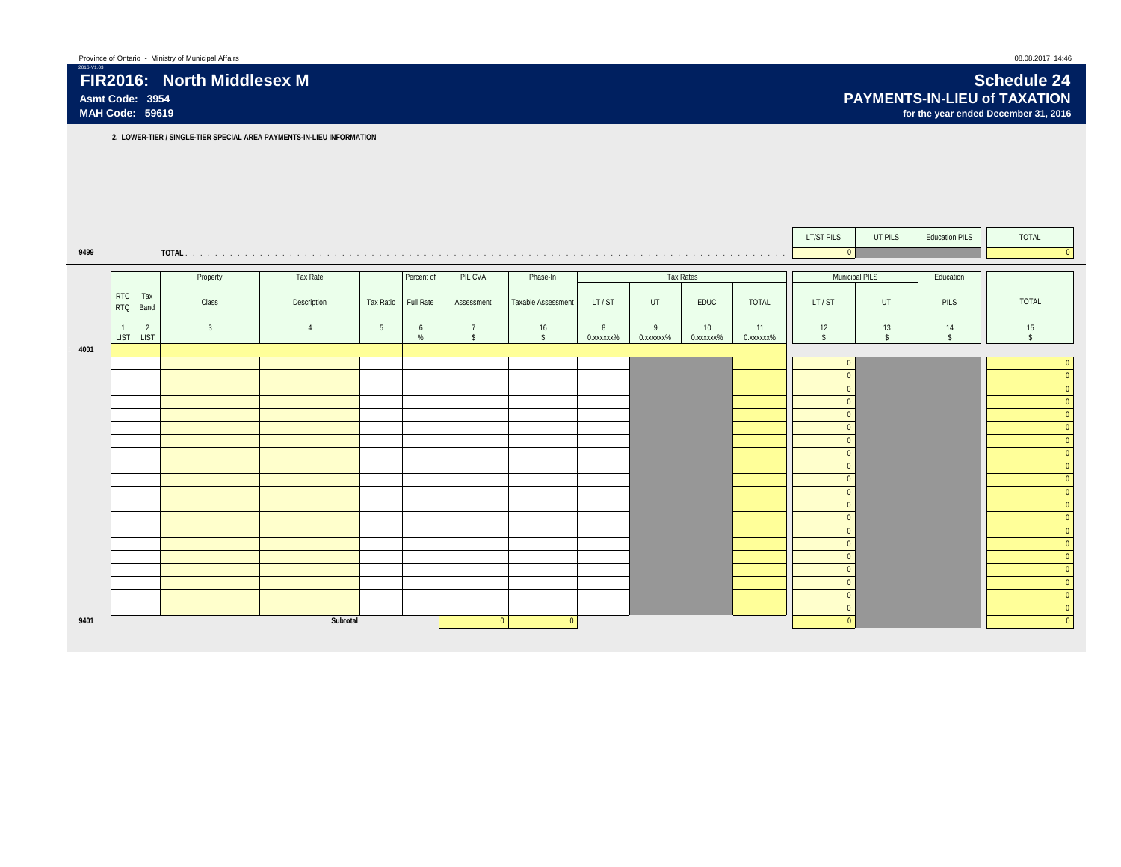|      |                             |                |                |             |                |            |                                      |                    |                |                |                              |                 | LT/ST PILS         | UT PILS         | <b>Education PILS</b>    | TOTAL                    |
|------|-----------------------------|----------------|----------------|-------------|----------------|------------|--------------------------------------|--------------------|----------------|----------------|------------------------------|-----------------|--------------------|-----------------|--------------------------|--------------------------|
| 9499 |                             |                |                |             |                |            |                                      |                    |                |                |                              |                 | $\overline{0}$     |                 |                          |                          |
|      |                             |                |                |             |                |            |                                      |                    |                |                |                              |                 |                    |                 |                          |                          |
|      |                             |                | Property       | Tax Rate    |                | Percent of | PIL CVA                              | Phase-In           |                |                | <b>Tax Rates</b>             |                 |                    | Municipal PILS  | Education                |                          |
|      | <b>RTC</b><br>RTQ Band      | Tax            | Class          | Description | Tax Ratio      | Full Rate  | Assessment                           | Taxable Assessment | LT/ST          | UT             | EDUC                         | <b>TOTAL</b>    | LT/ST              | UT              | PILS                     | TOTAL                    |
|      | $\overline{1}$<br>LIST LIST | $\overline{2}$ | $\overline{3}$ | 4           | 5 <sup>5</sup> | 6<br>%     | $\overline{7}$<br>$\hat{\mathbf{x}}$ | 16<br>$\mathbf{s}$ | 8<br>0.xxxxxx% | 9<br>0.xxxxxx% | 10 <sup>1</sup><br>0.xxxxxx% | 11<br>0.xxxxxx% | 12<br>$\mathbf{s}$ | 13<br>$\hat{S}$ | 14<br>$\hat{\mathbf{s}}$ | 15<br>$\hat{\mathbf{x}}$ |
| 4001 |                             |                |                |             |                |            |                                      |                    |                |                |                              |                 |                    |                 |                          |                          |
|      |                             |                |                |             |                |            |                                      |                    |                |                |                              |                 | $\Omega$           |                 |                          |                          |
|      |                             |                |                |             |                |            |                                      |                    |                |                |                              |                 |                    |                 |                          | $\Omega$                 |
|      |                             |                |                |             |                |            |                                      |                    |                |                |                              |                 |                    |                 |                          | $\Omega$                 |
|      |                             |                |                |             |                |            |                                      |                    |                |                |                              |                 |                    |                 |                          | $\Omega$                 |
|      |                             |                |                |             |                |            |                                      |                    |                |                |                              |                 |                    |                 |                          |                          |
|      |                             |                |                |             |                |            |                                      |                    |                |                |                              |                 |                    |                 |                          |                          |
|      |                             |                |                |             |                |            |                                      |                    |                |                |                              |                 |                    |                 |                          | $\Omega$                 |
|      |                             |                |                |             |                |            |                                      |                    |                |                |                              |                 |                    |                 |                          |                          |
|      |                             |                |                |             |                |            |                                      |                    |                |                |                              |                 |                    |                 |                          |                          |
|      |                             |                |                |             |                |            |                                      |                    |                |                |                              |                 |                    |                 |                          |                          |
|      |                             |                |                |             |                |            |                                      |                    |                |                |                              |                 |                    |                 |                          |                          |
|      |                             |                |                |             |                |            |                                      |                    |                |                |                              |                 |                    |                 |                          |                          |
|      |                             |                |                |             |                |            |                                      |                    |                |                |                              |                 |                    |                 |                          |                          |
|      |                             |                |                |             |                |            |                                      |                    |                |                |                              |                 |                    |                 |                          | $\Omega$                 |
|      |                             |                |                |             |                |            |                                      |                    |                |                |                              |                 |                    |                 |                          |                          |
|      |                             |                |                |             |                |            |                                      |                    |                |                |                              |                 |                    |                 |                          |                          |
|      |                             |                |                |             |                |            |                                      |                    |                |                |                              |                 |                    |                 |                          |                          |
|      |                             |                |                |             |                |            |                                      |                    |                |                |                              |                 |                    |                 |                          |                          |
|      |                             |                |                |             |                |            |                                      |                    |                |                |                              |                 |                    |                 |                          |                          |
|      |                             |                |                |             |                |            |                                      |                    |                |                |                              |                 | $\Omega$           |                 |                          | $\Omega$                 |
| 9401 |                             |                |                | Subtotal    |                |            | $\Omega$                             | $\overline{0}$     |                |                |                              |                 |                    |                 |                          | $\Omega$                 |
|      |                             |                |                |             |                |            |                                      |                    |                |                |                              |                 |                    |                 |                          |                          |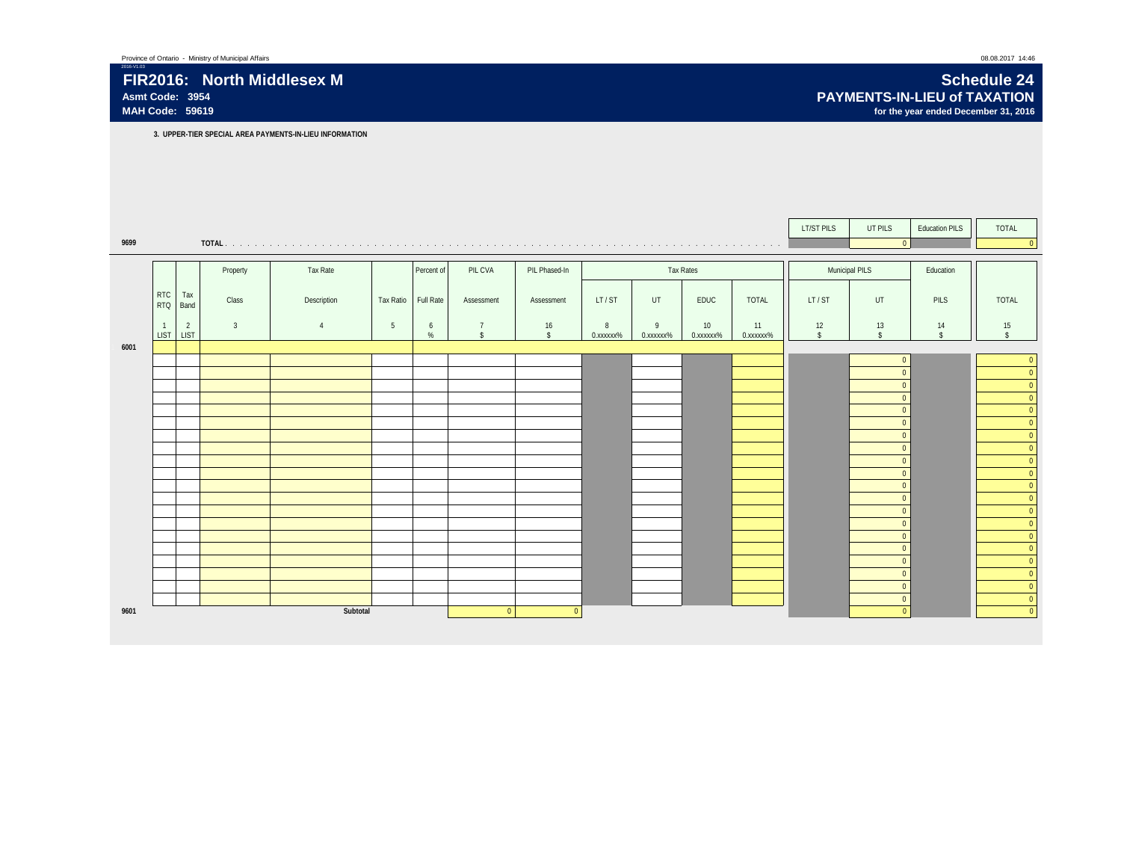## 2016-V1.03 **FIR2016: North Middlesex M Schedule 24**

**3. UPPER-TIER SPECIAL AREA PAYMENTS-IN-LIEU INFORMATION**

|      |                             |                               |                |             |                  |            |                                      |                    |                |                |                 |                 | LT/ST PILS         | UT PILS                        | <b>Education PILS</b>    | TOTAL                                                     |
|------|-----------------------------|-------------------------------|----------------|-------------|------------------|------------|--------------------------------------|--------------------|----------------|----------------|-----------------|-----------------|--------------------|--------------------------------|--------------------------|-----------------------------------------------------------|
| 9699 |                             |                               |                |             |                  |            |                                      |                    |                |                |                 |                 |                    | $\overline{0}$                 |                          | $\overline{0}$                                            |
|      |                             |                               |                |             |                  |            |                                      |                    |                |                |                 |                 |                    |                                |                          |                                                           |
|      |                             |                               | Property       | Tax Rate    |                  | Percent of | PIL CVA                              | PIL Phased-In      |                |                | Tax Rates       |                 |                    | Municipal PILS                 | Education                |                                                           |
|      | <b>RTC</b><br>RTQ           | Tax<br>Band                   | Class          | Description | <b>Tax Ratio</b> | Full Rate  | Assessment                           | Assessment         | LT/ST          | UT             | EDUC            | TOTAL           | LT/ST              | UT                             | <b>PILS</b>              | <b>TOTAL</b>                                              |
|      | $\mathbf{1}$<br><b>LIST</b> | $\overline{2}$<br><b>LIST</b> | $\overline{3}$ | $\Delta$    | 5                | 6<br>%     | $\overline{7}$<br>$\mathbf{\hat{S}}$ | 16<br>$\mathsf{s}$ | 8<br>0.xxxxxx% | 9<br>0.xxxxxx% | 10<br>0.xxxxxx% | 11<br>0.xxxxxx% | 12<br>$\mathsf{s}$ | 13<br>$\mathsf{\$}$            | 14<br>$\mathbf{\hat{s}}$ | 15<br>$\mathsf{s}$                                        |
| 6001 |                             |                               |                |             |                  |            |                                      |                    |                |                |                 |                 |                    |                                |                          |                                                           |
|      |                             |                               |                |             |                  |            |                                      |                    |                |                |                 |                 |                    | $\overline{0}$<br>$\Omega$     |                          | $\overline{0}$<br>$\overline{\mathbf{0}}$                 |
|      |                             |                               |                |             |                  |            |                                      |                    |                |                |                 |                 |                    | $\overline{0}$                 |                          | ۰<br>$\overline{\mathbf{0}}$                              |
|      |                             |                               |                |             |                  |            |                                      |                    |                |                |                 |                 |                    | $\overline{0}$                 |                          | e e<br>$\overline{\mathbf{0}}$                            |
|      |                             |                               |                |             |                  |            |                                      |                    |                |                |                 |                 |                    | $\overline{0}$                 |                          | $\overline{\mathbf{0}}$                                   |
|      |                             |                               |                |             |                  |            |                                      |                    |                |                |                 |                 |                    | $\overline{0}$                 |                          | $\overline{\bullet}$                                      |
|      |                             |                               |                |             |                  |            |                                      |                    |                |                |                 |                 |                    | $\overline{0}$                 |                          | ÷,<br>$\overline{\mathbf{0}}$                             |
|      |                             |                               |                |             |                  |            |                                      |                    |                |                |                 |                 |                    | $\Omega$                       |                          | $\begin{array}{c c}\n\hline\n0 \\ \hline\n0\n\end{array}$ |
|      |                             |                               |                |             |                  |            |                                      |                    |                |                |                 |                 |                    | $\overline{0}$                 |                          |                                                           |
|      |                             |                               |                |             |                  |            |                                      |                    |                |                |                 |                 |                    | $\overline{0}$                 |                          | $\overline{\mathbf{0}}$                                   |
|      |                             |                               |                |             |                  |            |                                      |                    |                |                |                 |                 |                    | $\overline{0}$                 |                          | $\overline{\phantom{a}}$<br>÷,                            |
|      |                             |                               |                |             |                  |            |                                      |                    |                |                |                 |                 |                    | $\overline{0}$<br>$\mathbf{0}$ |                          | $\overline{\mathbf{0}}$                                   |
|      |                             |                               |                |             |                  |            |                                      |                    |                |                |                 |                 |                    | $\overline{0}$                 |                          | $\overline{\mathbf{0}}$<br>e e                            |
|      |                             |                               |                |             |                  |            |                                      |                    |                |                |                 |                 |                    | $\overline{0}$                 |                          | $\overline{\phantom{a}}$<br>$\overline{\mathbf{0}}$       |
|      |                             |                               |                |             |                  |            |                                      |                    |                |                |                 |                 |                    | $\overline{0}$                 |                          | $\overline{\phantom{0}}$                                  |
|      |                             |                               |                |             |                  |            |                                      |                    |                |                |                 |                 |                    | $\overline{0}$                 |                          | e e<br>$\overline{\mathbf{0}}$                            |
|      |                             |                               |                |             |                  |            |                                      |                    |                |                |                 |                 |                    | $\overline{0}$                 |                          | ÷,<br>$\overline{\mathbf{0}}$                             |
|      |                             |                               |                |             |                  |            |                                      |                    |                |                |                 |                 |                    | $\overline{0}$                 |                          | $\overline{\mathbf{0}}$                                   |
|      |                             |                               |                |             |                  |            |                                      |                    |                |                |                 |                 |                    | $\mathbf{0}$                   |                          | $\overline{\mathbf{0}}$                                   |
| 9601 |                             |                               |                | Subtotal    |                  |            | $\overline{0}$                       | $\Omega$           |                |                |                 |                 |                    | $\Omega$                       |                          | $\overline{0}$                                            |
|      |                             |                               |                |             |                  |            |                                      |                    |                |                |                 |                 |                    |                                |                          |                                                           |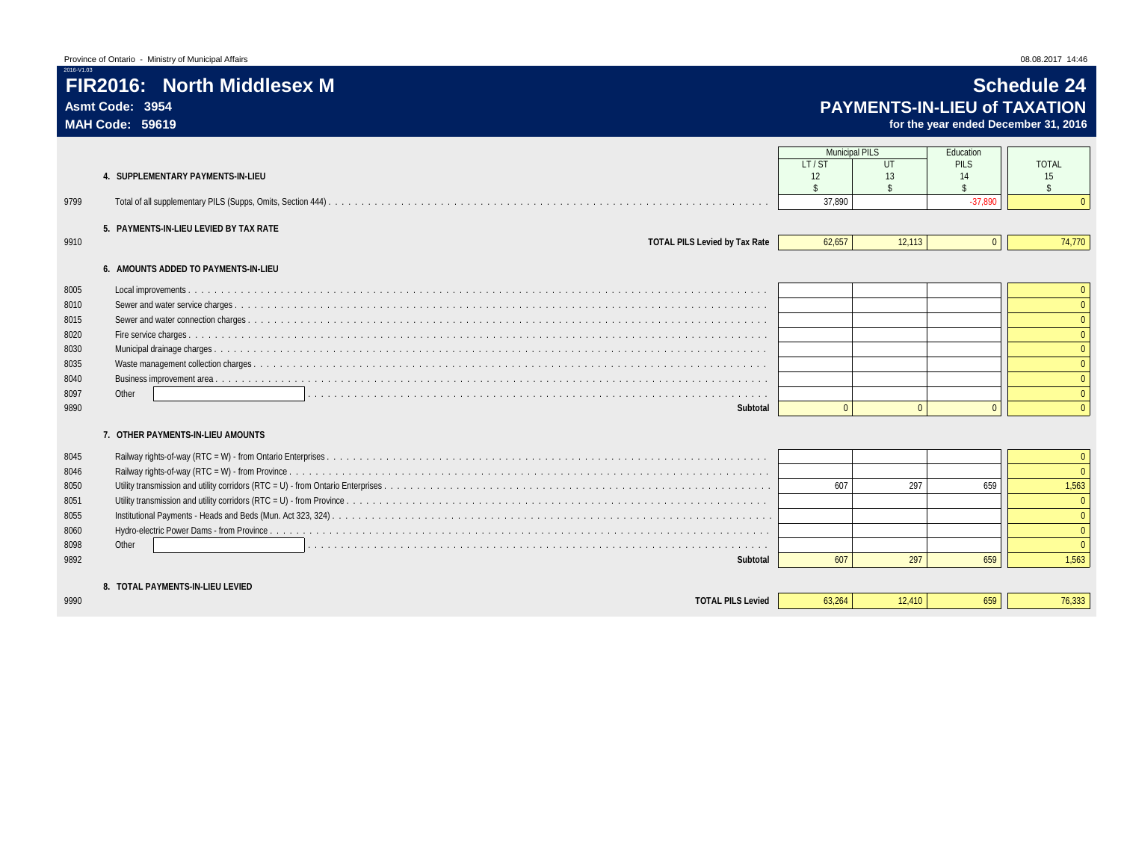## **FIR2016: North Middlesex M Schedule 24 Asmt Code: 3954 PAYMENTS-IN-LIEU of TAXATION**

for the year ended December 31, 2016

|      |                                        | <b>Municipal PILS</b> |          | Education    |                          |
|------|----------------------------------------|-----------------------|----------|--------------|--------------------------|
|      |                                        | LT/ST                 | UT       | PILS         | <b>TOTAL</b>             |
|      | 4. SUPPLEMENTARY PAYMENTS-IN-LIEU      | $12 \overline{ }$     | 13       | 14           | 15<br>$\mathbf{\hat{S}}$ |
| 9799 |                                        | 37.890                |          | $-37.890$    |                          |
|      |                                        |                       |          |              |                          |
|      | 5. PAYMENTS-IN-LIEU LEVIED BY TAX RATE |                       |          |              |                          |
| 9910 | <b>TOTAL PILS Levied by Tax Rate</b>   | 62,657                | 12.113   | $\mathbf{0}$ | 74,770                   |
|      | 6. AMOUNTS ADDED TO PAYMENTS-IN-LIEU   |                       |          |              |                          |
| 8005 |                                        |                       |          |              | $\overline{0}$           |
| 8010 |                                        |                       |          |              | $\Omega$                 |
| 8015 |                                        |                       |          |              |                          |
| 8020 |                                        |                       |          |              |                          |
| 8030 |                                        |                       |          |              | $\Omega$                 |
| 8035 |                                        |                       |          |              |                          |
| 8040 |                                        |                       |          |              |                          |
| 8097 | Other                                  |                       |          |              | $\Omega$                 |
| 9890 | Subtotal                               | $\Omega$              | $\Omega$ | $\Omega$     | $\Omega$                 |
|      | 7. OTHER PAYMENTS-IN-LIEU AMOUNTS      |                       |          |              |                          |
| 8045 |                                        |                       |          |              | $\Omega$                 |
| 8046 |                                        |                       |          |              | $\Omega$                 |
| 8050 |                                        | 607                   | 297      | 659          | 1,563                    |
| 8051 |                                        |                       |          |              |                          |
| 8055 |                                        |                       |          |              | $\Omega$                 |
| 8060 |                                        |                       |          |              | $\Omega$                 |
| 8098 | Other                                  |                       |          |              |                          |
| 9892 | Subtotal                               | 607                   | 297      | 659          | 1,563                    |
|      | 8. TOTAL PAYMENTS-IN-LIEU LEVIED       |                       |          |              |                          |
| 9990 | <b>TOTAL PILS Levied</b>               | 63,264                | 12,410   | 659          | 76,333                   |
|      |                                        |                       |          |              |                          |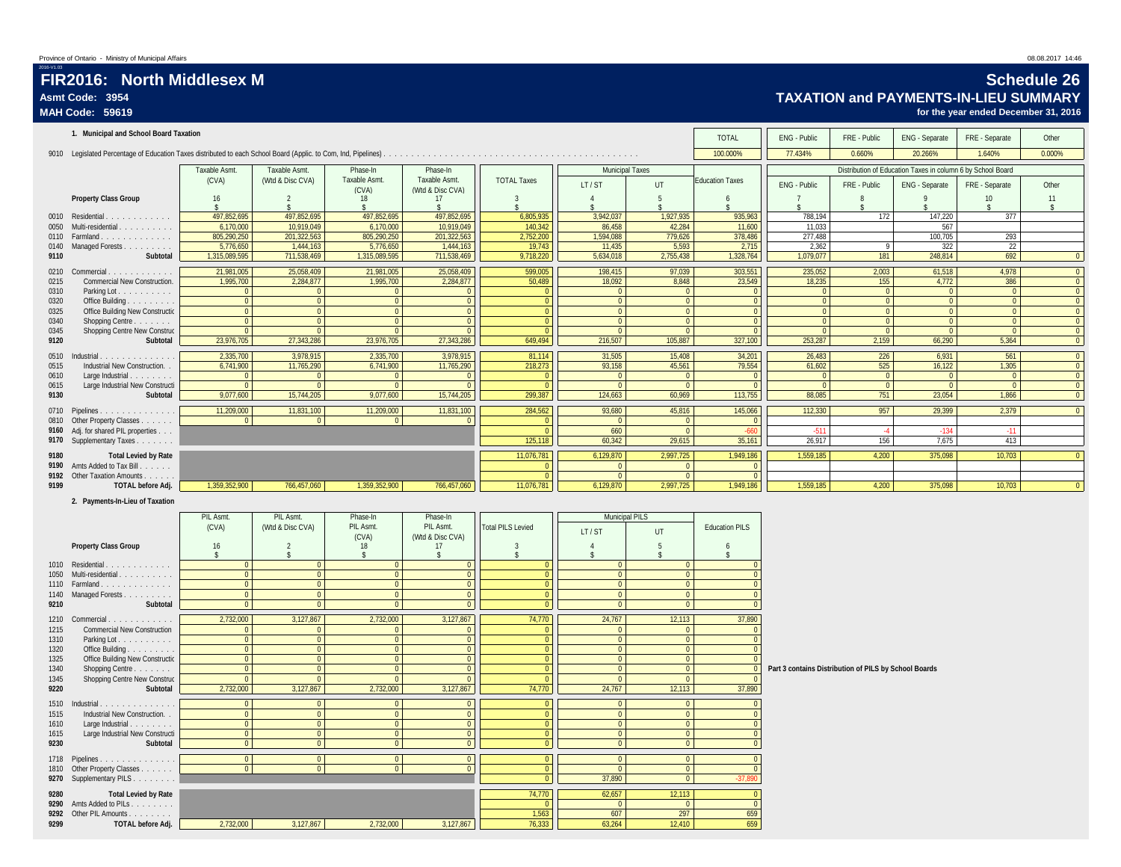## **FIR2016: North Middlesex M Schedule 26**<br>Asmt Code: 3954 **Collection Schedule 26 Asmt Code: 3954 TAXATION and PAYMENTS-IN-LIEU SUMMARY**

**MAH Code: 59619 for the year ended December 31, 2016**

|              | 1. Municipal and School Board Taxation                                 |                              |                                  |                                   |                                |                                |                                  |                                  | <b>TOTAL</b>                      | ENG - Public                                          | FRE - Public                     | ENG - Separate                                                                | FRE - Separate                   | Other                          |
|--------------|------------------------------------------------------------------------|------------------------------|----------------------------------|-----------------------------------|--------------------------------|--------------------------------|----------------------------------|----------------------------------|-----------------------------------|-------------------------------------------------------|----------------------------------|-------------------------------------------------------------------------------|----------------------------------|--------------------------------|
|              |                                                                        |                              |                                  |                                   |                                |                                |                                  |                                  | 100.000%                          | 77.434%                                               | 0.660%                           | 20.266%                                                                       | 1.640%                           | 0.000%                         |
|              |                                                                        | Taxable Asmt.<br>(CVA)       | Taxable Asmt<br>(Wtd & Disc CVA) | Phase-In<br>Taxable Asmt.         | Phase-In<br>Taxable Asmt.      | <b>TOTAL Taxes</b>             | <b>Municipal Taxes</b><br>LT/ST  | UT                               | <b>Education Taxes</b>            | ENG - Public                                          | FRE - Public                     | Distribution of Education Taxes in column 6 by School Board<br>ENG - Separate | FRE - Separate                   | Other                          |
|              | <b>Property Class Group</b>                                            | 16                           | $\overline{2}$                   | (CVA)<br>18                       | (Wtd & Disc CVA)<br>17         | 3                              | $\Lambda$                        | $\overline{5}$                   | 6                                 |                                                       | 8                                | $\mathsf{Q}$                                                                  | 10                               | 11                             |
|              | 0010 Residential                                                       | 497,852,695                  | 497,852,695                      | $\mathbf{\hat{S}}$<br>497,852,695 | 497,852,695                    | 6,805,935                      | 3,942,037                        | 1,927,935                        | 935,963                           | 788,194                                               | 172                              | 147,220                                                                       | $\hat{\mathbf{x}}$<br>377        | -S                             |
|              | 0050 Multi-residential                                                 | 6,170,000                    | 10,919,049                       | 6,170,000                         | 10,919,049                     | 140,342                        | 86,458                           | 42,284                           | 11,600                            | 11,033                                                |                                  | 567                                                                           |                                  |                                |
| 0140         | Managed Forests                                                        | 805,290,250<br>5,776,650     | 201,322,563<br>1,444,163         | 805,290,250<br>5,776,650          | 201,322,563<br>1,444,163       | 2,752,200<br>19,743            | 1,594,088<br>11,435              | 779,626<br>5,593                 | 378,486<br>2,715                  | 277,488<br>2,362                                      | 9                                | 100,705<br>322                                                                | 293<br>22                        |                                |
| 9110         | Subtotal                                                               | 1,315,089,595                | 711,538,469                      | 1,315,089,595                     | 711,538,469                    | 9,718,220                      | 5,634,018                        | 2,755,438                        | 1,328,764                         | 1,079,077                                             | 181                              | 248,814                                                                       | 692                              | $\mathbf{0}$                   |
|              | 0210 Commercial.                                                       | 21,981,005                   | 25,058,409                       | 21,981,005                        | 25,058,409                     | 599,005                        | 198,415                          | 97,039                           | 303,551                           | 235,052                                               | 2,003                            | 61,518                                                                        | 4,978                            | $\overline{0}$                 |
| 0215<br>0310 | Commercial New Construction.<br>Parking Lot.                           | 1,995,700<br>$\Omega$        | 2,284,877                        | 1,995,700<br>$\Omega$             | 2,284,877<br>$\mathbf{0}$      | 50,489<br>$\Omega$             | 18,092<br>$\Omega$               | 8,848<br>$\Omega$                | 23,549<br>$\overline{0}$          | 18,235<br>$\Omega$                                    | 155<br>$\Omega$                  | 4,772<br>$\Omega$                                                             | 386<br>$\overline{0}$            | $\mathbf 0$<br>$\bf{0}$        |
| 0320         | Office Building.                                                       | $\mathbf{0}$                 | $\mathbf{0}$                     | $\overline{0}$                    | $\mathbf{0}$                   | $\Omega$                       | $\overline{0}$                   | $\overline{0}$                   | $\overline{0}$                    | $\Omega$                                              | $\mathbf{0}$                     | $\mathbf{0}$                                                                  | $\mathbf{0}$                     | $\mathbf{0}$                   |
| 0325<br>0340 | Office Building New Constructio                                        | $\mathbf{0}$<br>$\Omega$     | $\mathbf{0}$<br>$\mathbf{0}$     | $\overline{0}$<br>$\overline{0}$  | $\mathbf{0}$<br>$\overline{0}$ | $\Omega$<br>$\Omega$           | $\overline{0}$<br>$\mathbf{0}$   | $\overline{0}$<br>$\Omega$       | $\overline{0}$<br>$\overline{0}$  | $\Omega$<br>$\overline{0}$                            | $\overline{0}$<br>$\overline{0}$ | $\mathbf{0}$<br>$\overline{0}$                                                | $\overline{0}$<br>$\overline{0}$ | $\mathbf{0}$<br>$\mathbf{0}$   |
| 0345         | Shopping Centre<br>Shopping Centre New Construc                        | $\Omega$                     | $\Omega$                         | $\overline{0}$                    | $\mathbf{0}$                   | $\Omega$                       | $\overline{0}$                   | $\overline{0}$                   | $\overline{0}$                    | $\overline{0}$                                        | $\overline{0}$                   | $\Omega$                                                                      | $\overline{0}$                   | $\mathbf{0}$                   |
| 9120         | Subtotal                                                               | 23,976,705                   | 27,343,286                       | 23,976,705                        | 27,343,286                     | 649,494                        | 216,507                          | 105,887                          | 327,100                           | 253,287                                               | 2,159                            | 66,290                                                                        | 5,364                            | $\mathbf{0}$                   |
|              | 0510 Industrial                                                        | 2.335.700                    | 3.978.915                        | 2.335.700                         | 3.978.915                      | 81.114                         | 31.505                           | 15.408                           | 34.201                            | 26.483                                                | 226                              | 6.931                                                                         | 561                              | $\mathbf{0}$                   |
| 0515<br>0610 | Industrial New Construction. .<br>Large Industrial.                    | 6,741,900<br>$\Omega$        | 11,765,290<br>$\overline{0}$     | 6,741,900<br>$\overline{0}$       | 11,765,290<br>$\mathbf{0}$     | 218,273<br>$\Omega$            | 93,158<br>$\overline{0}$         | 45,561<br>$\overline{0}$         | 79,554<br>$\overline{\mathbf{0}}$ | 61,602<br>$\overline{0}$                              | 525<br>$\bullet$                 | 16,122<br>$\overline{0}$                                                      | 1,305<br>$\overline{0}$          | $\mathbf{0}$<br>$\overline{0}$ |
| 0615         | Large Industrial New Constructi                                        | $\Omega$                     | $\Omega$                         | $\overline{0}$                    | $\Omega$                       | $\Omega$                       | $\mathbf{0}$                     | $\overline{0}$                   | $\overline{0}$                    | $\Omega$                                              | $\mathbf{0}$                     | $\overline{0}$                                                                | $\mathbf{0}$                     | $\mathbf{0}$                   |
| 9130         | Subtotal                                                               | 9,077,600                    | 15,744,205                       | 9,077,600                         | 15,744,205                     | 299,387                        | 124,663                          | 60,969                           | 113,755                           | 88,085                                                | 751                              | 23,054                                                                        | 1,866                            | $\mathbf 0$                    |
| 0810         | 0710 Pipelines<br>Other Property Classes                               | 11,209,000<br>$\Omega$       | 11,831,100<br>$\Omega$           | 11,209,000<br>$\overline{0}$      | 11,831,100<br>$\Omega$         | 284,562<br>$\Omega$            | 93,680<br>$\overline{0}$         | 45,816<br>$\mathbf{0}$           | 145,066<br>$\overline{0}$         | 112,330                                               | 957                              | 29,399                                                                        | 2,379                            | $\mathbf 0$                    |
| 9160         | Adj. for shared PIL properties                                         |                              |                                  |                                   |                                | $\sqrt{ }$                     | 660                              | $\overline{0}$                   | $-660$                            | $-511$                                                | $-4$                             | $-134$                                                                        | $-11$                            |                                |
|              | 9170 Supplementary Taxes                                               |                              |                                  |                                   |                                | 125,118                        | 60,342                           | 29,615                           | 35,161                            | 26,917                                                | 156                              | 7,675                                                                         | 413                              |                                |
| 9180<br>9190 | <b>Total Levied by Rate</b><br>Amts Added to Tax Bill                  |                              |                                  |                                   |                                | 11,076,781<br>$\Omega$         | 6,129,870<br>$\mathbf 0$         | 2,997,725<br>$\Omega$            | 1,949,186<br>$\overline{0}$       | 1,559,185                                             | 4,200                            | 375,098                                                                       | 10,703                           | $\mathbf{0}$                   |
| 9192         | Other Taxation Amounts                                                 |                              |                                  |                                   |                                | $\overline{0}$                 | $\overline{0}$                   | $\overline{0}$                   | $\overline{0}$                    |                                                       |                                  |                                                                               |                                  |                                |
|              |                                                                        |                              |                                  |                                   |                                |                                |                                  |                                  |                                   |                                                       |                                  |                                                                               |                                  |                                |
| 9199         | TOTAL before Adj.                                                      | 1,359,352,900                | 766,457,060                      | 1,359,352,900                     | 766,457,060                    | 11,076,781                     | 6,129,870                        | 2,997,725                        | 1,949,186                         | 1,559,185                                             | 4,200                            | 375,098                                                                       | 10,703                           | $\pmb{0}$                      |
|              | 2. Payments-In-Lieu of Taxation                                        |                              |                                  |                                   |                                |                                |                                  |                                  |                                   |                                                       |                                  |                                                                               |                                  |                                |
|              |                                                                        | PIL Asmt.                    | PIL Asmt.                        | Phase-In                          | Phase-In                       |                                | Municipal PILS                   |                                  |                                   |                                                       |                                  |                                                                               |                                  |                                |
|              |                                                                        | (CVA)                        | (Wtd & Disc CVA)                 | PIL Asmt.<br>(CVA)                | PIL Asmt.<br>(Wtd & Disc CVA)  | <b>Total PILS Levied</b>       | LT/ST                            | UT                               | <b>Education PILS</b>             |                                                       |                                  |                                                                               |                                  |                                |
|              | Property Class Group                                                   | 16                           | $\mathcal{P}$                    | 18<br>$\hat{\mathbf{x}}$          | 17                             | 3                              | $\Delta$                         | $5 -$                            | 6                                 |                                                       |                                  |                                                                               |                                  |                                |
|              | 1010 Residential.                                                      | $\Omega$                     | $\overline{0}$                   | $\overline{0}$                    | $\overline{0}$                 | $\Omega$                       | $\overline{0}$                   | $\overline{0}$                   | $\Omega$                          |                                                       |                                  |                                                                               |                                  |                                |
| 1050         | Multi-residential                                                      | $\overline{0}$               | $\overline{0}$                   | $\overline{0}$                    | $\overline{0}$                 | $\overline{0}$                 | $\overline{0}$                   | $\overline{0}$                   | $\Omega$<br>$\Omega$              |                                                       |                                  |                                                                               |                                  |                                |
| 1110<br>1140 | Farmland<br>Managed Forests                                            | $\mathbf{0}$<br>$\mathbf{0}$ | $\mathbf{0}$<br>$\mathbf{0}$     | $\overline{0}$<br>$\overline{0}$  | $\mathbf{0}$<br>$\mathbf 0$    | $\overline{0}$<br>$\mathbf{0}$ | $\overline{0}$<br>$\overline{0}$ | $\overline{0}$<br>$\overline{0}$ | $\Omega$                          |                                                       |                                  |                                                                               |                                  |                                |
| 9210         | Subtotal                                                               | $\mathbf{0}$                 | $\overline{0}$                   | 0 <sup>1</sup>                    | $\mathbf{0}$                   | $\mathbf{0}$                   | $\overline{0}$                   | $\overline{0}$                   | $\overline{0}$                    |                                                       |                                  |                                                                               |                                  |                                |
|              | 1210 Commercial.                                                       | 2,732,000                    | 3,127,867                        | 2,732,000                         | 3,127,867                      | 74,770                         | 24,767                           | 12,113                           | 37,890                            |                                                       |                                  |                                                                               |                                  |                                |
| 1215<br>1310 | Commercial New Construction<br>Parking Lot.                            | $\Omega$<br>$\Omega$         | $\Omega$<br>$\Omega$             | $\Omega$<br>$\overline{0}$        | $\mathbf{0}$<br>$\mathbf 0$    | $\Omega$<br>$\Omega$           | $\mathbf{0}$<br>$\Omega$         | $\Omega$<br>$\overline{0}$       | $\Omega$<br>$\overline{0}$        |                                                       |                                  |                                                                               |                                  |                                |
| 1320         | Office Building                                                        | $\mathbf{0}$                 | $\mathbf{0}$                     | $\overline{0}$                    | $\mathbf{0}$                   | $\Omega$                       | $\overline{0}$                   | $\overline{0}$                   | $\Omega$                          |                                                       |                                  |                                                                               |                                  |                                |
| 1325<br>1340 | Office Building New Constructio<br>Shopping Centre                     | $\Omega$<br>$\Omega$         | $\overline{0}$<br>$\Omega$       | 0 <sup>1</sup><br>$\Omega$        | $\mathbf{0}$<br>$\mathbf{0}$   | $\Omega$<br>$\Omega$           | $\overline{0}$<br>$\overline{0}$ | $\overline{0}$<br>$\Omega$       | $\Omega$<br>$\Omega$              | Part 3 contains Distribution of PILS by School Boards |                                  |                                                                               |                                  |                                |
| 1345         | Shopping Centre New Construc                                           | $\Omega$                     | $\Omega$                         | $\Omega$                          | $\Omega$                       | $\Omega$                       | $\overline{0}$                   | $\Omega$                         | $\sqrt{ }$                        |                                                       |                                  |                                                                               |                                  |                                |
| 9220         | Subtotal                                                               | 2,732,000                    | 3,127,867                        | 2,732,000                         | 3,127,867                      | 74,770                         | 24,767                           | 12,113                           | 37,890                            |                                                       |                                  |                                                                               |                                  |                                |
| 1515         | 1510 Industrial.<br>Industrial New Construction                        | $\Omega$<br>$\mathbf{0}$     | $\mathbf{0}$<br>$\overline{0}$   | $\overline{0}$<br>$\overline{0}$  | $\mathbf{0}$<br>$\mathbf{0}$   | $\Omega$<br>$\overline{0}$     | $\Omega$<br>$\overline{0}$       | $\overline{0}$<br>$\overline{0}$ | $\mathbf{0}$<br>$\overline{0}$    |                                                       |                                  |                                                                               |                                  |                                |
| 1610         | Large Industrial                                                       | $\Omega$                     | $\mathbf{0}$                     | $\overline{0}$                    | $\mathbf{0}$                   | $\mathbf{0}$                   | $\mathbf{0}$                     | $\overline{0}$                   | $\overline{0}$                    |                                                       |                                  |                                                                               |                                  |                                |
| 1615<br>9230 | Large Industrial New Constructi<br>Subtotal                            | $\mathbf{0}$<br>$\mathbf{0}$ | $\mathbf{0}$<br>$\overline{0}$   | $\overline{0}$<br>$\overline{0}$  | $\mathbf 0$<br>$\overline{0}$  | $\mathbf{0}$<br>$\overline{0}$ | $\overline{0}$<br>$\overline{0}$ | $\overline{0}$<br>$\overline{0}$ | $\mathbf{0}$<br>$\overline{0}$    |                                                       |                                  |                                                                               |                                  |                                |
|              |                                                                        | $\mathbf{0}$                 | $\overline{0}$                   | $\overline{0}$                    | $\overline{0}$                 | $\overline{0}$                 | $\overline{0}$                   | 0                                | $\overline{0}$                    |                                                       |                                  |                                                                               |                                  |                                |
| 1810         | 1718 Pipelines<br>Other Property Classes                               | $\mathbf{0}$                 | $\overline{0}$                   | 0                                 | $\overline{0}$                 | $\overline{0}$                 | $\overline{0}$                   | $\overline{0}$                   | $\overline{0}$                    |                                                       |                                  |                                                                               |                                  |                                |
| 9270         | Supplementary PILS                                                     |                              |                                  |                                   |                                | $\overline{0}$                 | 37,890                           | $\overline{0}$                   | $-37,890$                         |                                                       |                                  |                                                                               |                                  |                                |
| 9280         | <b>Total Levied by Rate</b>                                            |                              |                                  |                                   |                                | 74,770                         | 62,657<br>$\mathbf{0}$           | 12,113<br>$\Omega$               | $\overline{0}$<br>$\overline{0}$  |                                                       |                                  |                                                                               |                                  |                                |
| 9299         | 9290 Amts Added to PILs<br>9292 Other PIL Amounts<br>TOTAL before Adj. | 2,732,000                    | 3,127,867                        | 2,732,000                         | 3,127,867                      | 1,563<br>76,333                | 607<br>63,264                    | 297<br>12,410                    | 659<br>659                        |                                                       |                                  |                                                                               |                                  |                                |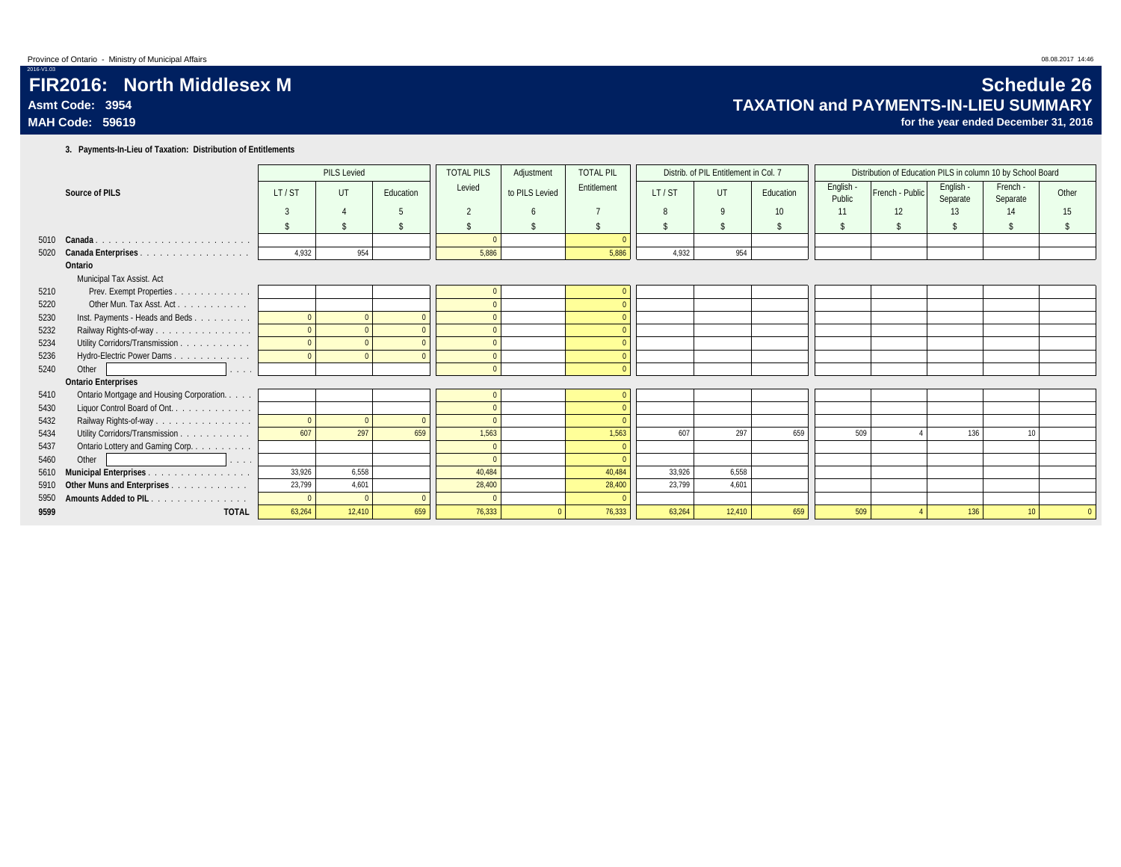## **FIR2016: North Middlesex M Schedule 26** Asmt Code: 3954 **Asmt Code: 3954**<br>MAH Code: 59619 **for the year ended December 31, 2016**

for the year ended December 31, 2016

**3. Payments-In-Lieu of Taxation: Distribution of Entitlements**

|      |                                                       |        | <b>PILS Levied</b> |           | <b>TOTAL PILS</b> | Adjustment     | <b>TOTAL PIL</b> |              | Distrib. of PIL Entitlement in Col. 7 |           |                     | Distribution of Education PILS in column 10 by School Board |                       |                      |       |
|------|-------------------------------------------------------|--------|--------------------|-----------|-------------------|----------------|------------------|--------------|---------------------------------------|-----------|---------------------|-------------------------------------------------------------|-----------------------|----------------------|-------|
|      | Source of PILS                                        | LT/ST  | UT                 | Education | Levied            | to PILS Levied | Entitlement      | LT/ST        | <b>UT</b>                             | Education | English -<br>Public | French - Public                                             | English -<br>Separate | French -<br>Separate | Other |
|      |                                                       |        |                    |           | $\overline{2}$    | $\overline{6}$ |                  | $\mathsf{R}$ | $\mathsf{Q}$                          | 10        | 11                  | 12                                                          | 13                    | 14                   | 15    |
|      |                                                       |        |                    |           |                   |                | <sup>\$</sup>    |              | $\mathbf{\hat{s}}$                    | \$        |                     |                                                             |                       |                      |       |
|      | 5010 Canada                                           |        |                    |           |                   |                |                  |              |                                       |           |                     |                                                             |                       |                      |       |
| 5020 |                                                       | 4,932  | 954                |           | 5,886             |                | 5,886            | 4,932        | 954                                   |           |                     |                                                             |                       |                      |       |
|      | Ontario                                               |        |                    |           |                   |                |                  |              |                                       |           |                     |                                                             |                       |                      |       |
|      | Municipal Tax Assist. Act                             |        |                    |           |                   |                |                  |              |                                       |           |                     |                                                             |                       |                      |       |
| 5210 | Prev. Exempt Properties.<br>and a series and a series |        |                    |           |                   |                |                  |              |                                       |           |                     |                                                             |                       |                      |       |
| 5220 | Other Mun. Tax Asst. Act.                             |        |                    |           |                   |                |                  |              |                                       |           |                     |                                                             |                       |                      |       |
| 5230 | Inst. Payments - Heads and Beds                       |        |                    |           |                   |                |                  |              |                                       |           |                     |                                                             |                       |                      |       |
| 5232 | Railway Rights-of-way                                 |        |                    |           | $\Omega$          |                |                  |              |                                       |           |                     |                                                             |                       |                      |       |
| 5234 | Utility Corridors/Transmission                        |        |                    |           |                   |                |                  |              |                                       |           |                     |                                                             |                       |                      |       |
| 5236 | Hydro-Electric Power Dams.                            |        |                    |           |                   |                |                  |              |                                       |           |                     |                                                             |                       |                      |       |
| 5240 | Other<br>.                                            |        |                    |           | $\Omega$          |                |                  |              |                                       |           |                     |                                                             |                       |                      |       |
|      | <b>Ontario Enterprises</b>                            |        |                    |           |                   |                |                  |              |                                       |           |                     |                                                             |                       |                      |       |
| 5410 | Ontario Mortgage and Housing Corporation.             |        |                    |           |                   |                |                  |              |                                       |           |                     |                                                             |                       |                      |       |
| 5430 | Liquor Control Board of Ont.                          |        |                    |           | $\Omega$          |                |                  |              |                                       |           |                     |                                                             |                       |                      |       |
| 5432 | Railway Rights-of-way                                 |        |                    | $\Omega$  | $\Omega$          |                |                  |              |                                       |           |                     |                                                             |                       |                      |       |
| 5434 | Utility Corridors/Transmission                        | 607    | 297                | 659       | 1,563             |                | 1,563            | 607          | 297                                   | 659       | 509                 |                                                             | 136                   | 10                   |       |
| 5437 | Ontario Lottery and Gaming Corp.                      |        |                    |           |                   |                |                  |              |                                       |           |                     |                                                             |                       |                      |       |
| 5460 | Other<br>.                                            |        |                    |           | $\Omega$          |                |                  |              |                                       |           |                     |                                                             |                       |                      |       |
| 5610 | Municipal Enterprises                                 | 33,926 | 6.558              |           | 40.484            |                | 40.484           | 33.926       | 6,558                                 |           |                     |                                                             |                       |                      |       |
| 5910 | Other Muns and Enterprises                            | 23,799 | 4,601              |           | 28,400            |                | 28,400           | 23,799       | 4,601                                 |           |                     |                                                             |                       |                      |       |
| 5950 | Amounts Added to PIL                                  |        | $\Omega$           |           | $\Omega$          |                | $\Omega$         |              |                                       |           |                     |                                                             |                       |                      |       |
| 9599 | <b>TOTAL</b>                                          | 63,264 | 12,410             | 659       | 76.333            |                | 76.333           | 63.264       | 12.410                                | 659       | 509                 |                                                             | 136                   | 10 <sup>10</sup>     |       |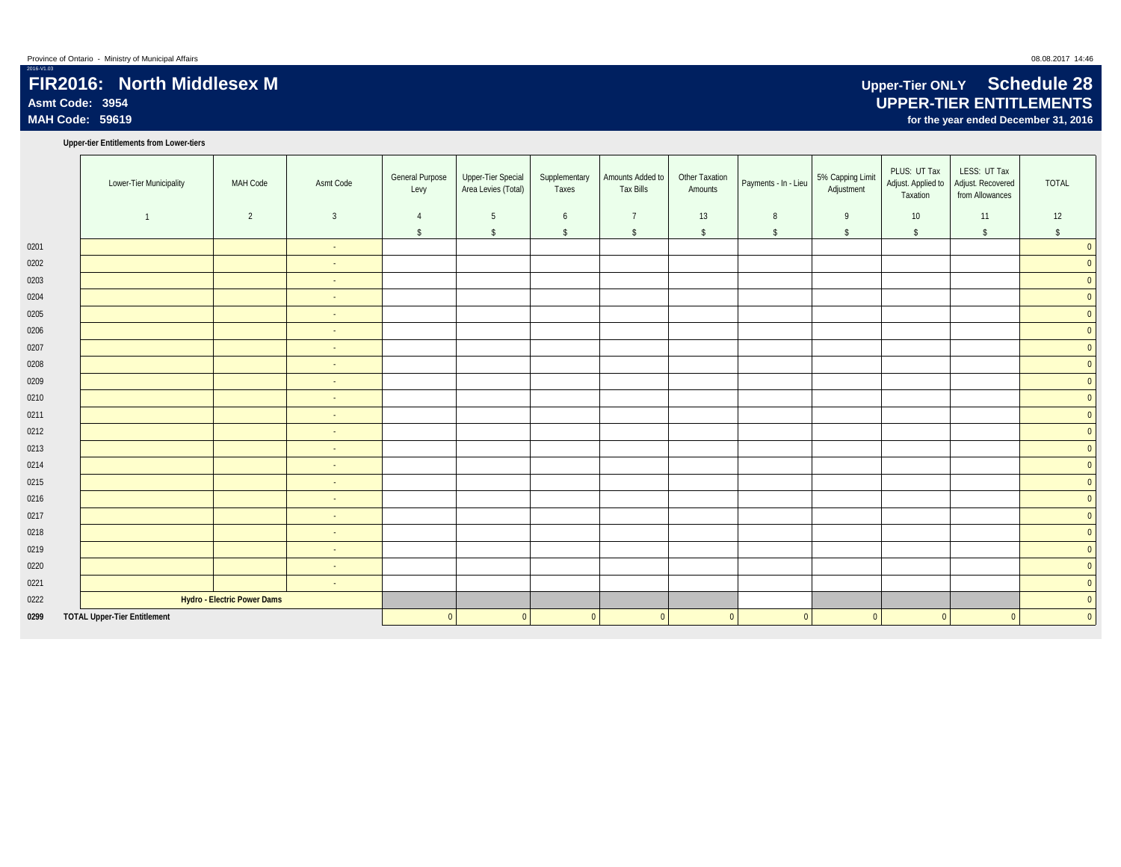## **FIR2016: North Middlesex M Upper-Tier ONLY Schedule 28**<br>Asmt Code: 3954 **UPPER-TIER ENTITLEMENTS Asmt Code: 3954 UPPER-TIER ENTITLEMENTS**

**Upper-tier Entitlements from Lower-tiers**

|      | Lower-Tier Municipality             | MAH Code                    | Asmt Code      | <b>General Purpose</b><br>Levy | Upper-Tier Special<br>Area Levies (Total) | Supplementary<br>Taxes | Amounts Added to<br><b>Tax Bills</b> | Other Taxation<br>Amounts | Payments - In - Lieu | 5% Capping Limit<br>Adjustment | PLUS: UT Tax<br>Adjust. Applied to<br>Taxation | LESS: UT Tax<br>Adjust. Recovered<br>from Allowances | <b>TOTAL</b>   |
|------|-------------------------------------|-----------------------------|----------------|--------------------------------|-------------------------------------------|------------------------|--------------------------------------|---------------------------|----------------------|--------------------------------|------------------------------------------------|------------------------------------------------------|----------------|
|      | $\overline{1}$                      | 2                           | $\overline{3}$ | $\overline{4}$                 | 5                                         | 6                      | $\overline{7}$                       | 13                        | 8                    | 9                              | 10 <sup>°</sup>                                | 11                                                   | 12             |
|      |                                     |                             |                | $\mathsf{\$}$                  | $\sqrt{2}$                                | \$                     | $\sqrt{2}$                           | $\sqrt{2}$                | $\sqrt{2}$           | $\sqrt{2}$                     | $\sqrt[6]{}$                                   | $\sqrt{2}$                                           | \$             |
| 0201 |                                     |                             | $\sim$         |                                |                                           |                        |                                      |                           |                      |                                |                                                |                                                      | $\overline{0}$ |
| 0202 |                                     |                             | $\sim$         |                                |                                           |                        |                                      |                           |                      |                                |                                                |                                                      | $\overline{0}$ |
| 0203 |                                     |                             | $\sim$         |                                |                                           |                        |                                      |                           |                      |                                |                                                |                                                      | $\overline{0}$ |
| 0204 |                                     |                             | $\sim$         |                                |                                           |                        |                                      |                           |                      |                                |                                                |                                                      | $\overline{0}$ |
| 0205 |                                     |                             | $\sim$         |                                |                                           |                        |                                      |                           |                      |                                |                                                |                                                      | $\overline{0}$ |
| 0206 |                                     |                             | $\sim$         |                                |                                           |                        |                                      |                           |                      |                                |                                                |                                                      | $\overline{0}$ |
| 0207 |                                     |                             | $\sim$         |                                |                                           |                        |                                      |                           |                      |                                |                                                |                                                      | $\overline{0}$ |
| 0208 |                                     |                             | $\sim$         |                                |                                           |                        |                                      |                           |                      |                                |                                                |                                                      | $\overline{0}$ |
| 0209 |                                     |                             | $\sim$         |                                |                                           |                        |                                      |                           |                      |                                |                                                |                                                      | $\pmb{0}$      |
| 0210 |                                     |                             | $\sim$         |                                |                                           |                        |                                      |                           |                      |                                |                                                |                                                      | $\pmb{0}$      |
| 0211 |                                     |                             | ÷.             |                                |                                           |                        |                                      |                           |                      |                                |                                                |                                                      | $\overline{0}$ |
| 0212 |                                     |                             | $\sim$         |                                |                                           |                        |                                      |                           |                      |                                |                                                |                                                      | $\mathbf 0$    |
| 0213 |                                     |                             | $\sim$         |                                |                                           |                        |                                      |                           |                      |                                |                                                |                                                      | $\mathbf 0$    |
| 0214 |                                     |                             | $\sim$         |                                |                                           |                        |                                      |                           |                      |                                |                                                |                                                      | $\overline{0}$ |
| 0215 |                                     |                             | $\sim$         |                                |                                           |                        |                                      |                           |                      |                                |                                                |                                                      | $\pmb{0}$      |
| 0216 |                                     |                             | $\sim$         |                                |                                           |                        |                                      |                           |                      |                                |                                                |                                                      | $\mathbf{0}$   |
| 0217 |                                     |                             | $\sim$         |                                |                                           |                        |                                      |                           |                      |                                |                                                |                                                      | $\pmb{0}$      |
| 0218 |                                     |                             | $\sim$         |                                |                                           |                        |                                      |                           |                      |                                |                                                |                                                      | $\mathbf 0$    |
| 0219 |                                     |                             | $\sim$         |                                |                                           |                        |                                      |                           |                      |                                |                                                |                                                      | $\mathbf 0$    |
| 0220 |                                     |                             | $\sim$         |                                |                                           |                        |                                      |                           |                      |                                |                                                |                                                      | $\mathbf 0$    |
| 0221 |                                     |                             | $\sim$         |                                |                                           |                        |                                      |                           |                      |                                |                                                |                                                      | $\mathbf 0$    |
| 0222 |                                     | Hydro - Electric Power Dams |                |                                |                                           |                        |                                      |                           |                      |                                |                                                |                                                      | $\pmb{0}$      |
| 0299 | <b>TOTAL Upper-Tier Entitlement</b> |                             |                | $\Omega$                       | $\Omega$                                  | $\mathbf{0}$           | $\mathbf{0}$                         | $\mathbf{0}$              | $\overline{0}$       | $\mathbf{0}$                   | $\overline{0}$                                 | $\mathbf{0}$                                         | $\mathbf 0$    |

for the year ended December 31, 2016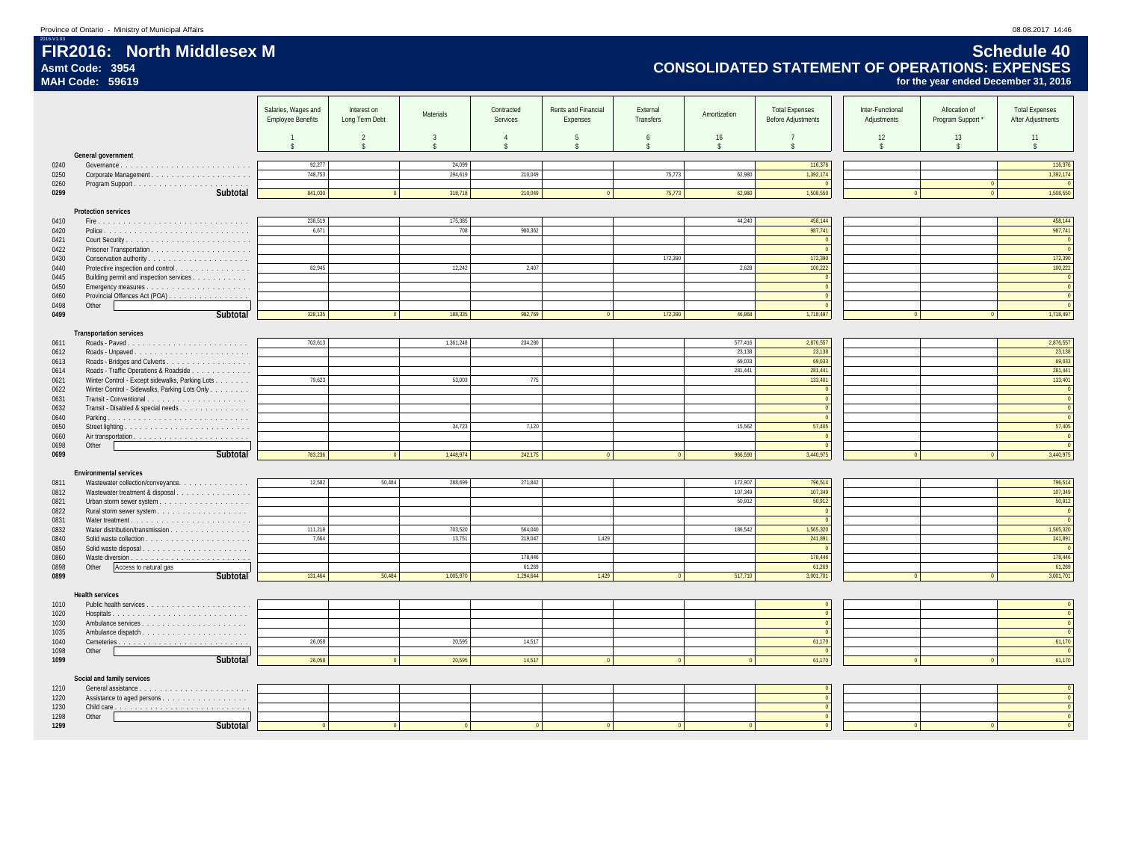## 2016-V1.03 **FIR2016: North Middlesex M Schedule 40 Asmt Code: 3954 CONSOLIDATED STATEMENT OF OPERATIONS: EXPENSES MAH Code: 59619 for the year ended December 31, 2016**

|              |                                                                       | Salaries, Wages and<br><b>Employee Benefits</b> | Interest on<br>Long Term Debt | Materials                          | Contracted<br>Services             | Rents and Financial<br>Expenses | External<br>Transfers            | Amortization             | <b>Total Expenses</b><br><b>Before Adjustments</b> | Inter-Functional<br>Adjustments | Allocation of<br>Program Support * | <b>Total Expenses</b><br>After Adjustments |
|--------------|-----------------------------------------------------------------------|-------------------------------------------------|-------------------------------|------------------------------------|------------------------------------|---------------------------------|----------------------------------|--------------------------|----------------------------------------------------|---------------------------------|------------------------------------|--------------------------------------------|
|              |                                                                       |                                                 |                               |                                    |                                    |                                 |                                  |                          |                                                    |                                 |                                    |                                            |
|              |                                                                       | $\overline{1}$<br>$\mathsf{s}$                  | 2<br>$\mathsf{s}$             | $\mathbf{3}$<br>$\hat{\mathbf{S}}$ | $\mathbf{A}$<br>$\hat{\mathbf{S}}$ | -5<br>$\hat{\mathbf{S}}$        | $\sqrt{2}$<br>$\hat{\mathbf{S}}$ | 16<br>$\hat{\mathbf{S}}$ | $\hat{\mathbf{x}}$                                 | 12<br>$\mathsf{s}$              | 13<br>$\mathsf{s}$                 | 11<br>$\mathsf{\$}$                        |
|              | General government                                                    |                                                 |                               |                                    |                                    |                                 |                                  |                          |                                                    |                                 |                                    |                                            |
| 0240         |                                                                       | 92,277                                          |                               | 24,099                             |                                    |                                 |                                  |                          | 116,376                                            |                                 |                                    | 116,376                                    |
| 0250         |                                                                       | 748,753                                         |                               | 294,619                            | 210,049                            |                                 | 75,773                           | 62,980                   | 1,392,174                                          |                                 |                                    | 1,392,174                                  |
| 0260<br>0299 | Subtotal                                                              | 841.030                                         |                               | 318,718                            | 210.049                            |                                 | 75,773                           | 62,980                   | 1,508,550                                          |                                 |                                    | $\Omega$<br>1,508,550                      |
|              |                                                                       |                                                 |                               |                                    |                                    |                                 |                                  |                          |                                                    |                                 |                                    |                                            |
|              | <b>Protection services</b>                                            |                                                 |                               |                                    |                                    |                                 |                                  |                          |                                                    |                                 |                                    |                                            |
| 0410         |                                                                       | 238,519                                         |                               | 175,385                            |                                    |                                 |                                  | 44,240                   | 458,144                                            |                                 |                                    | 458,144                                    |
| 0420         |                                                                       | 6.671                                           |                               | 708                                | 980,362                            |                                 |                                  |                          | 987.741<br>$\sqrt{2}$                              |                                 |                                    | 987,741                                    |
| 0421<br>0422 |                                                                       |                                                 |                               |                                    |                                    |                                 |                                  |                          | $\overline{0}$                                     |                                 |                                    | $\overline{0}$<br>$\mathbf{0}$             |
| 0430         | Conservation authority                                                |                                                 |                               |                                    |                                    |                                 | 172,390                          |                          | 172,390                                            |                                 |                                    | 172,390                                    |
| 0440         | Protective inspection and control                                     | 82,945                                          |                               | 12,242                             | 2,407                              |                                 |                                  | 2,628                    | 100,222                                            |                                 |                                    | 100,222                                    |
| 0445         | Building permit and inspection services                               |                                                 |                               |                                    |                                    |                                 |                                  |                          | - 0                                                |                                 |                                    | $\overline{0}$                             |
| 0450         |                                                                       |                                                 |                               |                                    |                                    |                                 |                                  |                          | $\Omega$                                           |                                 |                                    | $\overline{0}$                             |
| 0460<br>0498 | Provincial Offences Act (POA)<br>Other                                |                                                 |                               |                                    |                                    |                                 |                                  |                          | $\Omega$                                           |                                 |                                    | $\mathbb O$<br>$\mathbf{0}$                |
| 0499         | Subtotal                                                              | 328,135                                         |                               | 188,335                            | 982,769                            | $\Omega$                        | 172,390                          | 46.868                   | 1,718,497                                          |                                 |                                    | 1,718,497                                  |
|              |                                                                       |                                                 |                               |                                    |                                    |                                 |                                  |                          |                                                    |                                 |                                    |                                            |
|              | <b>Transportation services</b>                                        |                                                 |                               |                                    |                                    |                                 |                                  |                          |                                                    |                                 |                                    |                                            |
| 0611         |                                                                       | 703,613                                         |                               | 1,361,248                          | 234,280                            |                                 |                                  | 577,416                  | 2,876,557                                          |                                 |                                    | 2,876,557                                  |
| 0612         |                                                                       |                                                 |                               |                                    |                                    |                                 |                                  | 23,138<br>69.033         | 23,138<br>69,033                                   |                                 |                                    | 23,138<br>69,033                           |
| 0613<br>0614 | Roads - Bridges and Culverts<br>Roads - Traffic Operations & Roadside |                                                 |                               |                                    |                                    |                                 |                                  | 281,441                  | 281,441                                            |                                 |                                    | 281,441                                    |
| 0621         | Winter Control - Except sidewalks, Parking Lots                       | 79,623                                          |                               | 53,003                             | 775                                |                                 |                                  |                          | 133,401                                            |                                 |                                    | 133,401                                    |
| 0622         | Winter Control - Sidewalks, Parking Lots Only                         |                                                 |                               |                                    |                                    |                                 |                                  |                          | $\sqrt{2}$                                         |                                 |                                    | $\mathbf{0}$                               |
| 0631         |                                                                       |                                                 |                               |                                    |                                    |                                 |                                  |                          |                                                    |                                 |                                    | $\mathbb O$                                |
| 0632         | Transit - Disabled & special needs                                    |                                                 |                               |                                    |                                    |                                 |                                  |                          | $\sqrt{2}$                                         |                                 |                                    | $\mathbb O$                                |
| 0640<br>0650 |                                                                       |                                                 |                               | 34,723                             | 7,120                              |                                 |                                  | 15.562                   | $\sqrt{2}$<br>57,405                               |                                 |                                    | $\Omega$<br>57,405                         |
| 0660         |                                                                       |                                                 |                               |                                    |                                    |                                 |                                  |                          | $\sqrt{2}$                                         |                                 |                                    | $\overline{0}$                             |
| 0698         | Other                                                                 |                                                 |                               |                                    |                                    |                                 |                                  |                          |                                                    |                                 |                                    | $\overline{0}$                             |
| 0699         | Subtotal                                                              | 783,236                                         |                               | 1,448,974                          | 242,175                            | $\Omega$                        | $\Omega$                         | 966,590                  | 3,440,975                                          | $\overline{0}$                  |                                    | 3,440,975                                  |
|              |                                                                       |                                                 |                               |                                    |                                    |                                 |                                  |                          |                                                    |                                 |                                    |                                            |
| 0811         | <b>Environmental services</b>                                         | 12,582                                          | 50,484                        | 288.699                            | 271,842                            |                                 |                                  | 172,907                  | 796,514                                            |                                 |                                    | 796,514                                    |
| 0812         | Wastewater collection/conveyance.<br>Wastewater treatment & disposal  |                                                 |                               |                                    |                                    |                                 |                                  | 107.349                  | 107.349                                            |                                 |                                    | 107.349                                    |
| 0821         |                                                                       |                                                 |                               |                                    |                                    |                                 |                                  | 50,912                   | 50,912                                             |                                 |                                    | 50,912                                     |
| 0822         |                                                                       |                                                 |                               |                                    |                                    |                                 |                                  |                          | $\sqrt{0}$                                         |                                 |                                    | $\overline{0}$                             |
| 0831         |                                                                       |                                                 |                               |                                    |                                    |                                 |                                  |                          | $\sqrt{2}$                                         |                                 |                                    | $\Omega$                                   |
| 0832         | Water distribution/transmission                                       | 111,218                                         |                               | 703,520                            | 564,040                            |                                 |                                  | 186,542                  | 1,565,320                                          |                                 |                                    | 1,565,320                                  |
| 0840<br>0850 |                                                                       | 7.664                                           |                               | 13,751                             | 219.047                            | 1,429                           |                                  |                          | 241,891<br>$\sqrt{ }$                              |                                 |                                    | 241,891                                    |
| 0860         |                                                                       |                                                 |                               |                                    | 178,446                            |                                 |                                  |                          | 178,446                                            |                                 |                                    | 178,446                                    |
| 0898         | Access to natural gas<br>Other                                        |                                                 |                               |                                    | 61,269                             |                                 |                                  |                          | 61,269                                             |                                 |                                    | 61,269                                     |
| 0899         | Subtotal                                                              | 131,464                                         | 50,484                        | 1,005,970                          | 1,294,644                          | 1,429                           | $\Omega$                         | 517,710                  | 3,001,701                                          | $\Omega$                        |                                    | 3,001,701                                  |
|              |                                                                       |                                                 |                               |                                    |                                    |                                 |                                  |                          |                                                    |                                 |                                    |                                            |
| 1010         | <b>Health services</b>                                                |                                                 |                               |                                    |                                    |                                 |                                  |                          |                                                    |                                 |                                    | $\mathbb O$                                |
| 1020         |                                                                       |                                                 |                               |                                    |                                    |                                 |                                  |                          |                                                    |                                 |                                    | $\mathbf{0}$                               |
| 1030         |                                                                       |                                                 |                               |                                    |                                    |                                 |                                  |                          |                                                    |                                 |                                    | $\Omega$                                   |
| 1035         |                                                                       |                                                 |                               |                                    |                                    |                                 |                                  |                          |                                                    |                                 |                                    | $\mathbf 0$                                |
| 1040         |                                                                       | 26,058                                          |                               | 20,595                             | 14,517                             |                                 |                                  |                          | 61,170                                             |                                 |                                    | 61,170                                     |
| 1098         | Other                                                                 |                                                 |                               |                                    |                                    |                                 |                                  |                          | $\sqrt{ }$                                         |                                 |                                    | $\sqrt{0}$                                 |
| 1099         | Subtotal                                                              | 26,058                                          |                               | 20,595                             | 14.517                             |                                 |                                  |                          | 61,170                                             |                                 |                                    | 61,170                                     |
|              | Social and family services                                            |                                                 |                               |                                    |                                    |                                 |                                  |                          |                                                    |                                 |                                    |                                            |
| 1210         |                                                                       |                                                 |                               |                                    |                                    |                                 |                                  |                          |                                                    |                                 |                                    | $\mathbf 0$                                |
| 1220         |                                                                       |                                                 |                               |                                    |                                    |                                 |                                  |                          |                                                    |                                 |                                    | $\mathbf 0$                                |
| 1230         |                                                                       |                                                 |                               |                                    |                                    |                                 |                                  |                          |                                                    |                                 |                                    | $\mathbb O$                                |
| 1298<br>1299 | Other<br>Subtotal                                                     |                                                 |                               |                                    |                                    |                                 |                                  |                          |                                                    |                                 |                                    |                                            |
|              |                                                                       |                                                 |                               |                                    |                                    |                                 |                                  |                          |                                                    |                                 |                                    |                                            |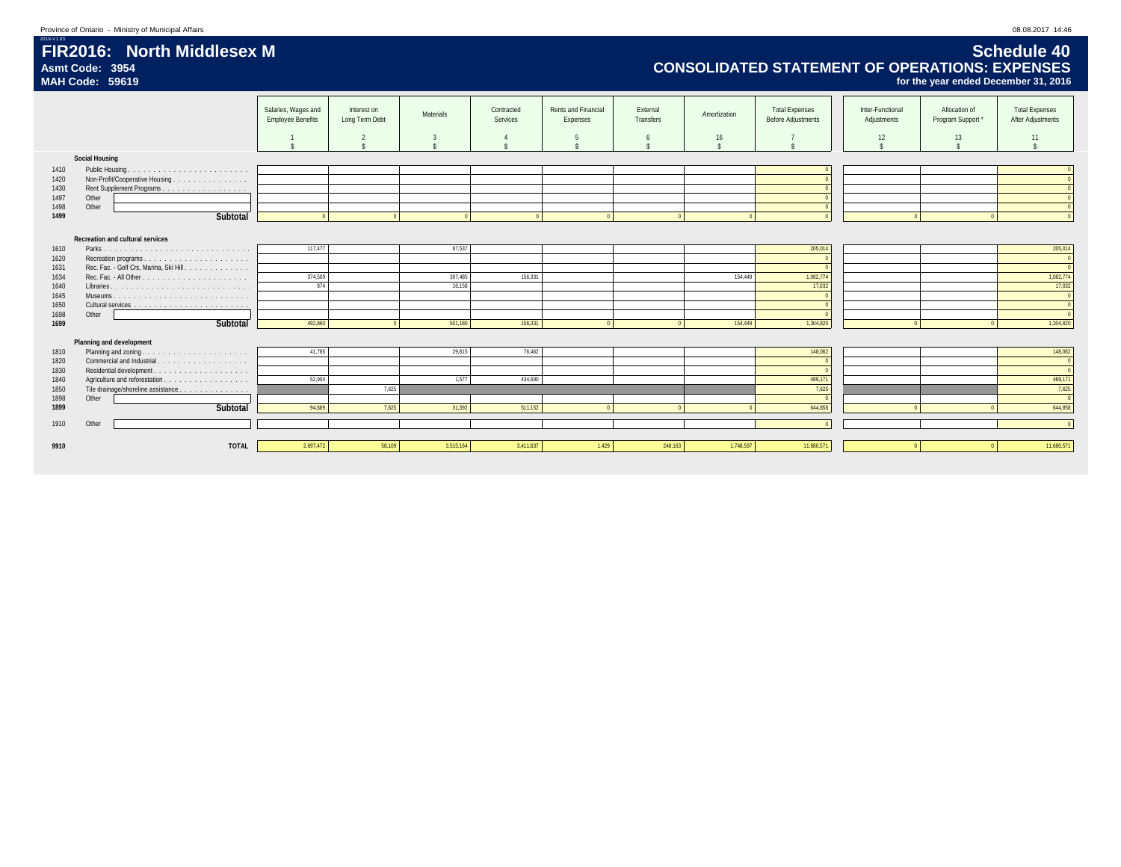## 2016-V1.03 **FIR2016: North Middlesex M Schedule 40 Asmt Code: 3954 CONSOLIDATED STATEMENT OF OPERATIONS: EXPENSES MAH Code: 59619 for the year ended December 31, 2016**

|      |                                         | Salaries, Wages and<br><b>Employee Benefits</b> | Interest on<br>Long Term Debt | Materials | Contracted<br>Services | Rents and Financial<br>Expenses | External<br>Transfers | Amortization | <b>Total Expenses</b><br><b>Before Adjustments</b> | Inter-Functional<br>Adjustments | Allocation of<br>Program Support | <b>Total Expenses</b><br>After Adjustments |
|------|-----------------------------------------|-------------------------------------------------|-------------------------------|-----------|------------------------|---------------------------------|-----------------------|--------------|----------------------------------------------------|---------------------------------|----------------------------------|--------------------------------------------|
|      |                                         |                                                 |                               |           |                        | -5                              |                       | 16           |                                                    | 12                              | 13                               | 11                                         |
|      | <b>Social Housing</b>                   |                                                 |                               |           |                        |                                 |                       |              |                                                    |                                 |                                  |                                            |
| 1410 |                                         |                                                 |                               |           |                        |                                 |                       |              |                                                    |                                 |                                  |                                            |
| 1420 | Non-Profit/Cooperative Housing          |                                                 |                               |           |                        |                                 |                       |              |                                                    |                                 |                                  |                                            |
| 1430 |                                         |                                                 |                               |           |                        |                                 |                       |              |                                                    |                                 |                                  |                                            |
| 1497 | Other                                   |                                                 |                               |           |                        |                                 |                       |              |                                                    |                                 |                                  |                                            |
| 1498 | Other                                   |                                                 |                               |           |                        |                                 |                       |              |                                                    |                                 |                                  |                                            |
| 1499 | Subtotal                                |                                                 |                               |           |                        |                                 |                       |              |                                                    |                                 |                                  |                                            |
|      |                                         |                                                 |                               |           |                        |                                 |                       |              |                                                    |                                 |                                  |                                            |
|      | Recreation and cultural services        |                                                 |                               |           |                        |                                 |                       |              |                                                    |                                 |                                  |                                            |
| 1610 |                                         | 117.477                                         |                               | 87,537    |                        |                                 |                       |              | 205,014                                            |                                 |                                  | 205,014                                    |
| 1620 |                                         |                                                 |                               |           |                        |                                 |                       |              |                                                    |                                 |                                  |                                            |
| 1631 | Rec. Fac. - Golf Crs, Marina, Ski Hill. |                                                 |                               |           |                        |                                 |                       |              |                                                    |                                 |                                  |                                            |
| 1634 |                                         | 374,509                                         |                               | 397.485   | 156.331                |                                 |                       | 154,449      | 1,082,774                                          |                                 |                                  | 1,082,774                                  |
| 1640 |                                         | 874                                             |                               | 16,158    |                        |                                 |                       |              | 17,032                                             |                                 |                                  | 17,032                                     |
| 1645 |                                         |                                                 |                               |           |                        |                                 |                       |              |                                                    |                                 |                                  |                                            |
| 1650 |                                         |                                                 |                               |           |                        |                                 |                       |              |                                                    |                                 |                                  |                                            |
| 1698 | Other                                   |                                                 |                               |           |                        |                                 |                       |              |                                                    |                                 |                                  |                                            |
| 1699 | Subtotal                                | 492,860                                         |                               | 501,180   | 156,331                |                                 |                       | 154,449      | 1,304,820                                          |                                 |                                  | 1,304,820                                  |
|      |                                         |                                                 |                               |           |                        |                                 |                       |              |                                                    |                                 |                                  |                                            |
| 1810 | Planning and development                | 41,785                                          |                               | 29,815    | 76,462                 |                                 |                       |              | 148,062                                            |                                 |                                  | 148,062                                    |
| 1820 |                                         |                                                 |                               |           |                        |                                 |                       |              | $\Omega$                                           |                                 |                                  | $\Omega$                                   |
| 1830 |                                         |                                                 |                               |           |                        |                                 |                       |              |                                                    |                                 |                                  |                                            |
| 1840 |                                         | 52,904                                          |                               | 1.577     | 434,690                |                                 |                       |              | 489,171                                            |                                 |                                  | 489,171                                    |
| 1850 | Tile drainage/shoreline assistance      |                                                 | 7.625                         |           |                        |                                 |                       |              | 7,625                                              |                                 |                                  | 7,625                                      |
| 1898 | Other                                   |                                                 |                               |           |                        |                                 |                       |              |                                                    |                                 |                                  |                                            |
| 1899 | Subtotal                                | 94.689                                          | 7.625                         | 31,392    | 511,152                |                                 |                       |              | 644.858                                            |                                 |                                  | 644,858                                    |
|      |                                         |                                                 |                               |           |                        |                                 |                       |              |                                                    |                                 |                                  |                                            |
| 1910 | Other                                   |                                                 |                               |           |                        |                                 |                       |              |                                                    |                                 |                                  | $\sqrt{2}$                                 |
|      |                                         |                                                 |                               |           |                        |                                 |                       |              |                                                    |                                 |                                  |                                            |
| 9910 | <b>TOTAL</b>                            | 2,697,472                                       | 58.109                        | 3,515,164 | 3,411,637              | 1,429                           | 248,163               | 1,748,597    | 11,680,571                                         |                                 |                                  | 11,680,571                                 |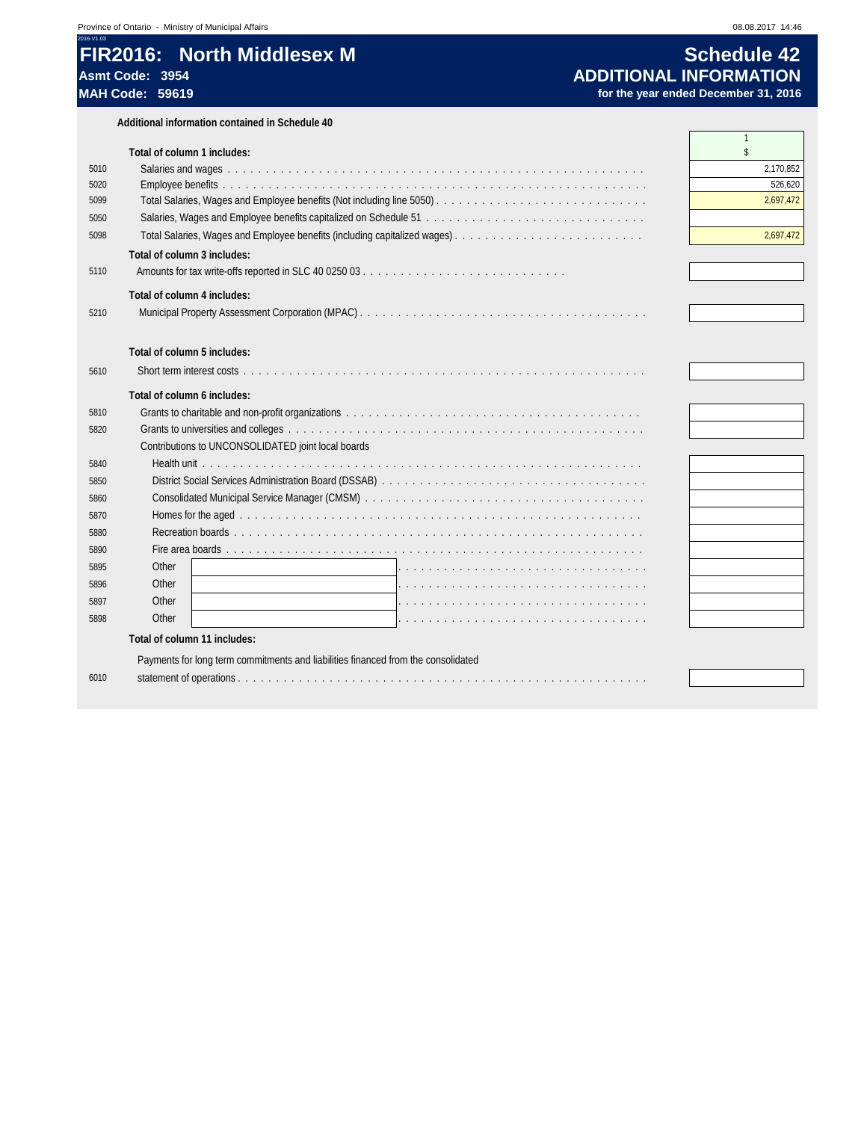## **FIR2016: North Middlesex M Schedule 42**<br>Asmt Code: 3954 **About Discussed About INFORMATION Asmt Code: 3954 ADDITIONAL INFORMATION**

**Additional information contained in Schedule 40**

|      | Total of column 1 includes:                                                       | $\mathbf{1}$<br>\$ |
|------|-----------------------------------------------------------------------------------|--------------------|
| 5010 |                                                                                   | 2,170,852          |
| 5020 |                                                                                   | 526.620            |
| 5099 |                                                                                   | 2,697,472          |
| 5050 |                                                                                   |                    |
| 5098 |                                                                                   | 2,697,472          |
|      | Total of column 3 includes:                                                       |                    |
| 5110 |                                                                                   |                    |
|      |                                                                                   |                    |
|      | Total of column 4 includes:                                                       |                    |
| 5210 |                                                                                   |                    |
|      |                                                                                   |                    |
|      | Total of column 5 includes:                                                       |                    |
| 5610 |                                                                                   |                    |
|      | Total of column 6 includes:                                                       |                    |
| 5810 |                                                                                   |                    |
| 5820 |                                                                                   |                    |
|      | Contributions to UNCONSOLIDATED joint local boards                                |                    |
| 5840 |                                                                                   |                    |
| 5850 |                                                                                   |                    |
| 5860 |                                                                                   |                    |
| 5870 |                                                                                   |                    |
| 5880 |                                                                                   |                    |
| 5890 |                                                                                   |                    |
| 5895 | Other                                                                             |                    |
| 5896 | Other                                                                             |                    |
| 5897 | Other                                                                             |                    |
| 5898 | Other                                                                             |                    |
|      | Total of column 11 includes:                                                      |                    |
|      | Payments for long term commitments and liabilities financed from the consolidated |                    |
| 6010 |                                                                                   |                    |
|      |                                                                                   |                    |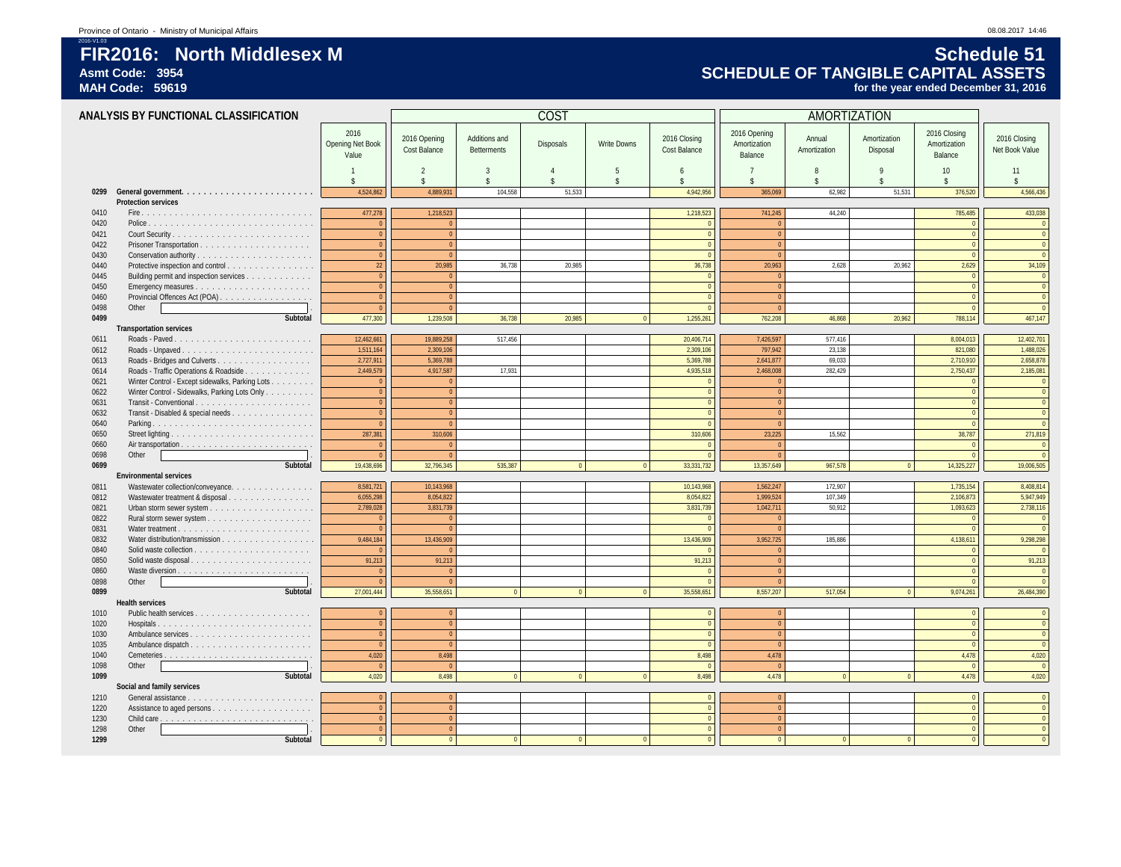## 2016-V1.03 **FIR2016: North Middlesex M Schedule 51** Asmt Code: 3954<br>
MAH Code: 59619<br>
MAH Code: 59619 *MAH Code: 59619* **SCHEDULE OF TANGIBLE CAPITAL ASSETS**

for the year ended December 31, 2016

|              | ANALYSIS BY FUNCTIONAL CLASSIFICATION                                                            |                                          |                              |                                     | COST      |                          |                               |                                         | AMORTIZATION           |                          |                                           |                                  |
|--------------|--------------------------------------------------------------------------------------------------|------------------------------------------|------------------------------|-------------------------------------|-----------|--------------------------|-------------------------------|-----------------------------------------|------------------------|--------------------------|-------------------------------------------|----------------------------------|
|              |                                                                                                  | 2016<br><b>Opening Net Book</b><br>Value | 2016 Opening<br>Cost Balance | Additions and<br><b>Betterments</b> | Disposals | <b>Write Downs</b>       | 2016 Closing<br>Cost Balance  | 2016 Opening<br>Amortization<br>Balance | Annual<br>Amortization | Amortization<br>Disposal | 2016 Closing<br>Amortization<br>Balance   | 2016 Closing<br>Net Book Value   |
|              |                                                                                                  | $\overline{1}$<br>$\hat{\mathbf{x}}$     | $\mathcal{P}$<br>¢           | 3<br>$\hat{\mathbf{r}}$             |           | .5<br>$\hat{\mathbf{x}}$ | 6<br>¢                        | $\overline{7}$<br>$\ddot{\mathbf{c}}$   | 8<br>$\hat{\zeta}$     | 9<br>$\triangle$         | 10 <sup>°</sup><br>$\hat{\zeta}$          | 11<br>$\hat{\mathbf{x}}$         |
|              |                                                                                                  | 4,524,862                                | 4,889,931                    | 104,558                             | 51,533    |                          | 4,942,956                     | 365,069                                 | 62,982                 | 51,531                   | 376,520                                   | 4,566,436                        |
|              | <b>Protection services</b>                                                                       |                                          |                              |                                     |           |                          |                               |                                         |                        |                          |                                           |                                  |
| 0410         |                                                                                                  | 477,278                                  | 1,218,523                    |                                     |           |                          | 1,218,523                     | 741,245                                 | 44,240                 |                          | 785,485                                   | 433,038                          |
| 0420         |                                                                                                  | $\overline{0}$<br>$\overline{0}$         |                              |                                     |           |                          | $\overline{0}$<br>$\mathbf 0$ | $\mathbf{0}$<br>$\mathbf{0}$            |                        |                          | $\overline{0}$<br>$\Omega$                | $\overline{0}$<br>$\overline{0}$ |
| 0421<br>0422 |                                                                                                  | $\mathbf{0}$                             | $\Omega$                     |                                     |           |                          | $\mathbf{0}$                  | $\overline{0}$                          |                        |                          | $\Omega$                                  | $\overline{0}$                   |
| 0430         |                                                                                                  | $\Omega$                                 |                              |                                     |           |                          | $\Omega$                      | $\Omega$                                |                        |                          | $\Omega$                                  | $\theta$                         |
| 0440         | Protective inspection and control                                                                | 22                                       | 20,985                       | 36,738                              | 20.985    |                          | 36,738                        | 20,963                                  | 2,628                  | 20.962                   | 2,629                                     | 34,109                           |
| 0445         | Building permit and inspection services                                                          | $\overline{0}$                           |                              |                                     |           |                          | $\mathbf{0}$                  | $\mathbf{0}$                            |                        |                          | $\Omega$                                  | $\overline{0}$                   |
| 0450         |                                                                                                  | $\mathbf{0}$                             | $\overline{0}$               |                                     |           |                          | $\overline{0}$                | $\overline{0}$                          |                        |                          | $\overline{0}$                            | $\overline{0}$                   |
| 0460         | Provincial Offences Act (POA)                                                                    | $\Omega$                                 |                              |                                     |           |                          | $\mathbf{0}$                  | $\mathbf{0}$                            |                        |                          | $\Omega$                                  | $\theta$                         |
| 0498         | Other                                                                                            | $\Omega$                                 | $\Omega$                     |                                     |           |                          | $\mathbf{0}$                  | $\overline{0}$                          |                        |                          | $\overline{0}$                            | $\overline{0}$                   |
| 0499         | Subtotal                                                                                         | 477,300                                  | 1,239,508                    | 36,738                              | 20,985    |                          | 1,255,261                     | 762,208                                 | 46.868                 | 20,962                   | 788,114                                   | 467,147                          |
|              | <b>Transportation services</b>                                                                   |                                          |                              |                                     |           |                          |                               |                                         |                        |                          |                                           |                                  |
| 0611         |                                                                                                  | 12,462,661                               | 19.889.258                   | 517.456                             |           |                          | 20,406,714                    | 7,426,597                               | 577,416                |                          | 8,004,013                                 | 12,402,701                       |
| 0612         | Roads - Unpaved                                                                                  | 1,511,164                                | 2.309.106                    |                                     |           |                          | 2,309,106                     | 797,942                                 | 23,138                 |                          | 821,080                                   | 1,488,026                        |
| 0613         |                                                                                                  | 2,727,911                                | 5.369.788<br>4.917.587       |                                     |           |                          | 5,369,788                     | 2,641,877<br>2.468.008                  | 69,033                 |                          | 2,710,910                                 | 2,658,878                        |
| 0614<br>0621 | Roads - Traffic Operations & Roadside                                                            | 2,449,579<br>$\overline{0}$              |                              | 17,931                              |           |                          | 4,935,518<br>$\Omega$         | $\Omega$                                | 282,429                |                          | 2,750,437<br>$\overline{0}$               | 2,185,081<br>$\overline{0}$      |
| 0622         | Winter Control - Except sidewalks, Parking Lots<br>Winter Control - Sidewalks, Parking Lots Only | $\mathbf{0}$                             |                              |                                     |           |                          | $\mathbf{0}$                  | $\mathbf{0}$                            |                        |                          | $\overline{0}$                            | $\overline{0}$                   |
| 0631         |                                                                                                  | $\mathbf{0}$                             |                              |                                     |           |                          | $\mathbf{0}$                  | $\Omega$                                |                        |                          | $\Omega$                                  | $\overline{0}$                   |
| 0632         | Transit - Disabled & special needs                                                               | $\overline{0}$                           |                              |                                     |           |                          | $\mathbf{0}$                  | $\mathbf{0}$                            |                        |                          | $\overline{0}$                            | $\overline{0}$                   |
| 0640         |                                                                                                  | $\Omega$                                 |                              |                                     |           |                          | $\Omega$                      | $\sqrt{2}$                              |                        |                          | $\Omega$                                  |                                  |
| 0650         |                                                                                                  | 287,381                                  | 310,606                      |                                     |           |                          | 310,606                       | 23,225                                  | 15,562                 |                          | 38,787                                    | 271,819                          |
| 0660         |                                                                                                  | $\Omega$                                 |                              |                                     |           |                          | $\Omega$                      | $\mathbf{0}$                            |                        |                          | $\Omega$                                  | $\Omega$                         |
| 0698         | Other                                                                                            | $\Omega$                                 |                              |                                     |           |                          | $\mathbf{0}$                  | $\Omega$                                |                        |                          | $\Omega$                                  | $\overline{0}$                   |
| 0699         | Subtotal                                                                                         | 19,438,696                               | 32,796,345                   | 535,387                             | $\Omega$  | $\overline{0}$           | 33,331,732                    | 13,357,649                              | 967,578                | $\overline{0}$           | 14,325,227                                | 19,006,505                       |
|              | <b>Environmental services</b>                                                                    |                                          |                              |                                     |           |                          |                               |                                         |                        |                          |                                           |                                  |
| 0811         | Wastewater collection/conveyance.                                                                | 8,581,721                                | 10,143,968                   |                                     |           |                          | 10,143,968                    | 1,562,247                               | 172,907                |                          | 1,735,154                                 | 8,408,814                        |
| 0812         | Wastewater treatment & disposal                                                                  | 6,055,298                                | 8,054,822                    |                                     |           |                          | 8,054,822                     | 1,999,524                               | 107,349                |                          | 2,106,873                                 | 5,947,949                        |
| 0821         |                                                                                                  | 2,789,028                                | 3,831,739                    |                                     |           |                          | 3,831,739                     | 1,042,711                               | 50,912                 |                          | 1,093,623                                 | 2,738,116                        |
| 0822         |                                                                                                  | $\overline{0}$                           |                              |                                     |           |                          |                               | $\Omega$                                |                        |                          | $\Omega$                                  | $\overline{0}$                   |
| 0831         |                                                                                                  | $\overline{0}$                           |                              |                                     |           |                          | $\Omega$                      | $\overline{0}$                          |                        |                          | $\overline{0}$                            | $\overline{0}$                   |
| 0832<br>0840 | Water distribution/transmission                                                                  | 9,484,184<br>$\Omega$                    | 13,436,909                   |                                     |           |                          | 13,436,909<br>$\Omega$        | 3,952,725<br>$\overline{0}$             | 185,886                |                          | 4,138,611                                 | 9,298,298<br>$\overline{0}$      |
| 0850         | Solid waste disposal                                                                             | 91,213                                   | 91,213                       |                                     |           |                          | 91,213                        | $\overline{0}$                          |                        |                          | $\overline{\mathbf{0}}$<br>$\overline{0}$ | 91,213                           |
| 0860         |                                                                                                  | $\overline{0}$                           |                              |                                     |           |                          | $\overline{0}$                | $\mathbf{0}$                            |                        |                          | $\Omega$                                  | $\overline{0}$                   |
| 0898         | Other                                                                                            | $\overline{0}$                           |                              |                                     |           |                          | $\Omega$                      | $\mathbf{0}$                            |                        |                          | $\overline{0}$                            | $\overline{0}$                   |
| 0899         | Subtotal                                                                                         | 27,001,444                               | 35,558,651                   | $\Omega$                            | $\Omega$  | $\Omega$                 | 35,558,651                    | 8,557,207                               | 517,054                | $\mathbf{0}$             | 9,074,261                                 | 26,484,390                       |
|              | <b>Health services</b>                                                                           |                                          |                              |                                     |           |                          |                               |                                         |                        |                          |                                           |                                  |
| 1010         |                                                                                                  | $\mathbf{0}$                             | $\Omega$                     |                                     |           |                          | $\mathbf{0}$                  | $\overline{0}$                          |                        |                          | $\overline{0}$                            | $\overline{0}$                   |
| 1020         |                                                                                                  | $\overline{0}$                           | $\sqrt{2}$                   |                                     |           |                          | $\mathbf{0}$                  | $\overline{0}$                          |                        |                          | $\Omega$                                  | $\overline{0}$                   |
| 1030         |                                                                                                  | $\overline{0}$                           | $\Omega$                     |                                     |           |                          | $\mathbf 0$                   | $\mathbf{0}$                            |                        |                          | $\Omega$                                  | $\overline{0}$                   |
| 1035         |                                                                                                  | $\Omega$                                 | $\sqrt{2}$                   |                                     |           |                          | $\sqrt{0}$                    | $\Omega$                                |                        |                          | $\Omega$                                  | $\overline{0}$                   |
| 1040         |                                                                                                  | 4,020                                    | 8,498                        |                                     |           |                          | 8,498                         | 4,478                                   |                        |                          | 4,478                                     | 4,020                            |
| 1098         | Other                                                                                            | $\Omega$                                 |                              |                                     |           |                          | $\sqrt{2}$                    | $\Omega$                                |                        |                          | $\Omega$                                  | $\Omega$                         |
| 1099         | Subtotal                                                                                         | 4,020                                    | 8,498                        |                                     |           |                          | 8,498                         | 4,478                                   | $\Omega$               | $\Omega$                 | 4,478                                     | 4,020                            |
|              | Social and family services                                                                       | $\Omega$                                 |                              |                                     |           |                          | $\Omega$                      | $\mathbf{0}$                            |                        |                          | $\Omega$                                  | $\overline{0}$                   |
| 1210<br>1220 |                                                                                                  | $\Omega$                                 | $\Omega$                     |                                     |           |                          | $\mathbf{0}$                  | $\overline{0}$                          |                        |                          | $\Omega$                                  | $\overline{0}$                   |
| 1230         |                                                                                                  | $\overline{0}$                           |                              |                                     |           |                          | $\mathbf{0}$                  | $\mathbf{0}$                            |                        |                          | $\overline{0}$                            | $\theta$                         |
| 1298         | Other                                                                                            | $\overline{0}$                           | $\Omega$                     |                                     |           |                          | $\overline{0}$                | $\overline{0}$                          |                        |                          | $\overline{0}$                            | $\overline{0}$                   |
| 1299         | Subtotal                                                                                         | $\Omega$                                 |                              |                                     |           |                          | $\mathbf{0}$                  | $\overline{0}$                          | $\mathbf{0}$           | $\overline{0}$           | $\Omega$                                  |                                  |
|              |                                                                                                  |                                          |                              |                                     |           |                          |                               |                                         |                        |                          |                                           |                                  |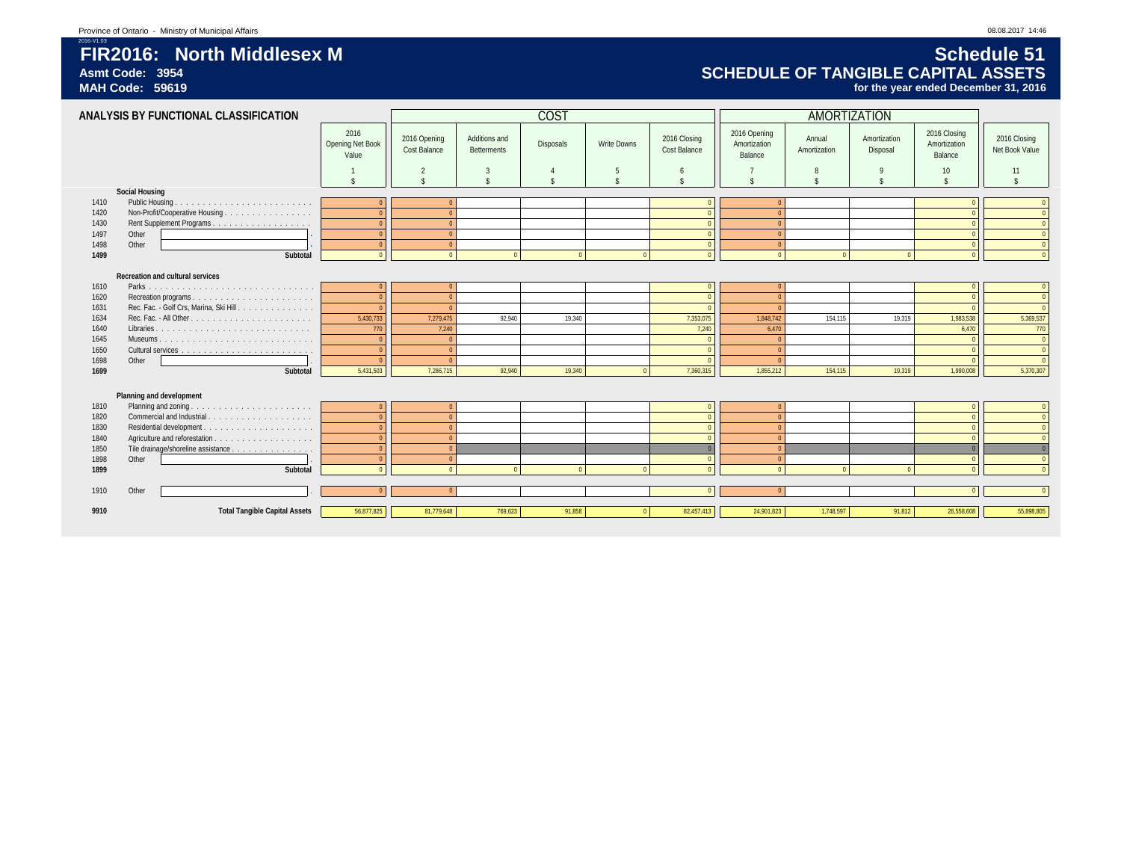## 2016-V1.03 **FIR2016: North Middlesex M Schedule 51** Asmt Code: 3954<br>
MAH Code: 59619<br>
MAH Code: 59619 *MAH Code: 59619* **SCHEDULE OF TANGIBLE CAPITAL ASSETS**

for the year ended December 31, 2016

|              | ANALYSIS BY FUNCTIONAL CLASSIFICATION   |                                   |                              |                                     | <b>COST</b>    |                    |                              |                                         | AMORTIZATION           |                          |                                         |                                |
|--------------|-----------------------------------------|-----------------------------------|------------------------------|-------------------------------------|----------------|--------------------|------------------------------|-----------------------------------------|------------------------|--------------------------|-----------------------------------------|--------------------------------|
|              |                                         | 2016<br>Opening Net Book<br>Value | 2016 Opening<br>Cost Balance | Additions and<br><b>Betterments</b> | Disposals      | Write Downs        | 2016 Closing<br>Cost Balance | 2016 Opening<br>Amortization<br>Balance | Annual<br>Amortization | Amortization<br>Disposal | 2016 Closing<br>Amortization<br>Balance | 2016 Closing<br>Net Book Value |
|              |                                         |                                   | $\overline{2}$               | 3                                   | $\overline{4}$ | 5                  | 6                            |                                         |                        |                          | 10 <sup>°</sup>                         | 11                             |
|              |                                         |                                   |                              | $\hat{\mathbf{r}}$                  | \$             | $\hat{\mathbf{x}}$ | \$                           |                                         |                        |                          |                                         | $\hat{\mathbf{r}}$             |
|              | <b>Social Housing</b>                   |                                   |                              |                                     |                |                    |                              |                                         |                        |                          |                                         |                                |
| 1410         | Public Housing.                         |                                   |                              |                                     |                |                    |                              |                                         |                        |                          |                                         | $\overline{0}$                 |
| 1420         | Non-Profit/Cooperative Housing          |                                   |                              |                                     |                |                    |                              |                                         |                        |                          |                                         | $\overline{0}$                 |
| 1430<br>1497 | Other                                   |                                   | $\sqrt{ }$<br>$\Omega$       |                                     |                |                    | $\Omega$                     |                                         |                        |                          |                                         | $\overline{0}$<br>$\bullet$    |
| 1498         | Other                                   |                                   | $\Omega$                     |                                     |                |                    | $\sqrt{ }$                   | $\sqrt{ }$                              |                        |                          | $\Omega$                                | $\overline{0}$                 |
| 1499         | Subtotal                                |                                   | $\sqrt{2}$                   |                                     | $\sqrt{2}$     | $\Omega$           | $\Omega$                     | $\sqrt{2}$                              |                        | $\sqrt{2}$               |                                         | $\overline{0}$                 |
|              |                                         |                                   |                              |                                     |                |                    |                              |                                         |                        |                          |                                         |                                |
|              | Recreation and cultural services        |                                   |                              |                                     |                |                    |                              |                                         |                        |                          |                                         |                                |
| 1610         |                                         |                                   |                              |                                     |                |                    |                              |                                         |                        |                          |                                         | $\overline{0}$                 |
| 1620         |                                         |                                   | $\sqrt{ }$                   |                                     |                |                    | $\sqrt{ }$                   |                                         |                        |                          |                                         | $\overline{0}$                 |
| 1631         | Rec. Fac. - Golf Crs, Marina, Ski Hill. |                                   | $\sqrt{ }$                   |                                     |                |                    | $\Omega$                     |                                         |                        |                          |                                         | $\overline{0}$                 |
| 1634         |                                         | 5,430,733                         | 7,279,475                    | 92,940                              | 19,340         |                    | 7,353,075                    | 1,848,742                               | 154,115                | 19,319                   | 1,983,538                               | 5,369,537                      |
| 1640         |                                         | 770                               | 7,240                        |                                     |                |                    | 7,240                        | 6,470                                   |                        |                          | 6,470                                   | 770                            |
| 1645         |                                         |                                   | $\Omega$                     |                                     |                |                    | $\sqrt{0}$                   |                                         |                        |                          |                                         | $\overline{0}$                 |
| 1650         |                                         |                                   | $\sqrt{ }$                   |                                     |                |                    | $\Omega$                     |                                         |                        |                          |                                         | $\overline{0}$                 |
| 1698         | Other                                   |                                   | $\sqrt{ }$                   |                                     |                |                    |                              |                                         |                        |                          |                                         | $\overline{0}$                 |
| 1699         | Subtotal                                | 5,431,503                         | 7,286,715                    | 92,940                              | 19,340         | $\sqrt{ }$         | 7,360,315                    | 1,855,212                               | 154,115                | 19,319                   | 1,990,008                               | 5,370,307                      |
|              |                                         |                                   |                              |                                     |                |                    |                              |                                         |                        |                          |                                         |                                |
|              | Planning and development                |                                   |                              |                                     |                |                    |                              |                                         |                        |                          |                                         |                                |
| 1810         | Planning and zoning.                    |                                   |                              |                                     |                |                    |                              |                                         |                        |                          |                                         | $\overline{0}$                 |
| 1820         | Commercial and Industrial.<br>.         |                                   |                              |                                     |                |                    |                              |                                         |                        |                          |                                         | $\overline{0}$                 |
| 1830         | Residential development.<br>.           |                                   | $\sqrt{ }$                   |                                     |                |                    | $\sqrt{ }$                   |                                         |                        |                          |                                         | $\overline{0}$                 |
| 1840         |                                         |                                   | $\Omega$                     |                                     |                |                    | $\Omega$                     | $\sqrt{ }$                              |                        |                          |                                         | $\overline{0}$                 |
| 1850         | Tile drainage/shoreline assistance      |                                   | $\sqrt{ }$                   |                                     |                |                    | $\Omega$                     |                                         |                        |                          |                                         | $\overline{0}$                 |
| 1898         | Other                                   |                                   | $\Omega$                     |                                     |                |                    |                              | $\sqrt{ }$                              |                        |                          |                                         | $\overline{0}$                 |
| 1899         | Subtotal                                |                                   | $\sqrt{2}$                   |                                     |                |                    |                              |                                         |                        |                          |                                         | $\overline{0}$                 |
|              |                                         |                                   |                              |                                     |                |                    |                              |                                         |                        |                          |                                         |                                |
| 1910         | Other                                   |                                   |                              |                                     |                |                    |                              |                                         |                        |                          |                                         | $\Omega$                       |
| 9910         | <b>Total Tangible Capital Assets</b>    | 56,877,825                        | 81,779,648                   | 769.623                             | 91.858         |                    | 82,457,413                   | 24,901,823                              | 1,748,597              | 91,812                   | 26,558,608                              | 55,898,805                     |
|              |                                         |                                   |                              |                                     |                |                    |                              |                                         |                        |                          |                                         |                                |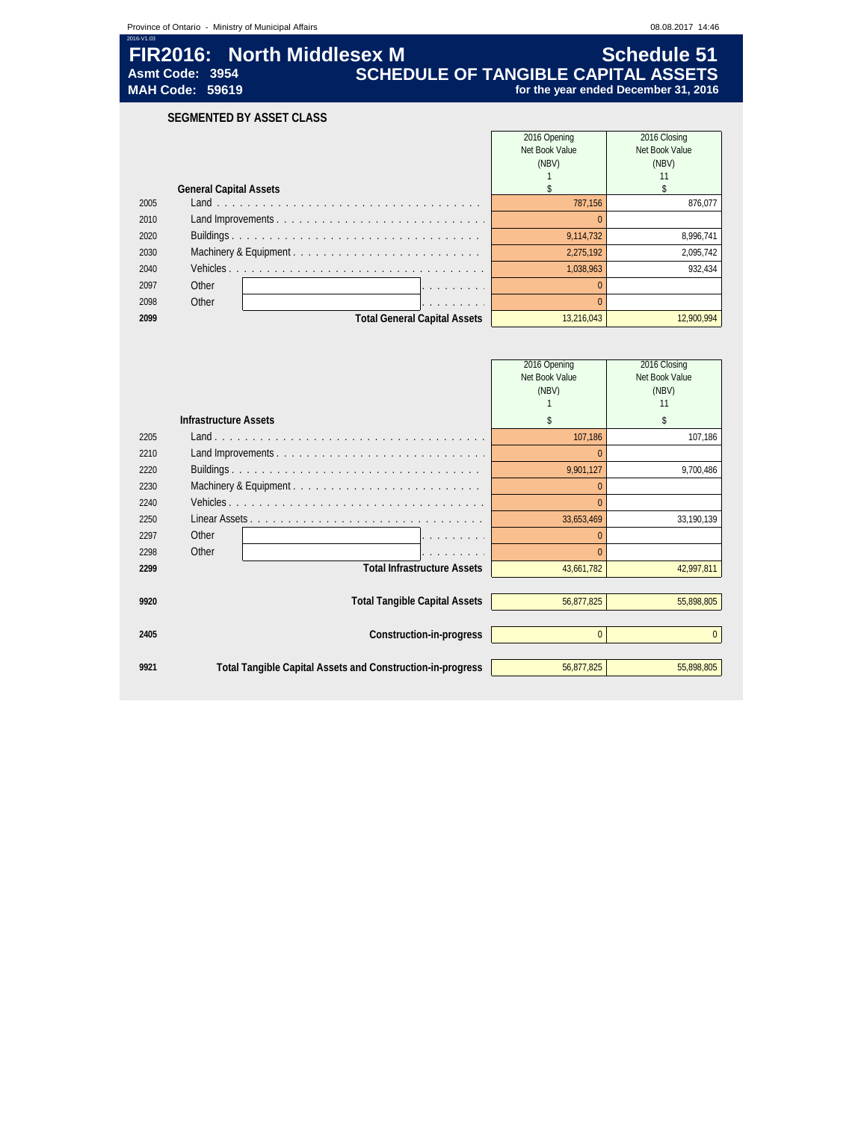|            |                                           | Province of Ontario - Ministry of Municipal Affairs |                                            |                                         | 08.08.2017 14:46                        |
|------------|-------------------------------------------|-----------------------------------------------------|--------------------------------------------|-----------------------------------------|-----------------------------------------|
| 2016-V1.03 | Asmt Code: 3954<br><b>MAH Code: 59619</b> | FIR2016: North Middlesex M                          | <b>SCHEDULE OF TANGIBLE CAPITAL ASSETS</b> | for the year ended December 31, 2016    | <b>Schedule 51</b>                      |
|            |                                           | SEGMENTED BY ASSET CLASS                            |                                            |                                         |                                         |
|            |                                           |                                                     |                                            | 2016 Opening<br>Net Book Value<br>(NBV) | 2016 Closing<br>Net Book Value<br>(NBV) |
|            |                                           | <b>General Capital Assets</b>                       |                                            |                                         |                                         |
| 2005       |                                           |                                                     |                                            | 787,156                                 | 876,077                                 |
| 2010       |                                           |                                                     |                                            |                                         |                                         |
| 2020       |                                           |                                                     |                                            | 9,114,732                               | 8,996,741                               |
| 2030       |                                           |                                                     |                                            | 2,275,192                               | 2,095,742                               |
| 2040       | Vehicles.                                 |                                                     |                                            | 1,038,963                               | 932,434                                 |
| 2097       | Other                                     |                                                     | .                                          |                                         |                                         |
| 2098       | Other                                     |                                                     | and a series and                           |                                         |                                         |
| 2099       |                                           |                                                     | <b>Total General Capital Assets</b>        | 13,216,043                              | 12,900,994                              |

|      |                              |                                                            | 2016 Opening<br>Net Book Value<br>(NBV) | 2016 Closing<br>Net Book Value<br>(NBV)<br>11 |
|------|------------------------------|------------------------------------------------------------|-----------------------------------------|-----------------------------------------------|
|      | <b>Infrastructure Assets</b> |                                                            | \$                                      | \$                                            |
| 2205 |                              |                                                            | 107.186                                 | 107.186                                       |
| 2210 |                              |                                                            |                                         |                                               |
| 2220 |                              |                                                            | 9,901,127                               | 9,700,486                                     |
| 2230 |                              | Machinery & Equipment                                      |                                         |                                               |
| 2240 |                              |                                                            |                                         |                                               |
| 2250 |                              |                                                            | 33,653,469                              | 33,190,139                                    |
| 2297 | Other                        |                                                            | $\Omega$                                |                                               |
| 2298 | Other                        |                                                            |                                         |                                               |
| 2299 |                              | <b>Total Infrastructure Assets</b>                         | 43,661,782                              | 42,997,811                                    |
|      |                              |                                                            |                                         |                                               |
| 9920 |                              | <b>Total Tangible Capital Assets</b>                       | 56,877,825                              | 55,898,805                                    |
|      |                              |                                                            |                                         |                                               |
| 2405 |                              | Construction-in-progress                                   | $\Omega$                                | $\mathbf{0}$                                  |
|      |                              |                                                            |                                         |                                               |
| 9921 |                              | Total Tangible Capital Assets and Construction-in-progress | 56,877,825                              | 55,898,805                                    |
|      |                              |                                                            |                                         |                                               |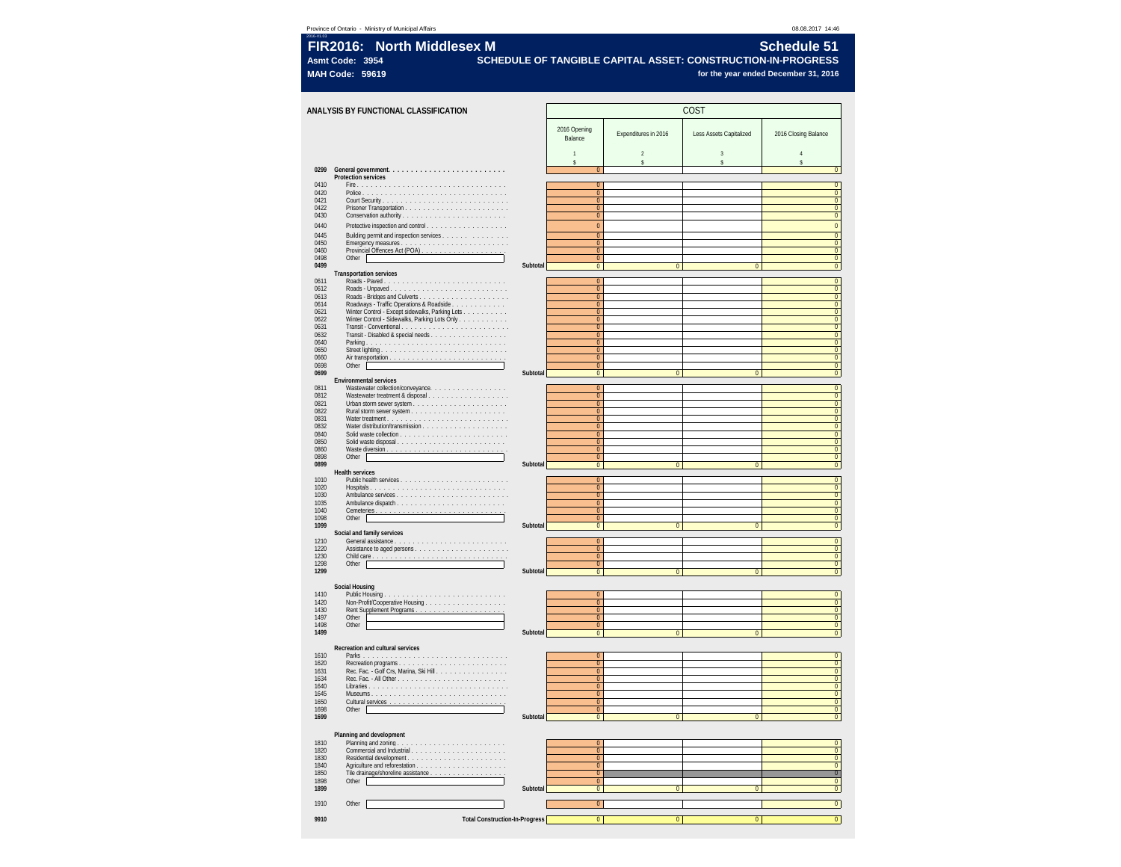### **Province of Ontario - Ministry of Municipal Affairs 08.08.2017 14:46**<br>International of Ontario - Ministry of Municipal Affairs

| 2016-V103<br><b>FIR2016: North Middlesex M</b> | <b>Schedule 51</b>                                               |
|------------------------------------------------|------------------------------------------------------------------|
| Asmt Code: 3954                                | . SCHEDULE OF TANGIBLE CAPITAL ASSET: CONSTRUCTION-IN-PROGRESS ' |
| MAH Code: 59619                                | for the vear ended December 31, 2016                             |

|              | ANALYSIS BY FUNCTIONAL CLASSIFICATION                                                                                                                                                                                                                                                                                                                                                                                                |          | COST                                      |                      |                         |                                  |
|--------------|--------------------------------------------------------------------------------------------------------------------------------------------------------------------------------------------------------------------------------------------------------------------------------------------------------------------------------------------------------------------------------------------------------------------------------------|----------|-------------------------------------------|----------------------|-------------------------|----------------------------------|
|              |                                                                                                                                                                                                                                                                                                                                                                                                                                      |          | 2016 Opening                              |                      |                         |                                  |
|              |                                                                                                                                                                                                                                                                                                                                                                                                                                      |          | Balance                                   | Expenditures in 2016 | Less Assets Capitalized | 2016 Closing Balance             |
|              |                                                                                                                                                                                                                                                                                                                                                                                                                                      |          |                                           | $\overline{2}$       | 3                       |                                  |
| 0299         |                                                                                                                                                                                                                                                                                                                                                                                                                                      |          | s<br>$\Omega$                             | Ŝ                    | Ŝ                       | ŝ<br>$\overline{0}$              |
| 0410         | <b>Protection services</b>                                                                                                                                                                                                                                                                                                                                                                                                           |          | $\Omega$                                  |                      |                         | $\overline{0}$                   |
| 0420<br>0421 | $\begin{array}{ll} \textbf{Police}: & \dots & \dots & \dots & \dots & \dots & \dots & \dots & \dots & \dots & \dots & \dots \\ \textbf{Court Security}: & \dots & \dots & \dots & \dots & \dots & \dots & \dots & \dots & \dots & \dots & \dots \end{array}$                                                                                                                                                                         |          | $\overline{0}$<br>$\mathbf{0}$            |                      |                         | $\overline{0}$<br>$\overline{0}$ |
| 0422         | $\begin{minipage}[c]{0.9\linewidth} \textbf{Prisoner Transformation.}\hspace{0.08cm}\textbf{.}\hspace{0.08cm}\textbf{.}\hspace{0.08cm}\textbf{.}\hspace{0.08cm}\textbf{.}\hspace{0.08cm}\textbf{.}\hspace{0.08cm}\textbf{.}\hspace{0.08cm}\textbf{.}\hspace{0.08cm}\textbf{.}\hspace{0.08cm}\textbf{.}\hspace{0.08cm}\textbf{.}\hspace{0.08cm}\textbf{.}\hspace{0.08cm}\textbf{.}\hspace{0.08cm}\textbf{.}\hspace{0.08cm}\textbf{.$  |          | $\pmb{0}$                                 |                      |                         | $\frac{0}{0}$                    |
| 0430<br>0440 |                                                                                                                                                                                                                                                                                                                                                                                                                                      |          | $\mathbf{0}$<br>$\pmb{0}$                 |                      |                         | $\overline{0}$                   |
| 0445<br>0450 | Building permit and inspection services                                                                                                                                                                                                                                                                                                                                                                                              |          | $\overline{0}$<br>$\Omega$                |                      |                         | $\overline{0}$<br>$\overline{0}$ |
| 0460         | Provincial Offences Act (POA)                                                                                                                                                                                                                                                                                                                                                                                                        |          | $\mathbf{0}$                              |                      |                         | $\overline{0}$                   |
| 0498<br>0499 | Other                                                                                                                                                                                                                                                                                                                                                                                                                                | Subtotal | $\pmb{0}$<br>$\overline{0}$               | $\overline{0}$       | $\overline{\mathbf{0}}$ | $\frac{0}{0}$                    |
| 0611         | Transportation services                                                                                                                                                                                                                                                                                                                                                                                                              |          | $\pmb{0}$                                 |                      |                         | $\overline{0}$                   |
| 0612<br>0613 | Roads - Unpaved.                                                                                                                                                                                                                                                                                                                                                                                                                     |          | $\overline{0}$<br>$\Omega$                |                      |                         | $\overline{0}$<br>$\overline{0}$ |
| 0614<br>0621 | Roadways - Traffic Operations & Roadside                                                                                                                                                                                                                                                                                                                                                                                             |          | $\pmb{0}$<br>$\pmb{0}$                    |                      |                         | $\overline{0}$                   |
| 0622         | Winter Control - Except sidewalks, Parking Lots<br>Winter Control - Sidewalks, Parking Lots Only                                                                                                                                                                                                                                                                                                                                     |          | $\overline{0}$                            |                      |                         | $\frac{0}{0}$                    |
| 0631<br>0632 | Transit - Disabled & special needs<br>Parking<br>Characteristic                                                                                                                                                                                                                                                                                                                                                                      |          | $\pmb{0}$<br>$\mathbf{0}$                 |                      |                         | $\overline{0}$<br>$\overline{0}$ |
| 0640<br>0650 |                                                                                                                                                                                                                                                                                                                                                                                                                                      |          | $\overline{0}$<br>$\mathbf{0}$            |                      |                         | $\overline{0}$<br>$\overline{0}$ |
| 0660<br>0698 | Other                                                                                                                                                                                                                                                                                                                                                                                                                                |          | $\overline{0}$<br>$\pmb{0}$               |                      |                         | $\overline{0}$<br>$\overline{0}$ |
| 0699         | Environmental services                                                                                                                                                                                                                                                                                                                                                                                                               | Subtotal | $\bullet$                                 | $\overline{0}$       | $\overline{\mathbf{0}}$ | $\overline{0}$                   |
| 0811<br>0812 | Wastewater collection/conveyance.                                                                                                                                                                                                                                                                                                                                                                                                    |          | $\mathbf{0}$<br>$\overline{0}$            |                      |                         | $\overline{0}$<br>$\overline{0}$ |
| 0821         | $\begin{minipage}{0.9\linewidth} \textbf{Urban storm sewer system} \end{minipage} \begin{minipage}{0.9\linewidth} \textbf{1:}\hspace*{20pt} \textbf{1:}\hspace*{20pt} \textbf{2:}\hspace*{20pt} \textbf{3:}\hspace*{20pt} \textbf{3:}\hspace*{20pt} \textbf{4:}\hspace*{20pt} \textbf{5:}\hspace*{20pt} \textbf{5:}\hspace*{20pt} \textbf{6:}\hspace*{20pt} \textbf{7:}\hspace*{20pt} \textbf{6:}\hspace*{20pt} \textbf{7:}\hspace*$ |          | $\mathbf{0}$                              |                      |                         | $\overline{0}$                   |
| 0822<br>0831 |                                                                                                                                                                                                                                                                                                                                                                                                                                      |          | $\mathbf{0}$<br>$\pmb{0}$                 |                      |                         | $\overline{0}$<br>$\mathbf{0}$   |
| 0832<br>0840 |                                                                                                                                                                                                                                                                                                                                                                                                                                      |          | $\overline{0}$<br>$\mathbf{0}$            |                      |                         | $\overline{0}$<br>$\overline{0}$ |
| 0850<br>0860 |                                                                                                                                                                                                                                                                                                                                                                                                                                      |          | $\overline{0}$<br>$\overline{0}$          |                      |                         | $\frac{0}{0}$                    |
| 0898         | Other                                                                                                                                                                                                                                                                                                                                                                                                                                | Subtotal | $\mathbf{0}$                              | $\Omega$             | $\Omega$                | $\mathbf{0}$                     |
| 0899         | <b>Health services</b>                                                                                                                                                                                                                                                                                                                                                                                                               |          | $\bf{0}$                                  |                      |                         | $\overline{0}$                   |
| 1010<br>1020 |                                                                                                                                                                                                                                                                                                                                                                                                                                      |          | $\overline{0}$<br>$\mathbf{0}$            |                      |                         | $\overline{0}$<br>$\overline{0}$ |
| 1030<br>1035 |                                                                                                                                                                                                                                                                                                                                                                                                                                      |          | $\overline{0}$<br>$\overline{0}$          |                      |                         | $\overline{0}$<br>$\overline{0}$ |
| 1040<br>1098 | Other                                                                                                                                                                                                                                                                                                                                                                                                                                |          | $\overline{0}$<br>$\mathbf{0}$            |                      |                         | $\overline{0}$<br>$\overline{0}$ |
| 1099         | Social and family services                                                                                                                                                                                                                                                                                                                                                                                                           | Subtotal | $\overline{0}$                            | $\overline{0}$       | $\overline{0}$          | $\overline{0}$                   |
| 1210<br>1220 |                                                                                                                                                                                                                                                                                                                                                                                                                                      |          | $\overline{0}$<br>$\overline{\mathbf{0}}$ |                      |                         | $\overline{0}$<br>$\overline{0}$ |
| 1230<br>1298 | Child care.                                                                                                                                                                                                                                                                                                                                                                                                                          |          | $\overline{0}$<br>$\Omega$                |                      |                         | $\overline{0}$<br>$\overline{0}$ |
| 1299         | Other                                                                                                                                                                                                                                                                                                                                                                                                                                | Subtotal | $\mathbf{0}$                              | $\Omega$             | $\overline{0}$          | $\overline{0}$                   |
|              | <b>Social Housing</b>                                                                                                                                                                                                                                                                                                                                                                                                                |          |                                           |                      |                         |                                  |
| 1410<br>1420 | Public Housing<br>.                                                                                                                                                                                                                                                                                                                                                                                                                  |          | $\overline{0}$<br>$\overline{0}$          |                      |                         | $\overline{0}$<br>$\overline{0}$ |
| 1430<br>1497 | Rent Supplement Programs.<br>Other                                                                                                                                                                                                                                                                                                                                                                                                   |          | $\overline{0}$<br>$\Omega$                |                      |                         | $\overline{0}$<br>$\overline{0}$ |
| 1498<br>1499 | Other                                                                                                                                                                                                                                                                                                                                                                                                                                | Subtotal | $\Omega$<br>$\overline{0}$                | $\overline{0}$       | $\mathbf{0}$            | $\overline{0}$<br>$\overline{0}$ |
|              |                                                                                                                                                                                                                                                                                                                                                                                                                                      |          |                                           |                      |                         |                                  |
| 1610         | Recreation and cultural services                                                                                                                                                                                                                                                                                                                                                                                                     |          | $\mathbf{0}$                              |                      |                         | $\overline{0}$                   |
| 1620<br>1631 |                                                                                                                                                                                                                                                                                                                                                                                                                                      |          | $\overline{0}$<br>$\mathbf{0}$            |                      |                         | $\overline{0}$<br>$\overline{0}$ |
| 1634<br>1640 |                                                                                                                                                                                                                                                                                                                                                                                                                                      |          | $\overline{0}$<br>$\pmb{0}$               |                      |                         | $\overline{0}$<br>$\overline{0}$ |
| 1645<br>1650 | Museums                                                                                                                                                                                                                                                                                                                                                                                                                              |          | $\overline{0}$<br>$\overline{0}$          |                      |                         | $\overline{0}$<br>$\overline{0}$ |
| 1698<br>1699 | Other $\Box$                                                                                                                                                                                                                                                                                                                                                                                                                         | Subtotal | $\overline{0}$<br>$\overline{0}$          | $\overline{0}$       | $\overline{\mathbf{0}}$ | $\overline{0}$<br>$\overline{0}$ |
|              |                                                                                                                                                                                                                                                                                                                                                                                                                                      |          |                                           |                      |                         |                                  |
| 1810         | Planning and development                                                                                                                                                                                                                                                                                                                                                                                                             |          | $\overline{0}$                            |                      |                         | $\overline{0}$                   |
| 1820<br>1830 |                                                                                                                                                                                                                                                                                                                                                                                                                                      |          | $\mathbf{0}$<br>$\overline{0}$            |                      |                         | $\overline{0}$<br>$\overline{0}$ |
| 1840<br>1850 |                                                                                                                                                                                                                                                                                                                                                                                                                                      |          | $\overline{0}$<br>$\overline{0}$          |                      |                         | $\overline{0}$<br>$\overline{0}$ |
| 1898         | Tile drainage/shoreline assistance<br>Other                                                                                                                                                                                                                                                                                                                                                                                          |          | $\Omega$                                  |                      |                         | $\mathbf 0$                      |
| 1899         |                                                                                                                                                                                                                                                                                                                                                                                                                                      | Subtotal | $\overline{0}$                            | $\overline{0}$       | $\mathbf{0}$            | $\overline{0}$                   |
| 1910         | Other                                                                                                                                                                                                                                                                                                                                                                                                                                |          | $\overline{0}$                            |                      |                         | $\overline{0}$                   |
| 9910         | <b>Total Construction-In-Progress</b>                                                                                                                                                                                                                                                                                                                                                                                                |          | $\overline{0}$                            | $\overline{0}$       | $\overline{\mathbf{0}}$ | $\overline{0}$                   |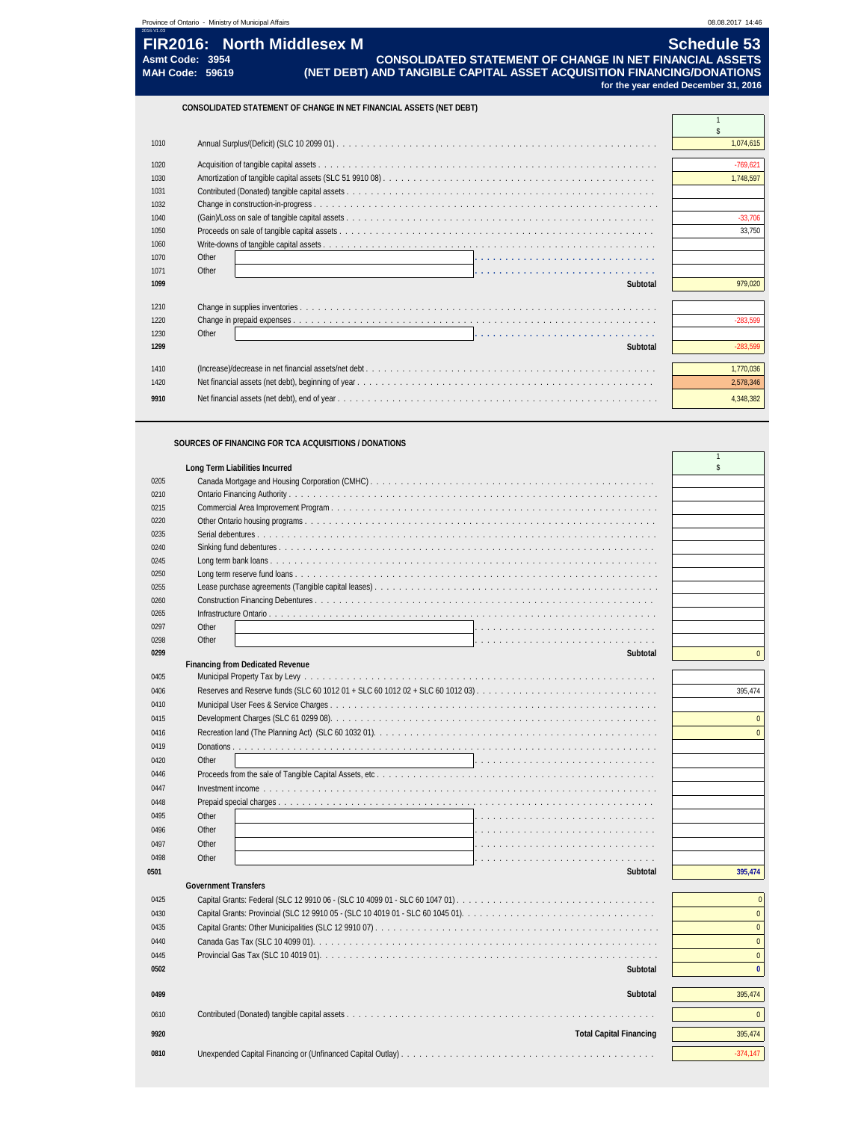### **SOURCES OF FINANCING FOR TCA ACQUISITIONS / DONATIONS**

|      | Long Term Liabilities Incurred          | \$             |
|------|-----------------------------------------|----------------|
| 0205 |                                         |                |
| 0210 |                                         |                |
| 0215 |                                         |                |
| 0220 |                                         |                |
| 0235 |                                         |                |
| 0240 |                                         |                |
| 0245 |                                         |                |
| 0250 |                                         |                |
| 0255 |                                         |                |
| 0260 |                                         |                |
| 0265 |                                         |                |
| 0297 | Other                                   |                |
| 0298 | Other                                   |                |
| 0299 | Subtotal                                | $\mathbf{0}$   |
|      | <b>Financing from Dedicated Revenue</b> |                |
| 0405 |                                         |                |
| 0406 |                                         | 395,474        |
| 0410 |                                         |                |
| 0415 |                                         | $\mathbf{0}$   |
| 0416 |                                         | $\mathbf{0}$   |
| 0419 |                                         |                |
| 0420 | Other<br>.                              |                |
| 0446 |                                         |                |
| 0447 |                                         |                |
| 0448 |                                         |                |
|      | Other                                   |                |
| 0495 |                                         |                |
| 0496 | Other                                   |                |
| 0497 | Other                                   |                |
| 0498 | Other                                   |                |
| 0501 | Subtotal                                | 395,474        |
|      | <b>Government Transfers</b>             |                |
| 0425 |                                         | $\overline{0}$ |
| 0430 |                                         | $\mathbf{0}$   |
| 0435 |                                         | $\mathbf{0}$   |
| 0440 |                                         | $\mathbf{0}$   |
| 0445 |                                         | $\pmb{0}$      |
| 0502 | Subtotal                                | $\mathbf{0}$   |
|      |                                         |                |
| 0499 | Subtotal                                | 395,474        |
| 0610 |                                         | $\Omega$       |
|      |                                         |                |
| 9920 | <b>Total Capital Financing</b>          | 395,474        |
| 0810 |                                         | $-374,147$     |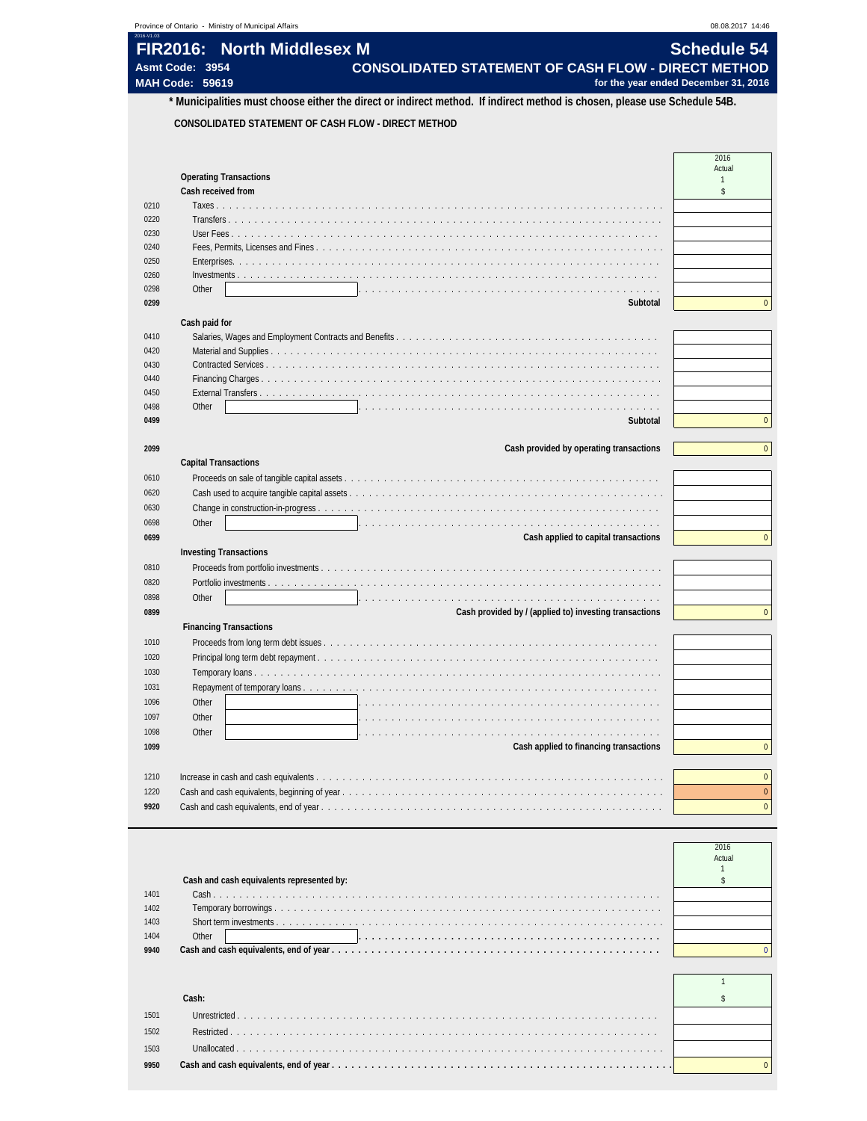| 2016-V1.03 | Province of Ontario - Ministry of Municipal Affairs                                                                       | 08.08.2017 14:46                     |
|------------|---------------------------------------------------------------------------------------------------------------------------|--------------------------------------|
|            | FIR2016: North Middlesex M                                                                                                | <b>Schedule 54</b>                   |
|            | <b>CONSOLIDATED STATEMENT OF CASH FLOW - DIRECT METHOD</b><br>Asmt Code: 3954                                             |                                      |
|            | <b>MAH Code: 59619</b>                                                                                                    | for the year ended December 31, 2016 |
|            | * Municipalities must choose either the direct or indirect method. If indirect method is chosen, please use Schedule 54B. |                                      |
|            | CONSOLIDATED STATEMENT OF CASH FLOW - DIRECT METHOD                                                                       |                                      |
|            |                                                                                                                           |                                      |
|            |                                                                                                                           | 2016                                 |
|            | <b>Operating Transactions</b>                                                                                             | Actual<br>$\mathbf{1}$               |
|            | Cash received from                                                                                                        | \$                                   |
| 0210       | Taxes.                                                                                                                    |                                      |
| 0220       |                                                                                                                           |                                      |
| 0230       | User Fees                                                                                                                 |                                      |
| 0240       |                                                                                                                           |                                      |
| 0250       | Enterprises.                                                                                                              |                                      |
| 0260       |                                                                                                                           |                                      |
| 0298       | Other                                                                                                                     | $\Omega$                             |
| 0299       | Subtotal                                                                                                                  |                                      |
|            | Cash paid for                                                                                                             |                                      |
| 0410       |                                                                                                                           |                                      |
| 0420       |                                                                                                                           |                                      |
| 0430       |                                                                                                                           |                                      |
| 0440       |                                                                                                                           |                                      |
| 0450       | External Transfers                                                                                                        |                                      |
| 0498       | Other                                                                                                                     |                                      |
| 0499       | Subtotal                                                                                                                  | $\mathbf{0}$                         |
| 2099       | Cash provided by operating transactions                                                                                   |                                      |
|            | <b>Capital Transactions</b>                                                                                               |                                      |
| 0610       |                                                                                                                           |                                      |
| 0620       |                                                                                                                           |                                      |
| 0630       |                                                                                                                           |                                      |
| 0698       | Other                                                                                                                     |                                      |
| 0699       | Cash applied to capital transactions                                                                                      | $\Omega$                             |
|            | <b>Investing Transactions</b>                                                                                             |                                      |
| 0810       |                                                                                                                           |                                      |
| 0820       | Portfolio investments                                                                                                     |                                      |
| 0898       | Other                                                                                                                     |                                      |
| 0899       | Cash provided by / (applied to) investing transactions                                                                    | $\Omega$                             |
|            | <b>Financing Transactions</b>                                                                                             |                                      |
| 1010       |                                                                                                                           |                                      |
| 1020       | Principal long term debt repayment                                                                                        |                                      |
| 1030       |                                                                                                                           |                                      |
| 1031       |                                                                                                                           |                                      |
| 1096       | Other                                                                                                                     |                                      |
| 1097       | Other                                                                                                                     |                                      |
| 1098       | Other                                                                                                                     |                                      |
| 1099       | Cash applied to financing transactions                                                                                    | $\mathbf{0}$                         |
|            |                                                                                                                           |                                      |
|            |                                                                                                                           |                                      |
| 1210       |                                                                                                                           |                                      |
| 1220       |                                                                                                                           | $\Omega$<br>$\mathbf{0}$             |

|      |                                           | 2016<br>Actual |
|------|-------------------------------------------|----------------|
|      | Cash and cash equivalents represented by: |                |
| 1401 |                                           |                |
| 1402 |                                           |                |
| 1403 |                                           |                |
| 1404 | Other                                     |                |
| 9940 |                                           |                |

|      | :ash |  |
|------|------|--|
| 1501 |      |  |
| 1502 |      |  |
| 1503 |      |  |
| 9950 |      |  |
|      |      |  |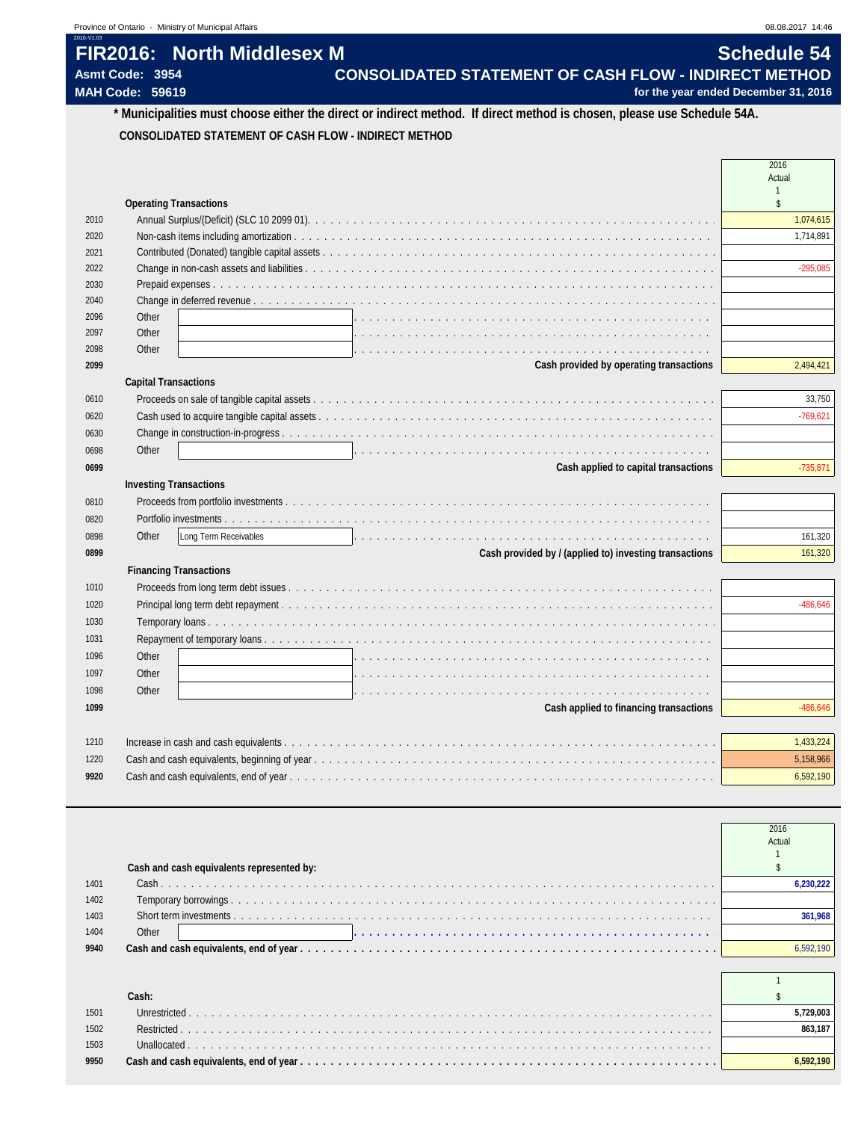| <b>FIR2016: North Middlesex M</b> | Schedule 54                                                  |
|-----------------------------------|--------------------------------------------------------------|
| Asmt Code: 3954                   | <b>CONSOLIDATED STATEMENT OF CASH FLOW - INDIRECT METHOD</b> |
| <b>MAH Code: 59619</b>            | for the year ended December 31, 2016                         |

## **\* Municipalities must choose either the direct or indirect method. If direct method is chosen, please use Schedule 54A. CONSOLIDATED STATEMENT OF CASH FLOW - INDIRECT METHOD**

|      |                                                                                                                                                  | 2016<br>Actual |
|------|--------------------------------------------------------------------------------------------------------------------------------------------------|----------------|
|      |                                                                                                                                                  | \$             |
| 2010 | <b>Operating Transactions</b>                                                                                                                    | 1,074,615      |
| 2020 |                                                                                                                                                  | 1,714,891      |
| 2021 |                                                                                                                                                  |                |
| 2022 |                                                                                                                                                  | $-295,085$     |
| 2030 |                                                                                                                                                  |                |
| 2040 |                                                                                                                                                  |                |
| 2096 | Other                                                                                                                                            |                |
| 2097 | Other<br>de la caractería de la caractería de la caractería                                                                                      |                |
| 2098 | Other                                                                                                                                            |                |
| 2099 | Cash provided by operating transactions                                                                                                          | 2,494,421      |
|      | <b>Capital Transactions</b>                                                                                                                      |                |
| 0610 |                                                                                                                                                  | 33,750         |
| 0620 |                                                                                                                                                  | $-769,621$     |
| 0630 |                                                                                                                                                  |                |
| 0698 | Other<br>a de la caractería de la caractería de la caractería de la caractería de la caractería de la caractería                                 |                |
| 0699 | Cash applied to capital transactions                                                                                                             | $-735,871$     |
|      | <b>Investing Transactions</b>                                                                                                                    |                |
| 0810 |                                                                                                                                                  |                |
| 0820 |                                                                                                                                                  |                |
| 0898 | Other<br>Long Term Receivables<br>a constitución de la capación de la capación de la capación de la capación de la capación de la capación de la | 161,320        |
| 0899 | Cash provided by / (applied to) investing transactions                                                                                           | 161,320        |
|      | <b>Financing Transactions</b>                                                                                                                    |                |
| 1010 |                                                                                                                                                  |                |
| 1020 |                                                                                                                                                  | $-486.646$     |
| 1030 |                                                                                                                                                  |                |
| 1031 |                                                                                                                                                  |                |
| 1096 | Other                                                                                                                                            |                |
| 1097 | Other<br>the contract of the contract of the contract of the contract of the contract of the contract of                                         |                |
| 1098 | Other<br>a de la caractería de la caractería de la caractería de la caractería de la caractería de la caractería de la                           |                |
| 1099 | Cash applied to financing transactions                                                                                                           | $-486,646$     |
|      |                                                                                                                                                  |                |
| 1210 |                                                                                                                                                  | 1,433,224      |
| 1220 |                                                                                                                                                  | 5,158,966      |
| 9920 |                                                                                                                                                  | 6,592,190      |

|      |                                           | 2016      |
|------|-------------------------------------------|-----------|
|      |                                           | Actual    |
|      |                                           |           |
|      | Cash and cash equivalents represented by: |           |
| 1401 |                                           | 6.230.222 |
| 1402 |                                           |           |
| 1403 |                                           | 361.968   |
| 1404 | Other                                     |           |
| 9940 |                                           | 6.592.190 |
|      |                                           |           |
|      |                                           |           |
|      | Cash:                                     |           |
| 1501 |                                           | 5,729,003 |
| 1502 |                                           | 863.187   |
| 1503 |                                           |           |
| 9950 |                                           | 6.592.190 |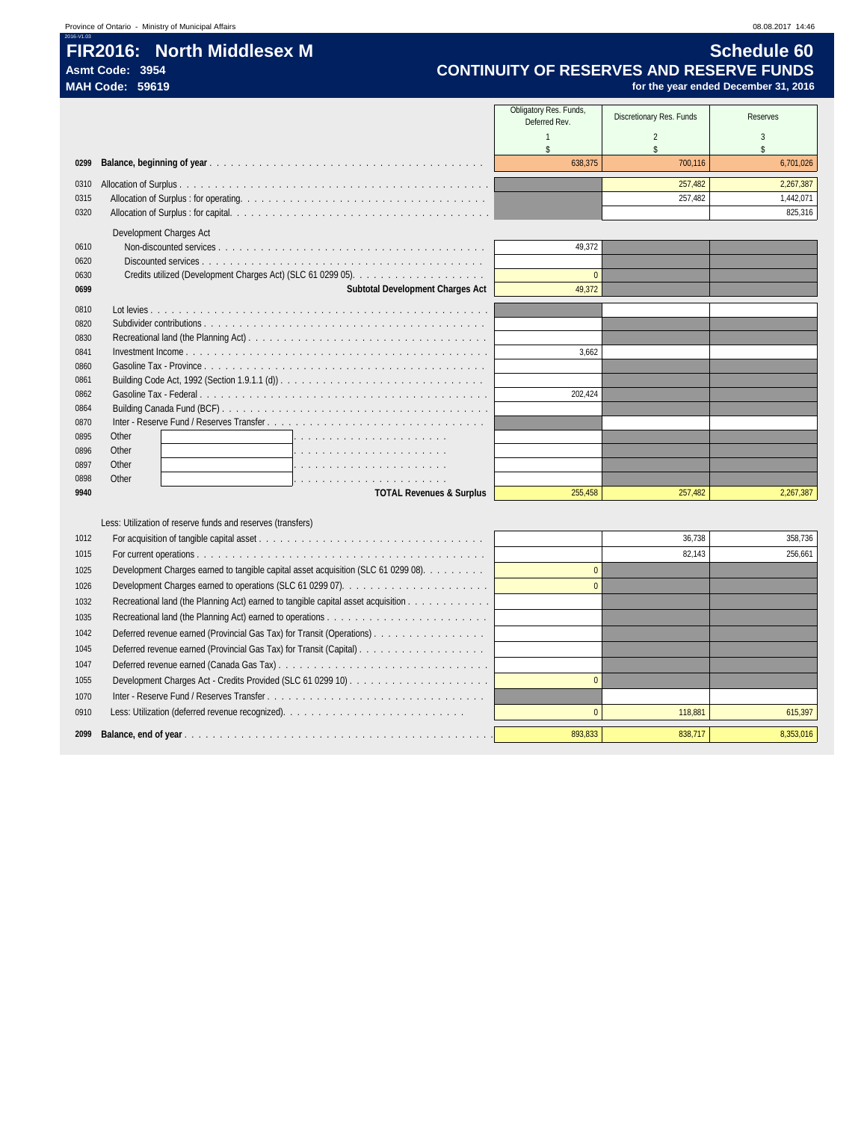## **FIR2016: North Middlesex M Schedule 60**

**Asmt Code: 3954 CONTINUITY OF RESERVES AND RESERVE FUNDS MAH Code: 59619 for the year ended December 31, 2016**

|              |                                                                                                                                                                       | Obligatory Res. Funds,<br>Deferred Rev. | Discretionary Res. Funds | Reserves  |
|--------------|-----------------------------------------------------------------------------------------------------------------------------------------------------------------------|-----------------------------------------|--------------------------|-----------|
|              |                                                                                                                                                                       | $\overline{1}$                          | 2                        | 3         |
|              |                                                                                                                                                                       | \$                                      | $$\mathbb{S}$$           | \$        |
| 0299         |                                                                                                                                                                       | 638.375                                 | 700.116                  | 6,701,026 |
| 0310         |                                                                                                                                                                       |                                         | 257,482                  | 2,267,387 |
| 0315         |                                                                                                                                                                       |                                         | 257,482                  | 1,442,071 |
| 0320         |                                                                                                                                                                       |                                         |                          | 825,316   |
|              | Development Charges Act                                                                                                                                               |                                         |                          |           |
| 0610         |                                                                                                                                                                       | 49.372                                  |                          |           |
| 0620         |                                                                                                                                                                       |                                         |                          |           |
| 0630         |                                                                                                                                                                       | $\mathbf{0}$                            |                          |           |
| 0699         | Subtotal Development Charges Act                                                                                                                                      | 49,372                                  |                          |           |
| 0810         |                                                                                                                                                                       |                                         |                          |           |
| 0820         | Subdivider contributions $\ldots$ , $\ldots$ , $\ldots$ , $\ldots$ , $\ldots$ , $\ldots$ , $\ldots$ , $\ldots$ , $\ldots$ , $\ldots$ , $\ldots$ , $\ldots$ , $\ldots$ |                                         |                          |           |
| 0830         |                                                                                                                                                                       |                                         |                          |           |
| 0841         |                                                                                                                                                                       | 3,662                                   |                          |           |
| 0860         |                                                                                                                                                                       |                                         |                          |           |
| 0861         |                                                                                                                                                                       |                                         |                          |           |
| 0862<br>0864 |                                                                                                                                                                       | 202,424                                 |                          |           |
| 0870         |                                                                                                                                                                       |                                         |                          |           |
| 0895         | Other                                                                                                                                                                 |                                         |                          |           |
| 0896         | Other                                                                                                                                                                 |                                         |                          |           |
| 0897         | Other                                                                                                                                                                 |                                         |                          |           |
| 0898         | Other                                                                                                                                                                 |                                         |                          |           |
| 9940         | <b>TOTAL Revenues &amp; Surplus</b>                                                                                                                                   | 255.458                                 | 257.482                  | 2,267,387 |
|              |                                                                                                                                                                       |                                         |                          |           |
|              | Less: Utilization of reserve funds and reserves (transfers)                                                                                                           |                                         |                          |           |
| 1012         |                                                                                                                                                                       |                                         | 36,738                   | 358.736   |
| 1015         |                                                                                                                                                                       |                                         | 82.143                   | 256.661   |
| 1025         | Development Charges earned to tangible capital asset acquisition (SLC 61 0299 08).                                                                                    | $\overline{0}$                          |                          |           |
| 1026         |                                                                                                                                                                       | $\overline{0}$                          |                          |           |
| 1032         | Recreational land (the Planning Act) earned to tangible capital asset acquisition                                                                                     |                                         |                          |           |
| 1035         |                                                                                                                                                                       |                                         |                          |           |
| 1042         | Deferred revenue earned (Provincial Gas Tax) for Transit (Operations)                                                                                                 |                                         |                          |           |
| 1045         |                                                                                                                                                                       |                                         |                          |           |
| 1047         |                                                                                                                                                                       |                                         |                          |           |
| 1055         |                                                                                                                                                                       | $\overline{0}$                          |                          |           |
| 1070         |                                                                                                                                                                       |                                         |                          |           |
| 0910         |                                                                                                                                                                       | $\overline{0}$                          | 118,881                  | 615,397   |
| 2099         |                                                                                                                                                                       | 893.833                                 | 838,717                  | 8,353,016 |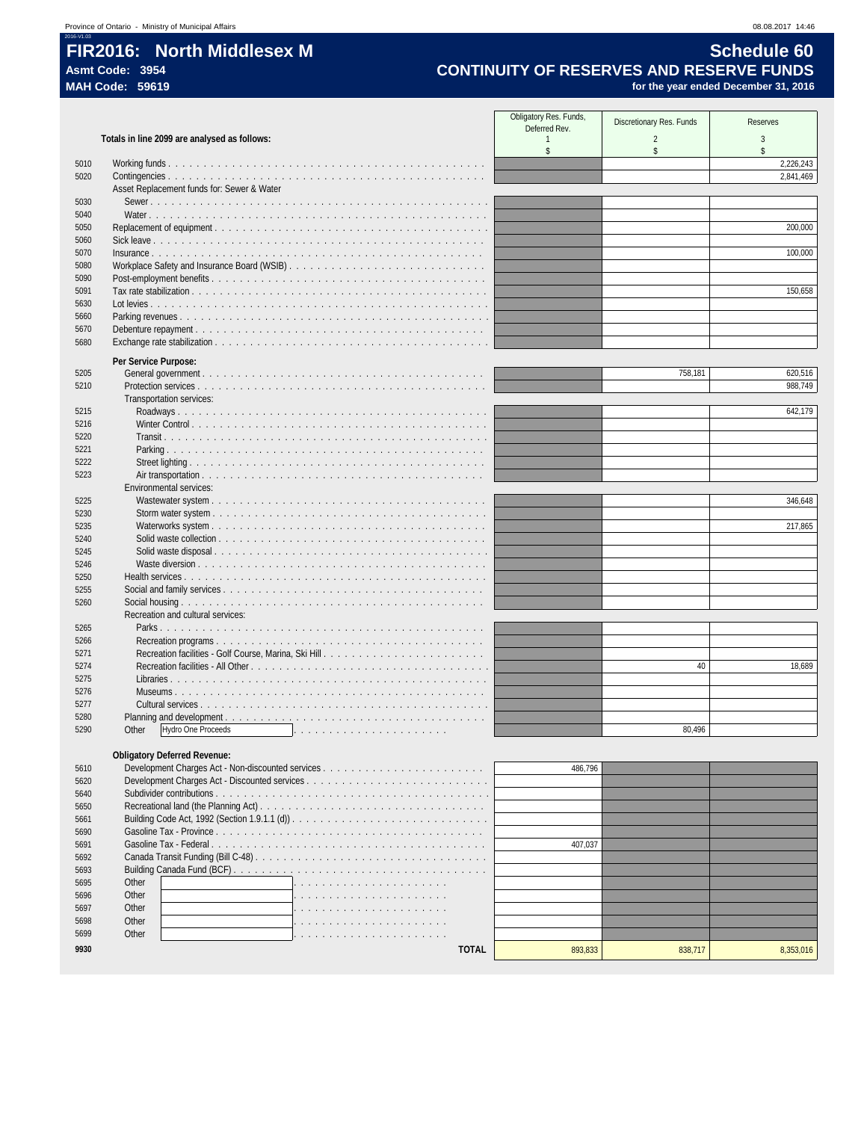Obligatory Res. Funds, Res. Funds, Discretionary Res. Funds Reserves<br>
1 2 3 3 Totals in line 2099 are analysed as follows: \$ \$ \$ Working funds . . . . . . . . . . . . . . . . . . . . . . . . . . . . . . . . . . . . . . . . . . . . . 2,226,243 Contingencies . . . . . . . . . . . . . . . . . . . . . . . . . . . . . . . . . . . . . . . . . . . . . 2,841,469 Asset Replacement funds for: Sewer & Water Sewer . . . . . . . . . . . . . . . . . . . . . . . . . . . . . . . . . . . . . . . . . . . . . . . . Water . . . . . . . . . . . . . . . . . . . . . . . . . . . . . . . . . . . . . . . . . . . . . . . . Replacement of equipment . . . . . . . . . . . . . . . . . . . . . . . . . . . . . . . . . . . . . . . 200,000 Sick leave . . . . . . . . . . . . . . . . . . . . . . . . . . . . . . . . . . . . . . . . . . . . . . . Insurance . . . . . . . . . . . . . . . . . . . . . . . . . . . . . . . . . . . . . . . . . . . . . . . 100,000 5080 Workplace Safety and Insurance Board (WSIB) . . . . . . . . . Post-employment benefits . . . . . . . . . . . . . . . . . . . . . . . . . . . . . . . . . . . . . . . Tax rate stabilization . . . . . . . . . . . . . . . . . . . . . . . . . . . . . . . . . . . . . . . . . . 150,658 Lot levies . . . . . . . . . . . . . . . . . . . . . . . . . . . . . . . . . . . . . . . . . . . . . . . . Parking revenues . . . . . . . . . . . . . . . . . . . . . . . . . . . . . . . . . . . . . . . . . . . . Debenture repayment . . . . . . . . . . . . . . . . . . . . . . . . . . . . . . . . . . . . . . . . . Exchange rate stabilization . . . . . . . . . . . . . . . . . . . . . . . . . . . . . . . . . . . . . . . **Per Service Purpose:** General government . . . . . . . . . . . . . . . . . . . . . . . . . . . . . . . . . . . . . . . . 758,181 620,516 Protection services . . . . . . . . . . . . . . . . . . . . . . . . . . . . . . . . . . . . . . . . . 988,749 Transportation services: Roadways . . . . . . . . . . . . . . . . . . . . . . . . . . . . . . . . . . . . . . . . . . . . 642,179 Winter Control . . . . . . . . . . . . . . . . . . . . . . . . . . . . . . . . . . . . . . . . . . Transit . . . . . . . . . . . . . . . . . . . . . . . . . . . . . . . . . . . . . . . . . . . . . . Parking . . . . . . . . . . . . . . . . . . . . . . . . . . . . . . . . . . . . . . . . . . . . . Street lighting . . . . . . . . . . . . . . . . . . . . . . . . . . . . . . . . . . . . . . . . . . Air transportation . . . . . . . . . . . . . . . . . . . . . . . . . . . . . . . . . . . . . . . . Environmental services: Wastewater system . . . . . . . . . . . . . . . . . . . . . . . . . . . . . . . . . . . . . . . 346,648 Storm water system . . . . . . . . . . . . . . . . . . . . . . . . . . . . . . . . . . . . . . . Waterworks system . . . . . . . . . . . . . . . . . . . . . . . . . . . . . . . . . . . . . . . 217,865 Solid waste collection . . . . . . . . . . . . . . . . . Solid waste disposal . . . . . . . . . . . . . . . . . . . . . . . . . . . . . . . . . . . . . . . Waste diversion . . . . . . . . . . . . . . . . . . . . . . . . . . . . . . . . . . . . . . . . . Health services . . . . . . . . . . . . . . . . . . . . . . . . . . . . . . . . . . . . . . . . . . . Social and family services . . . . . . . . . . . . . . . . . . . . . . . . . . . . . . . . . . . . . Social housing . . . . . . . . . . . . . . . . . . . . . . . . . . . . . . . . . . . . . . . . . . . Recreation and cultural services: Parks . . . . . . . . . . . . . . . . . . . . . . . . . . . . . . . . . . . . . . . . . . . . . . 5266 Recreation programs . . .<br>5271 Recreation facilities - Golf Recreation facilities - Golf Course, Marina, Ski Hill . . . . . . . . . . . . . . . . . . . . . . . Recreation facilities - All Other . . . . . . . . . . . . . . . . . . . . . . . . . . . . . . . . . . 40 18,689 Libraries . . . . . . . . . . . . . . . . . . . . . . . . . . . . . . . . . . . . . . . . . . . . . Museums . . . . . . . . . . . . . . . . . . . . . . . . . . . . . . . . . . . . . . . . . . . . Cultural services . . . . . . . . . . . . . . . . . . . . . . . . . . . . . . . . . . . . . . . . . 5280 Planning and development .<br>
5290 Other Hydro One Proceed: Other Hydro One Proceeds . . . . . . . . . . . . . . . . . . . . . . 80,496 **Obligatory Deferred Revenue:** Development Charges Act - Non-discounted services . . . . . . . . . . . . . . . . . . . . . . . 486,796 Development Charges Act - Discounted services . . . . . . . . . . . . . . . . . . . . . . . . . . Subdivider contributions . . . . . . . . . . . . . . . . . . . . . . . . . . . . . . . . . . . . . . . Recreational land (the Planning Act) . . . . . . . . . . . . . . . . . . . . . . . . . . . . . . . . Building Code Act, 1992 (Section 1.9.1.1 (d)) . . . . . . . . . . . . . . . . . . . . . . . . . . . . Gasoline Tax - Province . . . . . . . . . . . . . . . . . . . . . . . . . . . . . . . . . . . . . . Gasoline Tax - Federal . . . . . . . . . . . . . . . . . . . . . . . . . . . . . . . . . . . . . . . 407,037

| 5690 |       |  |
|------|-------|--|
| 5691 |       |  |
| 5692 |       |  |
| 5693 |       |  |
| 5695 | Other |  |
| 5696 | Other |  |
| 5697 | Other |  |
| 5698 | Other |  |
| 5699 | Other |  |
|      |       |  |

| U I 0C |              | 480.790 |         |           |
|--------|--------------|---------|---------|-----------|
| 5620   |              |         |         |           |
| 5640   |              |         |         |           |
| 5650   |              |         |         |           |
| 5661   |              |         |         |           |
| 5690   |              |         |         |           |
| 5691   |              | 407.037 |         |           |
| 5692   |              |         |         |           |
| 5693   |              |         |         |           |
| 5695   | Other        |         |         |           |
| 5696   | Other        |         |         |           |
| 5697   | Other        |         |         |           |
| 5698   | Other        |         |         |           |
| 5699   | Other        |         |         |           |
| 9930   | <b>TOTAL</b> | 893,833 | 838.717 | 8,353,016 |
|        |              |         |         |           |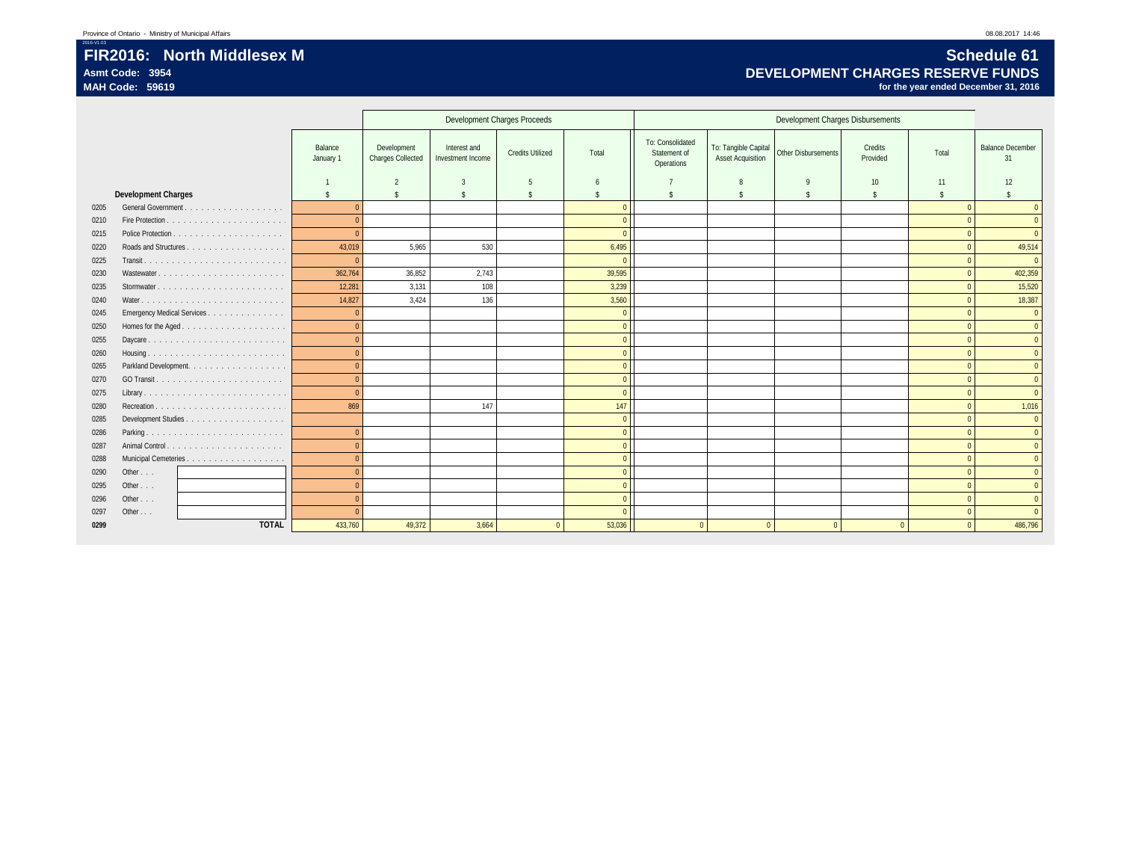### FIR2016: North Middlesex M **Schedule 61**<br>Asmt Code: 3954 **Schedule 61** Asmt Code: 3954<br>MAH Code: 59619 *DEVELOPMENT CHARGES RESERVE FUNDS*<br>MAH Code: 59619 *for the year ended December 31, 2*016 **MAH Code: 59619 for the year ended December 31, 2016**

|      |                            |                      |                                         |                                   | Development Charges Proceeds |                    |                                                |                                           | Development Charges Disbursements |                     |                    |                               |
|------|----------------------------|----------------------|-----------------------------------------|-----------------------------------|------------------------------|--------------------|------------------------------------------------|-------------------------------------------|-----------------------------------|---------------------|--------------------|-------------------------------|
|      |                            | Balance<br>January 1 | Development<br><b>Charges Collected</b> | Interest and<br>Investment Income | <b>Credits Utilized</b>      | Total              | To: Consolidated<br>Statement of<br>Operations | To: Tangible Capital<br>Asset Acquisition | Other Disbursements               | Credits<br>Provided | Total              | <b>Balance December</b><br>31 |
|      |                            |                      | $\overline{2}$                          | 3                                 | 5                            | b                  |                                                |                                           | q                                 | 10                  | 11                 | 12                            |
|      | <b>Development Charges</b> | <sup>\$</sup>        | \$                                      | $\mathbf{\hat{S}}$                | $\mathbf{\hat{S}}$           | $\mathbf{\hat{S}}$ | $\mathbf{\hat{S}}$                             | \$                                        | $\mathbf{\hat{S}}$                | $\mathbf{\hat{S}}$  | $\mathbf{\hat{s}}$ | $\mathbf{\hat{S}}$            |
| 0205 | General Government.<br>.   | $\Omega$             |                                         |                                   |                              | $\Omega$           |                                                |                                           |                                   |                     | $\Omega$           | $\Omega$                      |
| 0210 |                            | $\Omega$             |                                         |                                   |                              | $\Omega$           |                                                |                                           |                                   |                     |                    | $\mathbf{0}$                  |
| 0215 |                            | $\theta$             |                                         |                                   |                              | $\Omega$           |                                                |                                           |                                   |                     |                    | $\Omega$                      |
| 0220 |                            | 43,019               | 5,965                                   | 530                               |                              | 6,495              |                                                |                                           |                                   |                     |                    | 49,514                        |
| 0225 |                            | $\overline{0}$       |                                         |                                   |                              | $\Omega$           |                                                |                                           |                                   |                     |                    | $\overline{0}$                |
| 0230 |                            | 362,764              | 36,852                                  | 2,743                             |                              | 39,595             |                                                |                                           |                                   |                     |                    | 402,359                       |
| 0235 |                            | 12,281               | 3,131                                   | 108                               |                              | 3,239              |                                                |                                           |                                   |                     |                    | 15,520                        |
| 0240 |                            | 14,827               | 3.424                                   | 136                               |                              | 3,560              |                                                |                                           |                                   |                     |                    | 18,387                        |
| 0245 | Emergency Medical Services | $\overline{0}$       |                                         |                                   |                              | $\mathbf{0}$       |                                                |                                           |                                   |                     |                    | $\mathbf{0}$                  |
| 0250 | Homes for the Aged         | $\overline{0}$       |                                         |                                   |                              | $\overline{0}$     |                                                |                                           |                                   |                     | $\Omega$           | $\overline{0}$                |
| 0255 |                            | $\Omega$             |                                         |                                   |                              | $\mathbf{0}$       |                                                |                                           |                                   |                     |                    | $\overline{0}$                |
| 0260 |                            | $\Omega$             |                                         |                                   |                              | $\mathbf{0}$       |                                                |                                           |                                   |                     | $\Omega$           | $\mathbf{0}$                  |
| 0265 | Parkland Development.      | $\Omega$             |                                         |                                   |                              | $\mathbf{0}$       |                                                |                                           |                                   |                     | $\Omega$           | $\mathbf{0}$                  |
| 0270 |                            | $\Omega$             |                                         |                                   |                              | $\mathbf{0}$       |                                                |                                           |                                   |                     |                    | $\overline{0}$                |
| 0275 |                            | $\overline{0}$       |                                         |                                   |                              | $\mathbf{0}$       |                                                |                                           |                                   |                     |                    | $\mathbf{0}$                  |
| 0280 |                            | 869                  |                                         | 147                               |                              | 147                |                                                |                                           |                                   |                     |                    | 1,016                         |
| 0285 |                            |                      |                                         |                                   |                              | $\mathbf{0}$       |                                                |                                           |                                   |                     |                    | $\overline{0}$                |
| 0286 |                            | $\overline{0}$       |                                         |                                   |                              | $\mathbf{0}$       |                                                |                                           |                                   |                     |                    | $\overline{0}$                |
| 0287 |                            | $\Omega$             |                                         |                                   |                              | $\mathbf{0}$       |                                                |                                           |                                   |                     | $\Omega$           | $\Omega$                      |
| 0288 |                            | $\Omega$             |                                         |                                   |                              | $\mathbf{0}$       |                                                |                                           |                                   |                     |                    | $\overline{0}$                |
| 0290 | Other                      | $\Omega$             |                                         |                                   |                              | $\mathbf{0}$       |                                                |                                           |                                   |                     |                    | $\mathbf{0}$                  |
| 0295 | Other                      | $\Omega$             |                                         |                                   |                              | $\mathbf{0}$       |                                                |                                           |                                   |                     |                    | $\overline{0}$                |
| 0296 | Other $\ldots$             | $\Omega$             |                                         |                                   |                              | $\mathbf{0}$       |                                                |                                           |                                   |                     |                    | $\overline{0}$                |
| 0297 | Other $\ldots$             | $\Omega$             |                                         |                                   |                              | $\Omega$           |                                                |                                           |                                   |                     |                    | $\Omega$                      |
| 0299 | <b>TOTAL</b>               | 433,760              | 49,372                                  | 3.664                             | $\Omega$                     | 53,036             | $\Omega$                                       | $\Omega$                                  |                                   |                     |                    | 486,796                       |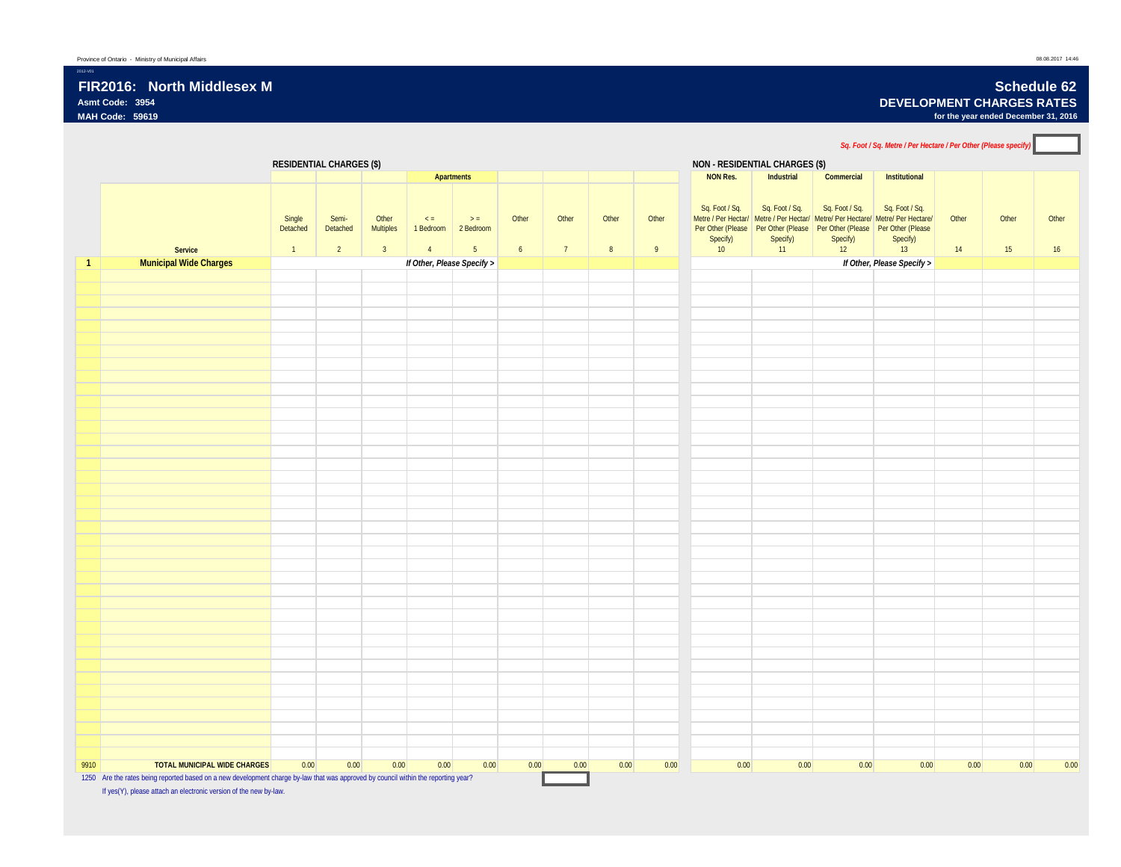2012-V01

**Asmt Code: 3954 DEVELOPMENT CHARGES RATES**

**MAH Code: 59619 for the year ended December 31, 2016**

*Sq. Foot / Sq. Metre / Per Hectare / Per Other (Please specify)* **RESIDENTIAL CHARGES (\$) NON - RESIDENTIAL CHARGES (\$) Apartments NON Res. Industrial Commercial Institutional Service** Single Detached 1 Semi-Detached 2 **Other** Multiples 3  $\leq$  = 1 Bedroom 2 Bedroom 4  $\Rightarrow$  = 5 **Other** 6 **Other** 7 **Other** 8 Other 9 Sq. Foot / Sq. Metre / Per Hectar/ | Metre / Per Hectar/ | Metre/ Per Hectare/ | Metre/ Per Hectare/ Per Other (Please Per Other (Please Per Other (Please Per Other (Please Specify)  $10<sup>7</sup>$ Sq. Foot / Sq. Sq. Foot / Sq. Sq. Foot / Sq. Specify)  $11^{\circ}$ Specify)  $12^{\degree}$ Specify)  $13$ **Other** 14 Other 15 **Other** 16 **1 Municipal Wide Charges** *If Other, Please Specify > If Other, Please Specify >* 9910 **TOTAL MUNICIPAL WIDE CHARGES** 0.00 0.00 0.00 0.00 0.00 0.00 0.00 0.00 0.00 0.00 0.00 0.00 0.00 0.00 0.00 0.00 1250 Are the rates being reported based on a new development charge by-law that was approved by council within the reporting year? If yes(Y), please attach an electronic version of the new by-law.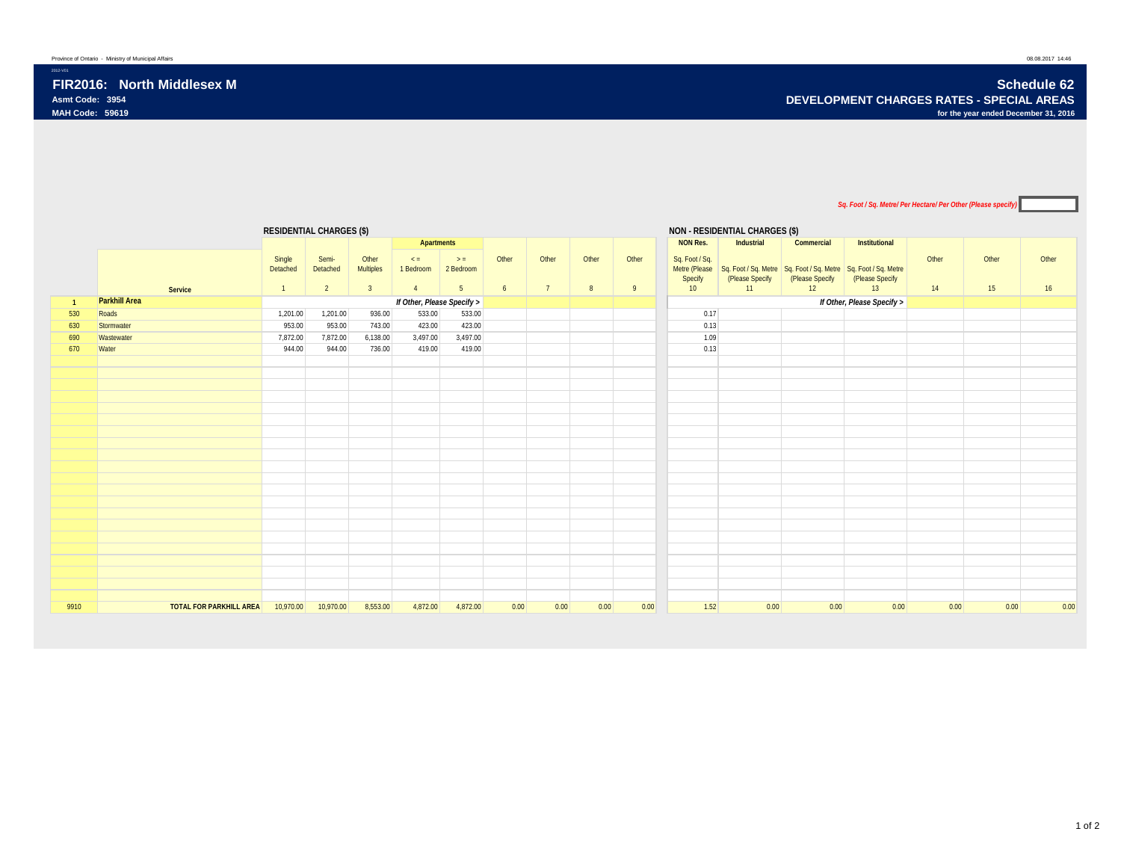2012-V01

### *Sq. Foot / Sq. Metre/ Per Hectare/ Per Other (Please specify)*

|                |                                | <b>RESIDENTIAL CHARGES (\$)</b> |                |                |                            |                |       |       |       |       |                 | <b>NON - RESIDENTIAL CHARGES (\$)</b> |                 |                                                                              |       |       |       |
|----------------|--------------------------------|---------------------------------|----------------|----------------|----------------------------|----------------|-------|-------|-------|-------|-----------------|---------------------------------------|-----------------|------------------------------------------------------------------------------|-------|-------|-------|
|                |                                |                                 |                |                | Apartments                 |                |       |       |       |       | <b>NON Res.</b> | Industrial                            | Commercial      | Institutional                                                                |       |       |       |
|                |                                | Single                          | Semi-          | Other          | $\leq$ =                   | $>$ =          | Other | Other | Other | Other | Sq. Foot / Sq.  |                                       |                 |                                                                              | Other | Other | Other |
|                |                                | Detached                        | Detached       | Multiples      | 1 Bedroom                  | 2 Bedroom      |       |       |       |       |                 |                                       |                 | Metre (Please Sq. Foot / Sq. Metre Sq. Foot / Sq. Metre Sq. Foot / Sq. Metre |       |       |       |
|                |                                |                                 |                |                |                            |                |       |       |       |       | Specify         | (Please Specify                       | (Please Specify | (Please Specify                                                              |       |       |       |
|                | Service                        | $\mathbf{1}$                    | $\overline{2}$ | 3 <sup>2</sup> | $\overline{4}$             | 5 <sub>5</sub> | 6     | 7     | 8     | 9     | 10              | 11                                    | 12              | 13                                                                           | 14    | 15    | 16    |
| $\overline{1}$ | <b>Parkhill Area</b>           |                                 |                |                | If Other, Please Specify > |                |       |       |       |       |                 |                                       |                 | If Other, Please Specify >                                                   |       |       |       |
| 530            | Roads                          | 1,201.00                        | 1,201.00       | 936.00         | 533.00                     | 533.00         |       |       |       |       | 0.17            |                                       |                 |                                                                              |       |       |       |
| 630            | Stormwater                     | 953.00                          | 953.00         | 743.00         | 423.00                     | 423.00         |       |       |       |       | 0.13            |                                       |                 |                                                                              |       |       |       |
| 690            | Wastewater                     | 7,872.00                        | 7,872.00       | 6,138.00       | 3,497.00                   | 3,497.00       |       |       |       |       | 1.09            |                                       |                 |                                                                              |       |       |       |
| 670            | Water                          | 944.00                          | 944.00         | 736.00         | 419.00                     | 419.00         |       |       |       |       | 0.13            |                                       |                 |                                                                              |       |       |       |
|                |                                |                                 |                |                |                            |                |       |       |       |       |                 |                                       |                 |                                                                              |       |       |       |
|                |                                |                                 |                |                |                            |                |       |       |       |       |                 |                                       |                 |                                                                              |       |       |       |
|                |                                |                                 |                |                |                            |                |       |       |       |       |                 |                                       |                 |                                                                              |       |       |       |
|                |                                |                                 |                |                |                            |                |       |       |       |       |                 |                                       |                 |                                                                              |       |       |       |
|                |                                |                                 |                |                |                            |                |       |       |       |       |                 |                                       |                 |                                                                              |       |       |       |
|                |                                |                                 |                |                |                            |                |       |       |       |       |                 |                                       |                 |                                                                              |       |       |       |
|                |                                |                                 |                |                |                            |                |       |       |       |       |                 |                                       |                 |                                                                              |       |       |       |
|                |                                |                                 |                |                |                            |                |       |       |       |       |                 |                                       |                 |                                                                              |       |       |       |
|                |                                |                                 |                |                |                            |                |       |       |       |       |                 |                                       |                 |                                                                              |       |       |       |
|                |                                |                                 |                |                |                            |                |       |       |       |       |                 |                                       |                 |                                                                              |       |       |       |
|                |                                |                                 |                |                |                            |                |       |       |       |       |                 |                                       |                 |                                                                              |       |       |       |
|                |                                |                                 |                |                |                            |                |       |       |       |       |                 |                                       |                 |                                                                              |       |       |       |
|                |                                |                                 |                |                |                            |                |       |       |       |       |                 |                                       |                 |                                                                              |       |       |       |
|                |                                |                                 |                |                |                            |                |       |       |       |       |                 |                                       |                 |                                                                              |       |       |       |
|                |                                |                                 |                |                |                            |                |       |       |       |       |                 |                                       |                 |                                                                              |       |       |       |
|                |                                |                                 |                |                |                            |                |       |       |       |       |                 |                                       |                 |                                                                              |       |       |       |
|                |                                |                                 |                |                |                            |                |       |       |       |       |                 |                                       |                 |                                                                              |       |       |       |
|                |                                |                                 |                |                |                            |                |       |       |       |       |                 |                                       |                 |                                                                              |       |       |       |
|                |                                |                                 |                |                |                            |                |       |       |       |       |                 |                                       |                 |                                                                              |       |       |       |
|                |                                |                                 |                |                |                            |                |       |       |       |       |                 |                                       |                 |                                                                              |       |       |       |
| 9910           | <b>TOTAL FOR PARKHILL AREA</b> | 10,970.00                       | 10,970.00      | 8,553.00       | 4,872.00                   | 4,872.00       | 0.00  | 0.00  | 0.00  | 0.00  | 1.52            | 0.00                                  | 0.00            | 0.00                                                                         | 0.00  | 0.00  | 0.00  |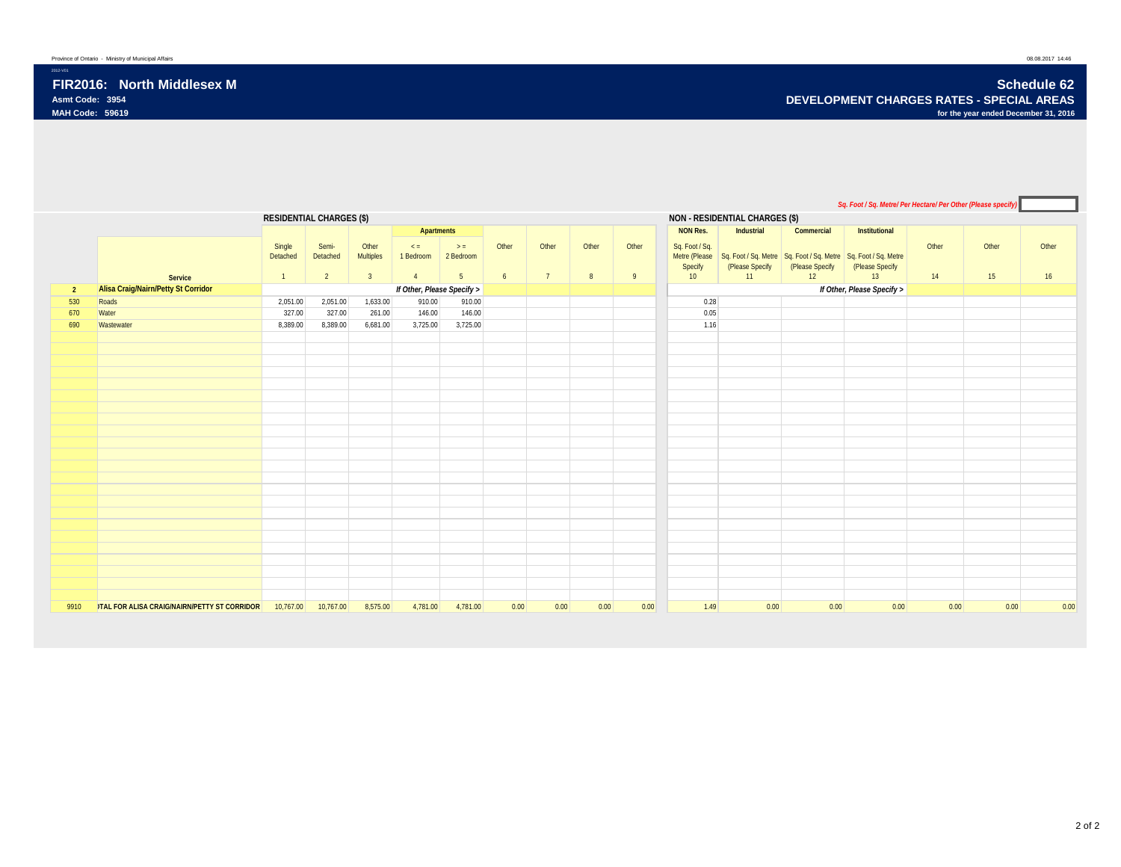2012-V01

|                |                                                     |                                 |                   |                    |                            |                    |       |       |       |       |                           |                                                                                                 |                 | Sq. Foot / Sq. Metre/ Per Hectare/ Per Other (Please specify) |       |       |       |
|----------------|-----------------------------------------------------|---------------------------------|-------------------|--------------------|----------------------------|--------------------|-------|-------|-------|-------|---------------------------|-------------------------------------------------------------------------------------------------|-----------------|---------------------------------------------------------------|-------|-------|-------|
|                |                                                     | <b>RESIDENTIAL CHARGES (\$)</b> |                   |                    |                            |                    |       |       |       |       |                           | <b>NON - RESIDENTIAL CHARGES (\$)</b>                                                           |                 |                                                               |       |       |       |
|                |                                                     |                                 |                   |                    | Apartments                 |                    |       |       |       |       | <b>NON Res.</b>           | Industrial                                                                                      | Commercial      | Institutional                                                 |       |       |       |
|                |                                                     | Single<br>Detached              | Semi-<br>Detached | Other<br>Multiples | $\leq$ =<br>1 Bedroom      | $>$ =<br>2 Bedroom | Other | Other | Other | Other | Sq. Foot / Sq.<br>Specify | Metre (Please Sq. Foot / Sq. Metre Sq. Foot / Sq. Metre Sq. Foot / Sq. Metre<br>(Please Specify | (Please Specify | (Please Specify                                               | Other | Other | Other |
|                | Service                                             | $\mathbf{1}$                    | $\overline{2}$    | 3 <sup>1</sup>     | $\overline{4}$             | 5 <sub>5</sub>     | 6     | 7     | 8     | 9     | 10                        | 11                                                                                              | 12              | 13                                                            | 14    | 15    | 16    |
| $\overline{2}$ | Alisa Craig/Nairn/Petty St Corridor                 |                                 |                   |                    | If Other, Please Specify > |                    |       |       |       |       |                           |                                                                                                 |                 | If Other, Please Specify >                                    |       |       |       |
| 530            | Roads                                               | 2,051.00                        | 2,051.00          | 1,633.00           | 910.00                     | 910.00             |       |       |       |       | 0.28                      |                                                                                                 |                 |                                                               |       |       |       |
| 670            | Water                                               | 327.00                          | 327.00            | 261.00             | 146.00                     | 146.00             |       |       |       |       | 0.05                      |                                                                                                 |                 |                                                               |       |       |       |
| 690            | Wastewater                                          | 8,389.00                        | 8,389.00          | 6,681.00           | 3,725.00                   | 3,725.00           |       |       |       |       | 1.16                      |                                                                                                 |                 |                                                               |       |       |       |
|                |                                                     |                                 |                   |                    |                            |                    |       |       |       |       |                           |                                                                                                 |                 |                                                               |       |       |       |
|                |                                                     |                                 |                   |                    |                            |                    |       |       |       |       |                           |                                                                                                 |                 |                                                               |       |       |       |
|                |                                                     |                                 |                   |                    |                            |                    |       |       |       |       |                           |                                                                                                 |                 |                                                               |       |       |       |
|                |                                                     |                                 |                   |                    |                            |                    |       |       |       |       |                           |                                                                                                 |                 |                                                               |       |       |       |
|                |                                                     |                                 |                   |                    |                            |                    |       |       |       |       |                           |                                                                                                 |                 |                                                               |       |       |       |
|                |                                                     |                                 |                   |                    |                            |                    |       |       |       |       |                           |                                                                                                 |                 |                                                               |       |       |       |
|                |                                                     |                                 |                   |                    |                            |                    |       |       |       |       |                           |                                                                                                 |                 |                                                               |       |       |       |
|                |                                                     |                                 |                   |                    |                            |                    |       |       |       |       |                           |                                                                                                 |                 |                                                               |       |       |       |
|                |                                                     |                                 |                   |                    |                            |                    |       |       |       |       |                           |                                                                                                 |                 |                                                               |       |       |       |
|                |                                                     |                                 |                   |                    |                            |                    |       |       |       |       |                           |                                                                                                 |                 |                                                               |       |       |       |
|                |                                                     |                                 |                   |                    |                            |                    |       |       |       |       |                           |                                                                                                 |                 |                                                               |       |       |       |
|                |                                                     |                                 |                   |                    |                            |                    |       |       |       |       |                           |                                                                                                 |                 |                                                               |       |       |       |
|                |                                                     |                                 |                   |                    |                            |                    |       |       |       |       |                           |                                                                                                 |                 |                                                               |       |       |       |
|                |                                                     |                                 |                   |                    |                            |                    |       |       |       |       |                           |                                                                                                 |                 |                                                               |       |       |       |
|                |                                                     |                                 |                   |                    |                            |                    |       |       |       |       |                           |                                                                                                 |                 |                                                               |       |       |       |
|                |                                                     |                                 |                   |                    |                            |                    |       |       |       |       |                           |                                                                                                 |                 |                                                               |       |       |       |
|                |                                                     |                                 |                   |                    |                            |                    |       |       |       |       |                           |                                                                                                 |                 |                                                               |       |       |       |
|                |                                                     |                                 |                   |                    |                            |                    |       |       |       |       |                           |                                                                                                 |                 |                                                               |       |       |       |
|                |                                                     |                                 |                   |                    |                            |                    |       |       |       |       |                           |                                                                                                 |                 |                                                               |       |       |       |
|                |                                                     |                                 |                   |                    |                            |                    |       |       |       |       |                           |                                                                                                 |                 |                                                               |       |       |       |
|                |                                                     |                                 |                   |                    |                            |                    |       |       |       |       |                           |                                                                                                 |                 |                                                               |       |       |       |
| 9910           | <b>ITAL FOR ALISA CRAIG/NAIRN/PETTY ST CORRIDOR</b> | 10,767.00                       | 10,767.00         | 8,575.00           | 4,781.00                   | 4,781.00           | 0.00  | 0.00  | 0.00  | 0.00  | 1.49                      | 0.00                                                                                            | 0.00            | 0.00                                                          | 0.00  | 0.00  | 0.00  |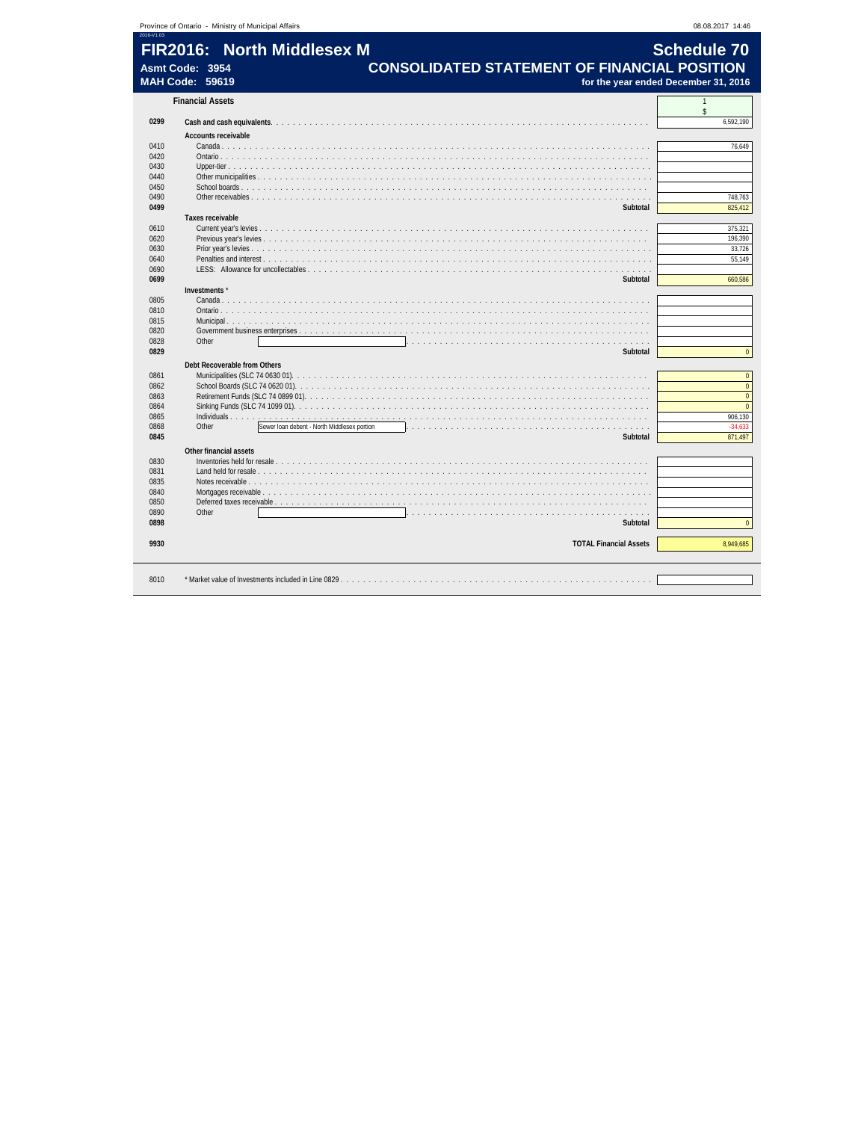|              | Province of Ontario - Ministry of Municipal Affairs |                                             |  |                                                     | 08.08.2017 14:46                     |
|--------------|-----------------------------------------------------|---------------------------------------------|--|-----------------------------------------------------|--------------------------------------|
| 2016-V1.03   | FIR2016: North Middlesex M                          |                                             |  |                                                     | <b>Schedule 70</b>                   |
|              |                                                     |                                             |  |                                                     |                                      |
|              | Asmt Code: 3954<br><b>MAH Code: 59619</b>           |                                             |  | <b>CONSOLIDATED STATEMENT OF FINANCIAL POSITION</b> | for the year ended December 31, 2016 |
|              |                                                     |                                             |  |                                                     |                                      |
|              | <b>Financial Assets</b>                             |                                             |  |                                                     | $\mathbf{\hat{S}}$                   |
| 0299         |                                                     |                                             |  |                                                     | 6,592,190                            |
|              | Accounts receivable                                 |                                             |  |                                                     |                                      |
| 0410         |                                                     |                                             |  |                                                     | 76,649                               |
| 0420         |                                                     |                                             |  |                                                     |                                      |
| 0430         |                                                     |                                             |  |                                                     |                                      |
| 0440         | Other municipalities                                |                                             |  |                                                     |                                      |
| 0450         |                                                     |                                             |  |                                                     |                                      |
| 0490         |                                                     |                                             |  |                                                     | 748,763                              |
| 0499         | Taxes receivable                                    |                                             |  | Subtotal                                            | 825,412                              |
| 0610         |                                                     |                                             |  |                                                     | 375,321                              |
| 0620         |                                                     |                                             |  |                                                     | 196,390                              |
| 0630         |                                                     |                                             |  |                                                     | 33,726                               |
| 0640         |                                                     |                                             |  |                                                     | 55,149                               |
| 0690         | LESS: Allowance for uncollectables.                 |                                             |  |                                                     |                                      |
| 0699         |                                                     |                                             |  | Subtotal                                            | 660,586                              |
|              | Investments'                                        |                                             |  |                                                     |                                      |
| 0805         | Canada                                              |                                             |  |                                                     |                                      |
| 0810         |                                                     |                                             |  |                                                     |                                      |
| 0815         |                                                     |                                             |  |                                                     |                                      |
| 0820         |                                                     |                                             |  |                                                     |                                      |
| 0828         | Other                                               |                                             |  |                                                     |                                      |
| 0829         |                                                     |                                             |  | Subtotal                                            | $\Omega$                             |
|              | Debt Recoverable from Others                        |                                             |  |                                                     |                                      |
| 0861         |                                                     |                                             |  |                                                     | $\overline{0}$                       |
| 0862         |                                                     |                                             |  |                                                     | $\mathbf 0$                          |
| 0863         |                                                     |                                             |  |                                                     | $\mathbf 0$                          |
| 0864         |                                                     |                                             |  |                                                     | $\mathbf{0}$<br>906,130              |
| 0865<br>0868 | Other                                               | Sewer loan debent - North Middlesex portion |  | .                                                   | $-34,633$                            |
| 0845         |                                                     |                                             |  | Subtotal                                            | 871,497                              |
|              |                                                     |                                             |  |                                                     |                                      |
|              | Other financial assets                              |                                             |  |                                                     |                                      |
| 0830<br>0831 |                                                     |                                             |  |                                                     |                                      |
| 0835         | Land held for resale.<br>Notes receivable           |                                             |  |                                                     |                                      |
| 0840         | Mortgages receivable                                |                                             |  |                                                     |                                      |
| 0850         | Deferred taxes receivable.                          |                                             |  |                                                     |                                      |
| 0890         | Other                                               |                                             |  | .                                                   |                                      |
| 0898         |                                                     |                                             |  | Subtotal                                            | $\Omega$                             |
| 9930         |                                                     |                                             |  | <b>TOTAL Financial Assets</b>                       | 8,949,685                            |
|              |                                                     |                                             |  |                                                     |                                      |
| 8010         |                                                     |                                             |  |                                                     |                                      |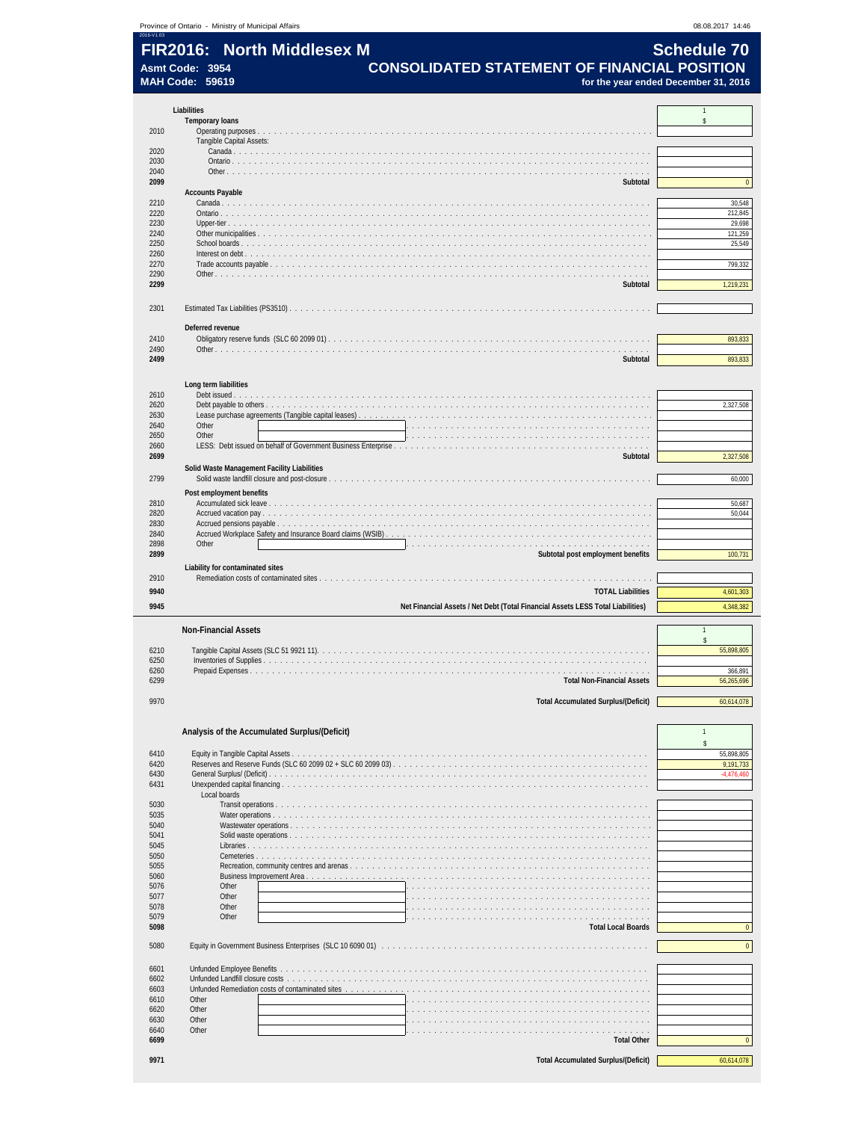|                                                            | 08.08.2017 14:46                                                                                                                                                                                                                                                                                             |
|------------------------------------------------------------|--------------------------------------------------------------------------------------------------------------------------------------------------------------------------------------------------------------------------------------------------------------------------------------------------------------|
|                                                            |                                                                                                                                                                                                                                                                                                              |
|                                                            |                                                                                                                                                                                                                                                                                                              |
|                                                            |                                                                                                                                                                                                                                                                                                              |
| for the year ended December 31, 2016                       |                                                                                                                                                                                                                                                                                                              |
|                                                            |                                                                                                                                                                                                                                                                                                              |
|                                                            | $\mathbf{1}$<br>\$                                                                                                                                                                                                                                                                                           |
|                                                            |                                                                                                                                                                                                                                                                                                              |
|                                                            |                                                                                                                                                                                                                                                                                                              |
|                                                            |                                                                                                                                                                                                                                                                                                              |
|                                                            |                                                                                                                                                                                                                                                                                                              |
| Subtotal                                                   | $\mathbf{0}$                                                                                                                                                                                                                                                                                                 |
|                                                            |                                                                                                                                                                                                                                                                                                              |
|                                                            | 30,548<br>212,845                                                                                                                                                                                                                                                                                            |
|                                                            | 29,698                                                                                                                                                                                                                                                                                                       |
|                                                            | 121,259                                                                                                                                                                                                                                                                                                      |
|                                                            | 25,549                                                                                                                                                                                                                                                                                                       |
|                                                            | 799,332                                                                                                                                                                                                                                                                                                      |
|                                                            |                                                                                                                                                                                                                                                                                                              |
|                                                            | 1,219,231                                                                                                                                                                                                                                                                                                    |
|                                                            |                                                                                                                                                                                                                                                                                                              |
|                                                            |                                                                                                                                                                                                                                                                                                              |
|                                                            |                                                                                                                                                                                                                                                                                                              |
|                                                            | 893,833                                                                                                                                                                                                                                                                                                      |
| Subtotal                                                   | 893,833                                                                                                                                                                                                                                                                                                      |
|                                                            |                                                                                                                                                                                                                                                                                                              |
|                                                            |                                                                                                                                                                                                                                                                                                              |
|                                                            | 2,327,508                                                                                                                                                                                                                                                                                                    |
|                                                            |                                                                                                                                                                                                                                                                                                              |
|                                                            |                                                                                                                                                                                                                                                                                                              |
|                                                            |                                                                                                                                                                                                                                                                                                              |
| Subtotal                                                   | 2,327,508                                                                                                                                                                                                                                                                                                    |
| Solid Waste Management Facility Liabilities                |                                                                                                                                                                                                                                                                                                              |
| Solid waste landfill closure and post-closure.             | 60,000                                                                                                                                                                                                                                                                                                       |
|                                                            |                                                                                                                                                                                                                                                                                                              |
|                                                            | 50,687<br>50,044                                                                                                                                                                                                                                                                                             |
|                                                            |                                                                                                                                                                                                                                                                                                              |
| Accrued Workplace Safety and Insurance Board claims (WSIB) |                                                                                                                                                                                                                                                                                                              |
|                                                            |                                                                                                                                                                                                                                                                                                              |
|                                                            | 100,731                                                                                                                                                                                                                                                                                                      |
|                                                            |                                                                                                                                                                                                                                                                                                              |
|                                                            | 4,601,303                                                                                                                                                                                                                                                                                                    |
|                                                            | 4,348,382                                                                                                                                                                                                                                                                                                    |
|                                                            |                                                                                                                                                                                                                                                                                                              |
|                                                            | $\mathbf{1}$                                                                                                                                                                                                                                                                                                 |
|                                                            | $\hat{\mathbf{S}}$<br>55,898,805                                                                                                                                                                                                                                                                             |
|                                                            |                                                                                                                                                                                                                                                                                                              |
|                                                            | 366,891                                                                                                                                                                                                                                                                                                      |
|                                                            | 56,265,696                                                                                                                                                                                                                                                                                                   |
| <b>Total Accumulated Surplus/(Deficit)</b>                 | 60,614,078                                                                                                                                                                                                                                                                                                   |
|                                                            |                                                                                                                                                                                                                                                                                                              |
|                                                            |                                                                                                                                                                                                                                                                                                              |
|                                                            | $\mathbf{1}$                                                                                                                                                                                                                                                                                                 |
| Analysis of the Accumulated Surplus/(Deficit)              | $\hat{\mathbf{S}}$                                                                                                                                                                                                                                                                                           |
|                                                            |                                                                                                                                                                                                                                                                                                              |
|                                                            |                                                                                                                                                                                                                                                                                                              |
|                                                            |                                                                                                                                                                                                                                                                                                              |
|                                                            |                                                                                                                                                                                                                                                                                                              |
|                                                            |                                                                                                                                                                                                                                                                                                              |
|                                                            |                                                                                                                                                                                                                                                                                                              |
|                                                            |                                                                                                                                                                                                                                                                                                              |
|                                                            |                                                                                                                                                                                                                                                                                                              |
| $\sim$ $\sim$ $\sim$                                       |                                                                                                                                                                                                                                                                                                              |
|                                                            |                                                                                                                                                                                                                                                                                                              |
|                                                            |                                                                                                                                                                                                                                                                                                              |
| .                                                          |                                                                                                                                                                                                                                                                                                              |
|                                                            |                                                                                                                                                                                                                                                                                                              |
| <b>Total Local Boards</b>                                  |                                                                                                                                                                                                                                                                                                              |
|                                                            |                                                                                                                                                                                                                                                                                                              |
|                                                            |                                                                                                                                                                                                                                                                                                              |
|                                                            |                                                                                                                                                                                                                                                                                                              |
| .                                                          |                                                                                                                                                                                                                                                                                                              |
|                                                            |                                                                                                                                                                                                                                                                                                              |
|                                                            |                                                                                                                                                                                                                                                                                                              |
|                                                            |                                                                                                                                                                                                                                                                                                              |
| <b>Total Other</b>                                         | 55,898,805<br>9,191,733<br>$-4,476,460$<br>$\mathbf{0}$<br>$\mathbf{0}$<br>$\mathbf{0}$                                                                                                                                                                                                                      |
| <b>Total Accumulated Surplus/(Deficit)</b>                 | 60,614,078                                                                                                                                                                                                                                                                                                   |
|                                                            | FIR2016: North Middlesex M<br><b>Schedule 70</b><br><b>CONSOLIDATED STATEMENT OF FINANCIAL POSITION</b><br>Subtotal<br>Subtotal post employment benefits<br><b>TOTAL Liabilities</b><br>Net Financial Assets / Net Debt (Total Financial Assets LESS Total Liabilities)<br><b>Total Non-Financial Assets</b> |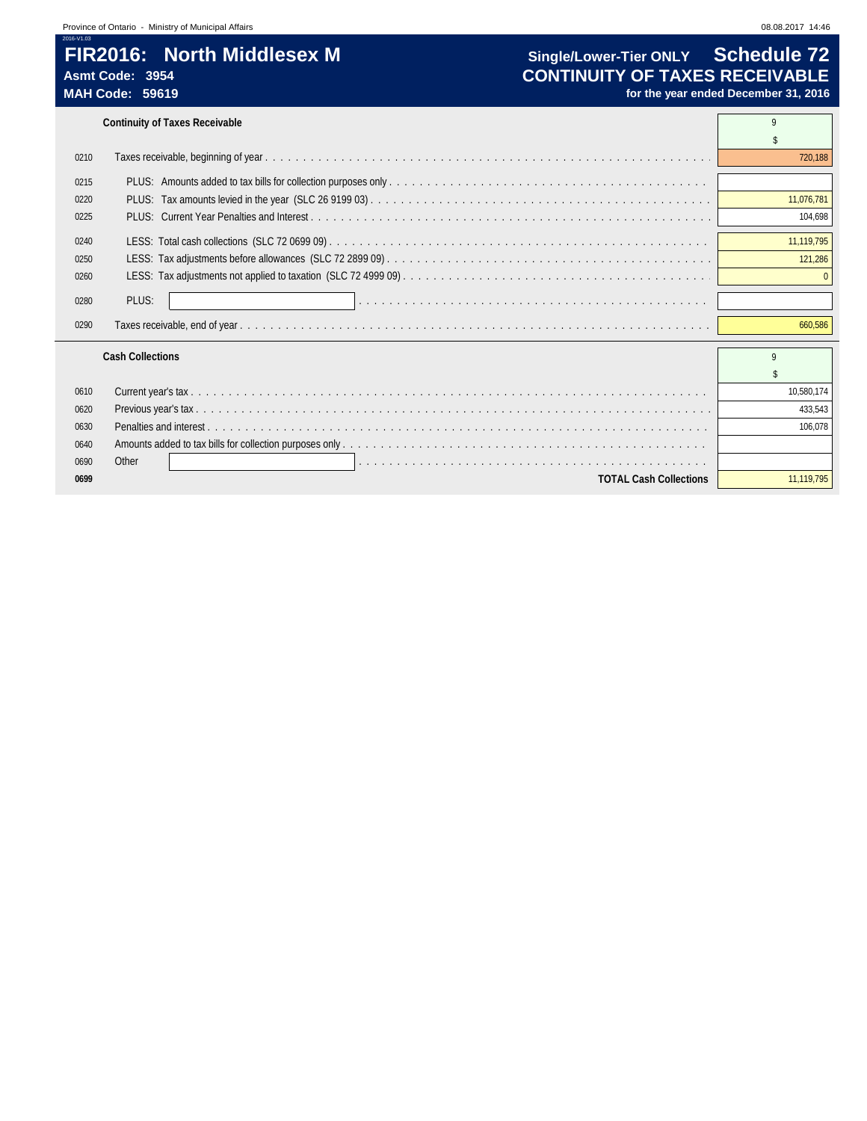# **FIR2016: North Middlesex M Single/Lower-Tier ONLY Schedule 72**

**Continuity of Taxes Receivable** 9 and 200 and 200 and 200 and 200 and 200 and 200 and 200 and 200 and 200 and 200 and 200 and 200 and 200 and 200 and 200 and 200 and 200 and 200 and 200 and 200 and 200 and 200 and 200 and

| 0210 |                               | 720,188    |
|------|-------------------------------|------------|
| 0215 |                               |            |
| 0220 |                               | 11.076.781 |
| 0225 |                               | 104.698    |
| 0240 |                               | 11.119.795 |
| 0250 |                               | 121,286    |
| 0260 |                               |            |
| 0280 | PLUS:                         |            |
| 0290 |                               | 660,586    |
|      | <b>Cash Collections</b>       | q          |
|      |                               |            |
| 0610 |                               | 10,580,174 |
| 0620 |                               | 433.543    |
| 0630 |                               | 106.078    |
| 0640 |                               |            |
| 0690 | Other                         |            |
| 0699 | <b>TOTAL Cash Collections</b> | 11.119.795 |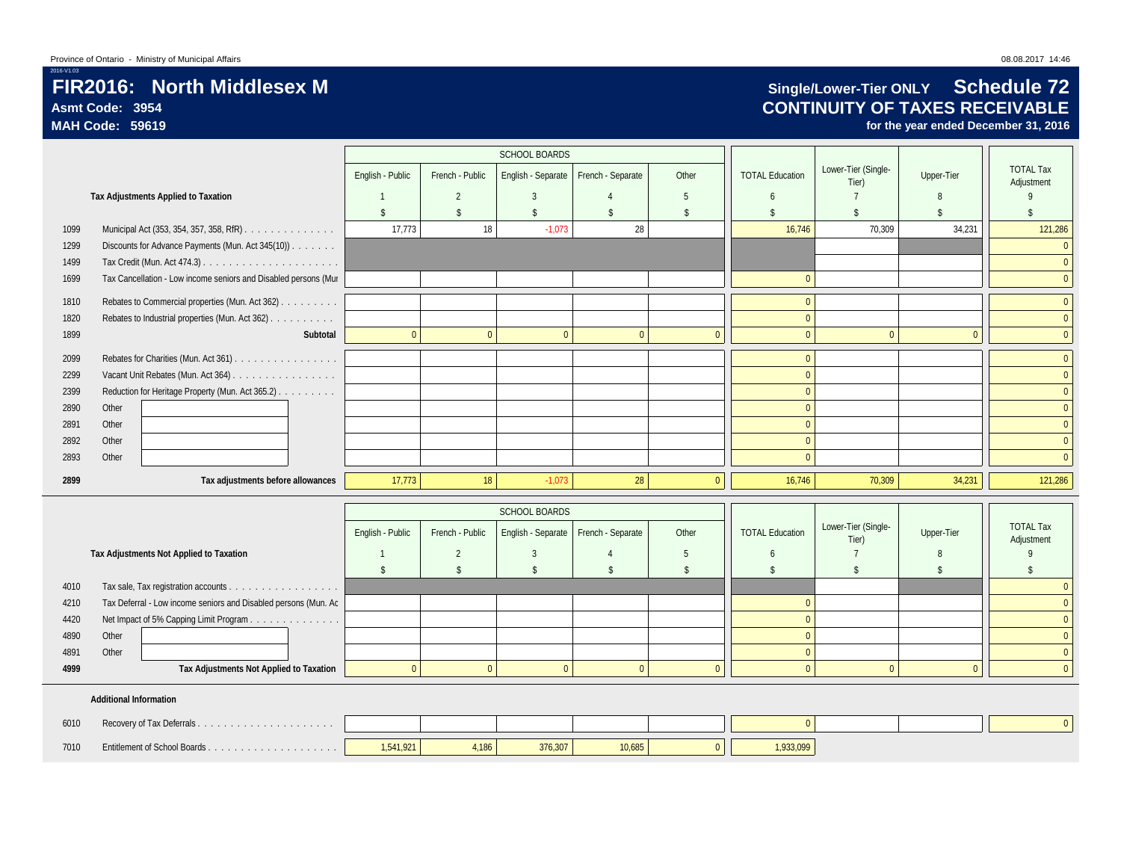## **FIR2016: North Middlesex M Single/Lower-Tier ONLY Schedule 72**<br>Asmt Code: 3954 **Single/Lower-Tier ONLY Schedule 72 Asmt Code: 3954 CONTINUITY OF TAXES RECEIVABLE**

**MAH Code: 59619 for the year ended December 31, 2016**

|      |                                                                 |                  |                              | <b>SCHOOL BOARDS</b>          |                   |                    |                        |                              |                   |                                |
|------|-----------------------------------------------------------------|------------------|------------------------------|-------------------------------|-------------------|--------------------|------------------------|------------------------------|-------------------|--------------------------------|
|      |                                                                 | English - Public | French - Public              | English - Separate            | French - Separate | Other              | <b>TOTAL Education</b> | Lower-Tier (Single-<br>Tier) | Upper-Tier        | <b>TOTAL Tax</b><br>Adjustment |
|      | Tax Adjustments Applied to Taxation                             |                  | $\overline{2}$               | 3                             |                   | 5                  | 6                      | $\overline{7}$               | 8                 | $\mathbf{Q}$                   |
|      |                                                                 | $\sqrt{2}$       | $\sqrt[6]{2}$                | \$                            | $\mathsf{\$}$     | \$                 | $\mathbf{\hat{S}}$     | \$                           | $\mathbb{S}$      | $\mathsf{\$}$                  |
| 1099 | Municipal Act (353, 354, 357, 358, RfR)                         | 17,773           | 18                           | $-1,073$                      | 28                |                    | 16,746                 | 70,309                       | 34,231            | 121,286                        |
| 1299 | Discounts for Advance Payments (Mun. Act 345(10))               |                  |                              |                               |                   |                    |                        |                              |                   | $\overline{0}$                 |
| 1499 |                                                                 |                  |                              |                               |                   |                    |                        |                              |                   | $\overline{0}$                 |
| 1699 | Tax Cancellation - Low income seniors and Disabled persons (Mur |                  |                              |                               |                   |                    | $\mathbf{0}$           |                              |                   | $\overline{0}$                 |
| 1810 | Rebates to Commercial properties (Mun. Act 362)                 |                  |                              |                               |                   |                    | $\overline{0}$         |                              |                   | $\overline{0}$                 |
| 1820 | Rebates to Industrial properties (Mun. Act 362)                 |                  |                              |                               |                   |                    | $\mathbf{0}$           |                              |                   | $\overline{0}$                 |
| 1899 | Subtotal                                                        | $\mathbf{0}$     | $\mathbf{0}$                 | $\mathbf{0}$                  | $\mathbf{0}$      | $\overline{0}$     | $\overline{0}$         | $\overline{0}$               | $\theta$          | $\overline{0}$                 |
| 2099 | Rebates for Charities (Mun. Act 361)                            |                  |                              |                               |                   |                    | $\Omega$               |                              |                   | $\overline{0}$                 |
| 2299 | Vacant Unit Rebates (Mun. Act 364)                              |                  |                              |                               |                   |                    | $\mathbf{0}$           |                              |                   | $\overline{0}$                 |
| 2399 | Reduction for Heritage Property (Mun. Act 365.2)                |                  |                              |                               |                   |                    | $\mathbf{0}$           |                              |                   | $\overline{0}$                 |
| 2890 | Other                                                           |                  |                              |                               |                   |                    | $\mathbf{0}$           |                              |                   | $\overline{0}$                 |
| 2891 | Other                                                           |                  |                              |                               |                   |                    | $\mathbf{0}$           |                              |                   | $\overline{0}$                 |
| 2892 | Other                                                           |                  |                              |                               |                   |                    | $\mathbf{0}$           |                              |                   | $\overline{0}$                 |
| 2893 | Other                                                           |                  |                              |                               |                   |                    | $\Omega$               |                              |                   | $\overline{0}$                 |
|      |                                                                 |                  |                              |                               |                   |                    |                        |                              |                   |                                |
| 2899 | Tax adjustments before allowances                               | 17,773           | 18                           | $-1,073$                      | 28                | $\overline{0}$     | 16,746                 | 70,309                       | 34,231            | 121,286                        |
|      |                                                                 |                  |                              | <b>SCHOOL BOARDS</b>          |                   |                    |                        |                              |                   |                                |
|      |                                                                 | English - Public | French - Public              | English - Separate            | French - Separate | Other              | <b>TOTAL Education</b> | Lower-Tier (Single-          | Upper-Tier        | <b>TOTAL Tax</b>               |
|      |                                                                 | $\overline{1}$   |                              |                               | $\overline{4}$    |                    | 6                      | Tier)<br>$\overline{7}$      |                   | Adjustment<br>9                |
|      | Tax Adjustments Not Applied to Taxation                         | $\mathsf{\$}$    | $\overline{2}$<br>$\sqrt{2}$ | $\mathbf{3}$<br>$\mathsf{\$}$ | $\mathsf{\$}$     | 5<br>$\sqrt[6]{2}$ | $\sqrt{2}$             | $\mathsf{\$}$                | 8<br>$\mathbb{S}$ | $\sqrt[6]{3}$                  |
| 4010 |                                                                 |                  |                              |                               |                   |                    |                        |                              |                   | $\overline{0}$                 |
| 4210 | Tax Deferral - Low income seniors and Disabled persons (Mun. Ac |                  |                              |                               |                   |                    | $\Omega$               |                              |                   | $\overline{0}$                 |
| 4420 | Net Impact of 5% Capping Limit Program                          |                  |                              |                               |                   |                    | $\Omega$               |                              |                   | $\overline{0}$                 |
| 4890 | Other                                                           |                  |                              |                               |                   |                    | $\Omega$               |                              |                   | $\overline{0}$                 |
| 4891 | Other                                                           |                  |                              |                               |                   |                    | $\Omega$               |                              |                   | $\overline{0}$                 |
| 4999 | Tax Adjustments Not Applied to Taxation                         | $\overline{0}$   | $\overline{0}$               | $\mathbf{0}$                  | $\mathbf{0}$      | $\overline{0}$     | $\Omega$               | $\mathbf{0}$                 | $\Omega$          | $\overline{0}$                 |
|      | <b>Additional Information</b>                                   |                  |                              |                               |                   |                    |                        |                              |                   |                                |
| 6010 |                                                                 |                  |                              |                               |                   |                    | $\overline{0}$         |                              |                   | $\overline{0}$                 |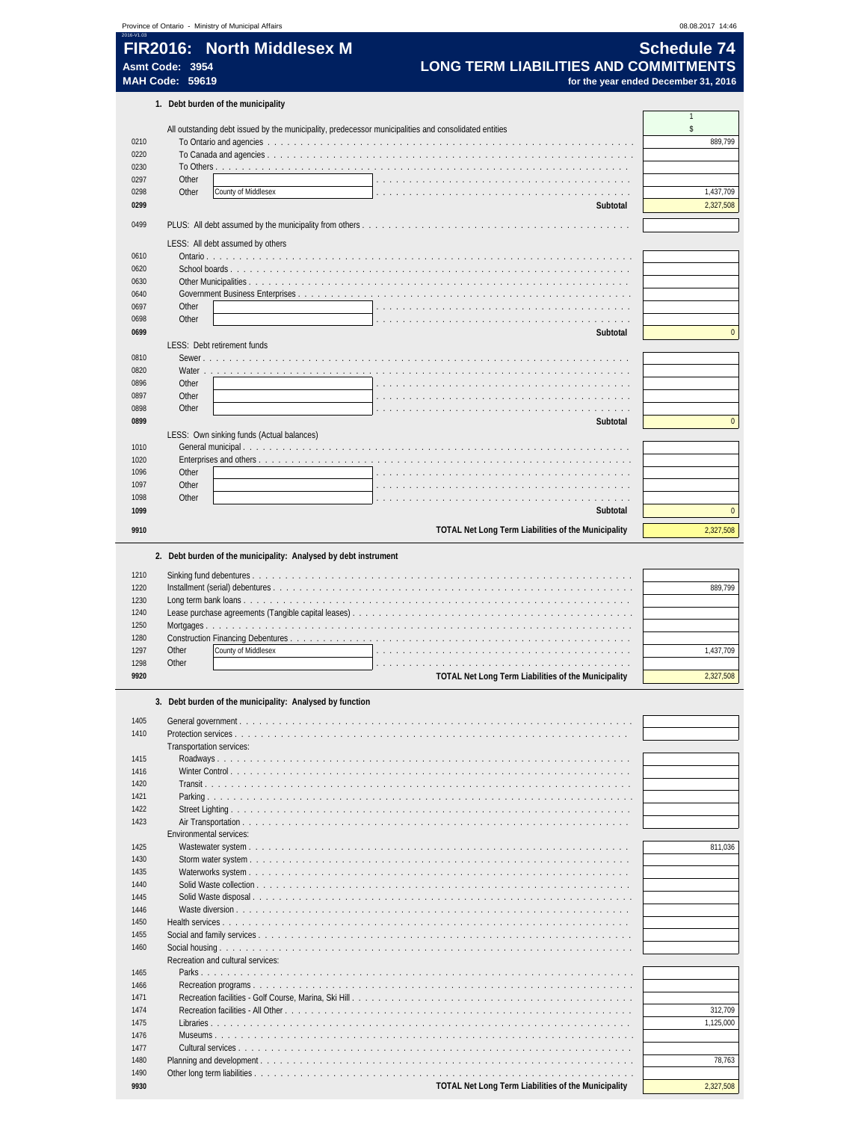| 2016-V1.03<br>FIR2016: North Middlesex M                 |                                                                                                       | 08.08.2017 14:46       |
|----------------------------------------------------------|-------------------------------------------------------------------------------------------------------|------------------------|
|                                                          |                                                                                                       | <b>Schedule 74</b>     |
|                                                          |                                                                                                       |                        |
| Asmt Code: 3954<br><b>MAH Code: 59619</b>                | <b>LONG TERM LIABILITIES AND COMMITMENTS</b>                                                          |                        |
|                                                          | for the year ended December 31, 2016                                                                  |                        |
| 1. Debt burden of the municipality                       |                                                                                                       | $\overline{1}$         |
|                                                          | All outstanding debt issued by the municipality, predecessor municipalities and consolidated entities | \$                     |
| 0210                                                     |                                                                                                       | 889,799                |
| 0220                                                     |                                                                                                       |                        |
| 0230                                                     |                                                                                                       |                        |
| 0297<br>Other                                            |                                                                                                       |                        |
| Other<br>County of Middlesex<br>0298<br>0299             | Subtotal                                                                                              | 1,437,709<br>2,327,508 |
|                                                          |                                                                                                       |                        |
| 0499                                                     |                                                                                                       |                        |
| LESS: All debt assumed by others                         |                                                                                                       |                        |
| 0610<br>0620                                             |                                                                                                       |                        |
| 0630                                                     |                                                                                                       |                        |
| 0640                                                     | Government Business Enterprises                                                                       |                        |
| 0697<br>Other                                            |                                                                                                       |                        |
| Other<br>0698                                            |                                                                                                       |                        |
| 0699                                                     | Subtotal                                                                                              | $\mathbf{0}$           |
| LESS: Debt retirement funds                              |                                                                                                       |                        |
| 0810<br>Sewer.                                           |                                                                                                       |                        |
| 0820<br>Water<br>Other<br>0896                           |                                                                                                       |                        |
| 0897<br>Other                                            |                                                                                                       |                        |
| 0898<br>Other                                            |                                                                                                       |                        |
| 0899                                                     | Subtotal                                                                                              | $\mathbf{0}$           |
| LESS: Own sinking funds (Actual balances)                |                                                                                                       |                        |
| 1010                                                     |                                                                                                       |                        |
| 1020                                                     | Enterprises and others                                                                                |                        |
| 1096<br>Other<br>1097<br>Other                           |                                                                                                       |                        |
| 1098<br>Other                                            |                                                                                                       |                        |
| 1099                                                     | Subtotal                                                                                              | $\mathbf{0}$           |
| 9910                                                     | TOTAL Net Long Term Liabilities of the Municipality                                                   | 2,327,508              |
|                                                          |                                                                                                       |                        |
|                                                          | 2. Debt burden of the municipality: Analysed by debt instrument                                       |                        |
| 1210                                                     |                                                                                                       |                        |
| 1220                                                     |                                                                                                       | 889,799                |
| 1230                                                     |                                                                                                       |                        |
| 1240                                                     |                                                                                                       |                        |
| 1250<br>Mortgages                                        |                                                                                                       |                        |
| 1280<br>1297<br>Other<br>County of Middlesex             |                                                                                                       | 1,437,709              |
| 1298<br>Other                                            | de la caractería de la caractería de la caractería de la caractería de la caractería                  |                        |
| 9920                                                     | TOTAL Net Long Term Liabilities of the Municipality                                                   | 2,327,508              |
|                                                          |                                                                                                       |                        |
| 3. Debt burden of the municipality: Analysed by function |                                                                                                       |                        |
| 1405                                                     |                                                                                                       |                        |
| 1410<br>Transportation services:                         |                                                                                                       |                        |
| 1415                                                     |                                                                                                       |                        |
| 1416                                                     |                                                                                                       |                        |
| 1420                                                     |                                                                                                       |                        |
| 1421                                                     |                                                                                                       |                        |
| 1422                                                     |                                                                                                       |                        |
| 1423                                                     |                                                                                                       |                        |
|                                                          |                                                                                                       | 811,036                |
| Environmental services:                                  |                                                                                                       |                        |
| 1425<br>1430                                             |                                                                                                       |                        |
| 1435                                                     |                                                                                                       |                        |
| 1440                                                     |                                                                                                       |                        |
| 1445                                                     |                                                                                                       |                        |
| 1446                                                     |                                                                                                       |                        |
| 1450                                                     |                                                                                                       |                        |
| 1455                                                     |                                                                                                       |                        |
| 1460<br>Recreation and cultural services:                |                                                                                                       |                        |
| 1465                                                     |                                                                                                       |                        |
| 1466                                                     |                                                                                                       |                        |
| 1471                                                     |                                                                                                       |                        |
| 1474                                                     |                                                                                                       |                        |
| 1475                                                     |                                                                                                       | 312,709<br>1,125,000   |
| 1476                                                     |                                                                                                       |                        |
| 1477<br>1480                                             |                                                                                                       | 78,763                 |
| 1490                                                     |                                                                                                       |                        |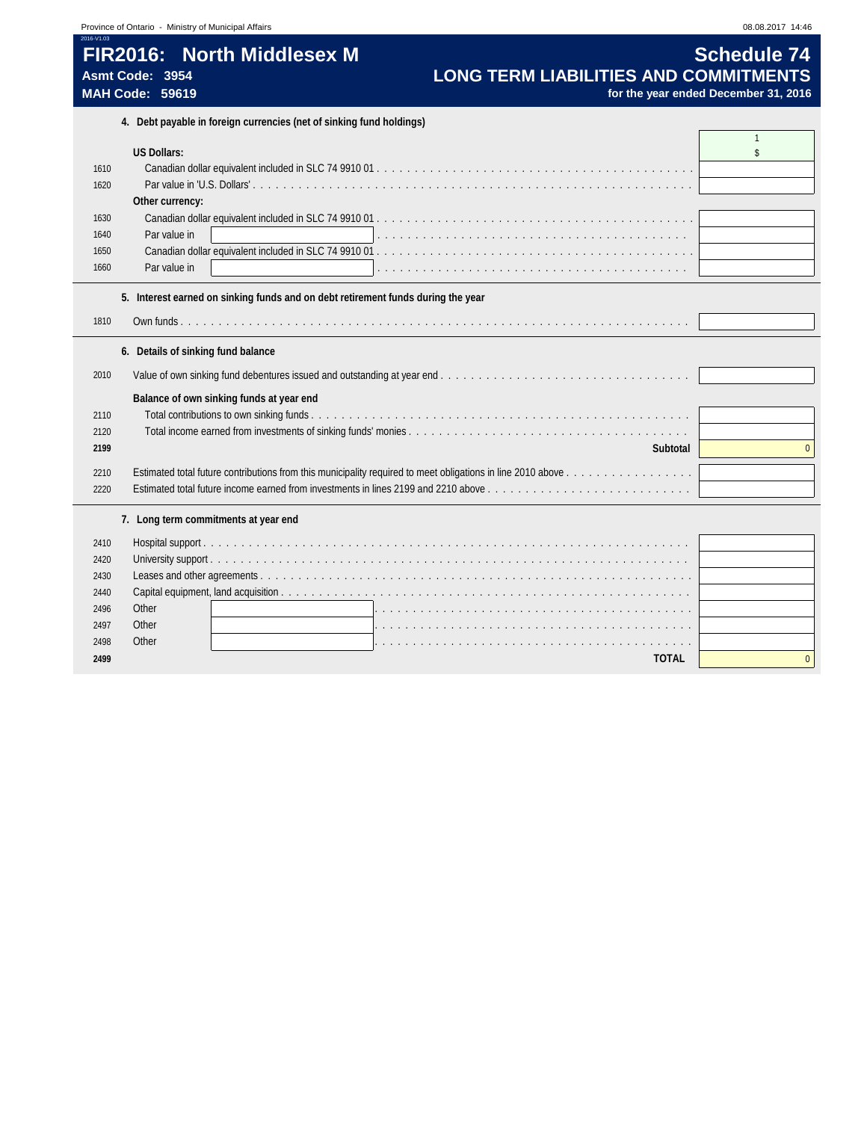|                                           | Province of Ontario - Ministry of Municipal Affairs                                        | 08.08.2017 14:46                                           |
|-------------------------------------------|--------------------------------------------------------------------------------------------|------------------------------------------------------------|
| Asmt Code: 3954<br><b>MAH Code: 59619</b> | FIR2016: North Middlesex M<br><b>LONG TERM LIABILITIES AND COMMITMENTS</b>                 | <b>Schedule 74</b><br>for the year ended December 31, 2016 |
|                                           | 4. Debt payable in foreign currencies (net of sinking fund holdings)                       |                                                            |
| <b>US Dollars:</b>                        |                                                                                            | $\mathbf{1}$<br>$\mathbf{\hat{s}}$                         |
| 1610                                      |                                                                                            |                                                            |
| 1620                                      |                                                                                            |                                                            |
|                                           | Other currency:                                                                            |                                                            |
| 1630                                      |                                                                                            |                                                            |
| 1640                                      | Par value in                                                                               |                                                            |
| 1650                                      |                                                                                            |                                                            |
| 1660                                      | Par value in                                                                               |                                                            |
| 2010<br>2110<br>2120<br>2199              | 6. Details of sinking fund balance<br>Balance of own sinking funds at year end<br>Subtotal | $\Omega$                                                   |
| 2210                                      |                                                                                            |                                                            |
| 2220                                      |                                                                                            |                                                            |
|                                           | 7. Long term commitments at year end                                                       |                                                            |
| 2410                                      |                                                                                            |                                                            |
| 2420                                      |                                                                                            |                                                            |
| 2430                                      |                                                                                            |                                                            |
| 2440                                      |                                                                                            |                                                            |
| Other<br>2496                             |                                                                                            |                                                            |
| 2497<br>Other                             |                                                                                            |                                                            |
| 2498<br>Other                             |                                                                                            |                                                            |
| 2499                                      | <b>TOTAL</b>                                                                               | $\Omega$                                                   |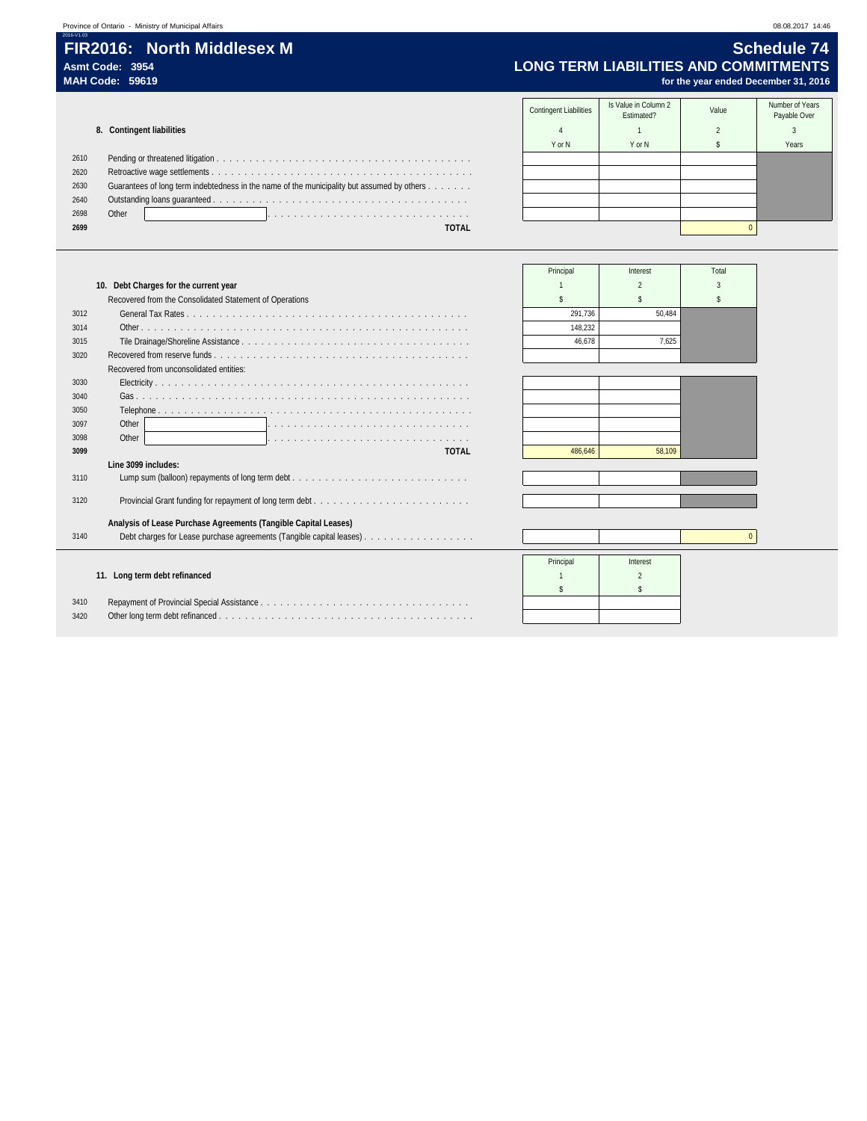### **FIR2016: North Middlesex M Schedule 74**<br>Asmt Code: 3954 **Schedule 74**<br>LONG TERM LIABILITIES AND COMMITMENTS **Asmt Code: 3954 LONG TERM LIABILITIES AND COMMITMENTS** for the year ended December 31, 2016

|      |                                                                                            | <b>Contingent Liabilities</b> | Is Value in Column 2<br>Estimated? | Value | Number of Years<br>Payable Over |
|------|--------------------------------------------------------------------------------------------|-------------------------------|------------------------------------|-------|---------------------------------|
|      | 8. Contingent liabilities                                                                  |                               |                                    |       |                                 |
|      |                                                                                            | Y or N                        | Y or N                             |       | Years                           |
| 2610 |                                                                                            |                               |                                    |       |                                 |
| 2620 |                                                                                            |                               |                                    |       |                                 |
| 2630 | Guarantees of long term indebtedness in the name of the municipality but assumed by others |                               |                                    |       |                                 |
| 2640 |                                                                                            |                               |                                    |       |                                 |
| 2698 | Other                                                                                      |                               |                                    |       |                                 |
| 2699 | <b>TOTAL</b>                                                                               |                               |                                    |       |                                 |
|      |                                                                                            |                               |                                    |       |                                 |

|      |                                                                      | Principal | Interest | Total    |
|------|----------------------------------------------------------------------|-----------|----------|----------|
|      | 10. Debt Charges for the current year                                |           |          |          |
|      | Recovered from the Consolidated Statement of Operations              |           |          |          |
| 3012 |                                                                      | 291.736   | 50.484   |          |
| 3014 |                                                                      | 148,232   |          |          |
| 3015 |                                                                      | 46.678    | 7.625    |          |
| 3020 |                                                                      |           |          |          |
|      | Recovered from unconsolidated entities:                              |           |          |          |
| 3030 |                                                                      |           |          |          |
| 3040 |                                                                      |           |          |          |
| 3050 |                                                                      |           |          |          |
| 3097 | Other                                                                |           |          |          |
| 3098 | Other                                                                |           |          |          |
| 3099 | <b>TOTAL</b>                                                         | 486.646   | 58.109   |          |
|      | Line 3099 includes:                                                  |           |          |          |
| 3110 |                                                                      |           |          |          |
| 3120 |                                                                      |           |          |          |
|      |                                                                      |           |          |          |
|      | Analysis of Lease Purchase Agreements (Tangible Capital Leases)      |           |          |          |
| 3140 | Debt charges for Lease purchase agreements (Tangible capital leases) |           |          | $\Omega$ |

Principal Interest

 $\mathsf{s}$   $\blacksquare$ 

### **11. Long term debt refinanced** 2 2

| 3410 |  |
|------|--|
| 3420 |  |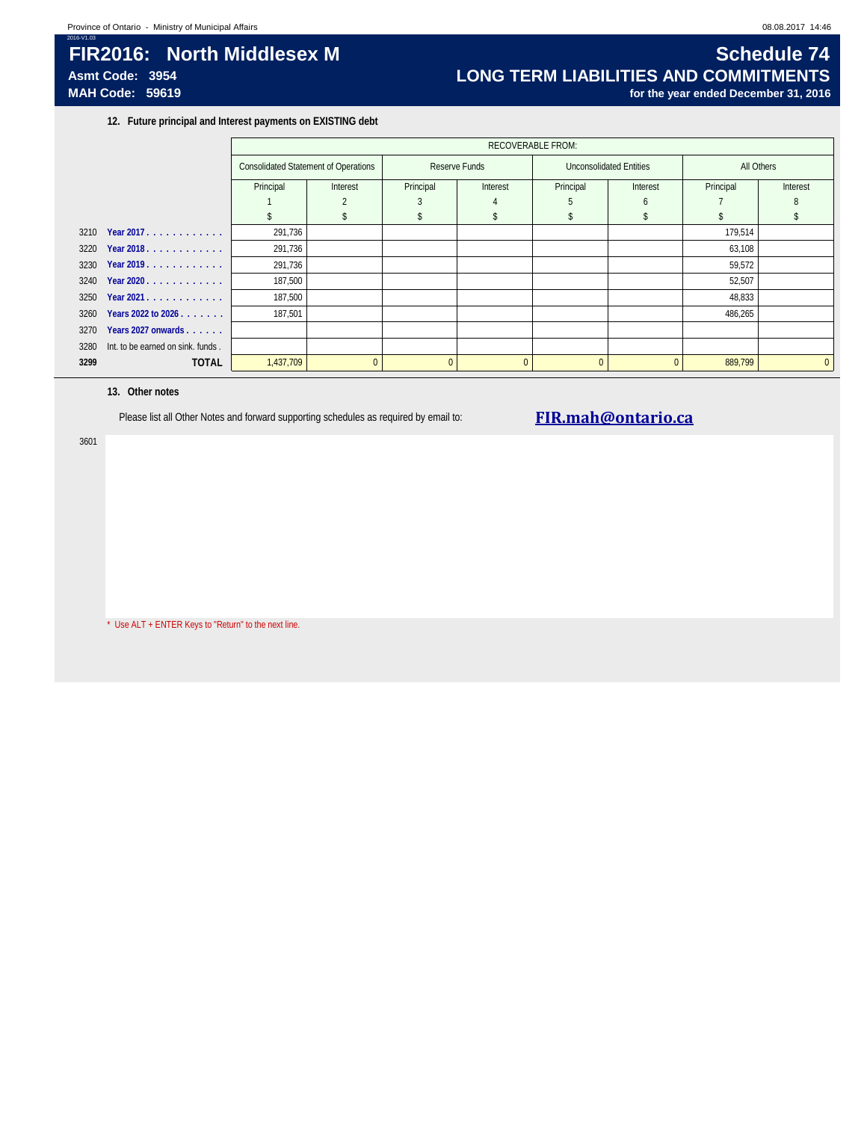## **FIR2016: North Middlesex M Schedule 74**<br>Asmt Code: 3954 **Schedule 74 Schedule 74 Schedule 74 Schedule 74 Schedule 74 Schedule 74 Schedule 74 Schedule 74 Schedule 74 Schedule 74 Schedule 74 Schedule** Asmt Code: 3954<br>MAH Code: 59619<br>MAH Code: 59619 for the year ended December 31, 2016

**12. Future principal and Interest payments on EXISTING debt**

|      |                                        |                                             | <b>RECOVERABLE FROM:</b> |               |          |           |                         |            |          |  |
|------|----------------------------------------|---------------------------------------------|--------------------------|---------------|----------|-----------|-------------------------|------------|----------|--|
|      |                                        | <b>Consolidated Statement of Operations</b> |                          | Reserve Funds |          |           | Unconsolidated Entities | All Others |          |  |
|      |                                        | Principal                                   | Interest                 | Principal     | Interest | Principal | Interest                | Principal  | Interest |  |
|      |                                        |                                             |                          |               |          |           |                         |            |          |  |
|      |                                        |                                             |                          |               |          |           |                         |            |          |  |
|      | 3210 Year 2017.                        | 291,736                                     |                          |               |          |           |                         | 179,514    |          |  |
|      | 3220 Year 2018.                        | 291,736                                     |                          |               |          |           |                         | 63,108     |          |  |
|      | 3230 Year 2019.                        | 291,736                                     |                          |               |          |           |                         | 59,572     |          |  |
|      | 3240 Year 2020                         | 187,500                                     |                          |               |          |           |                         | 52,507     |          |  |
|      | 3250 Year 2021.                        | 187,500                                     |                          |               |          |           |                         | 48,833     |          |  |
| 3260 | Years 2022 to 2026                     | 187,501                                     |                          |               |          |           |                         | 486,265    |          |  |
| 3270 | Years 2027 onwards                     |                                             |                          |               |          |           |                         |            |          |  |
|      | 3280 Int. to be earned on sink. funds. |                                             |                          |               |          |           |                         |            |          |  |
| 3299 | <b>TOTAL</b>                           | 1,437,709                                   | $\Omega$                 | $\Omega$      | $\Omega$ |           |                         | 889,799    | $\Omega$ |  |
|      |                                        |                                             |                          |               |          |           |                         |            |          |  |

### **13. Other notes**

Please list all Other Notes and forward supporting schedules as required by email to: **FIR.mah@ontario.ca** 

3601

\* Use ALT + ENTER Keys to "Return" to the next line.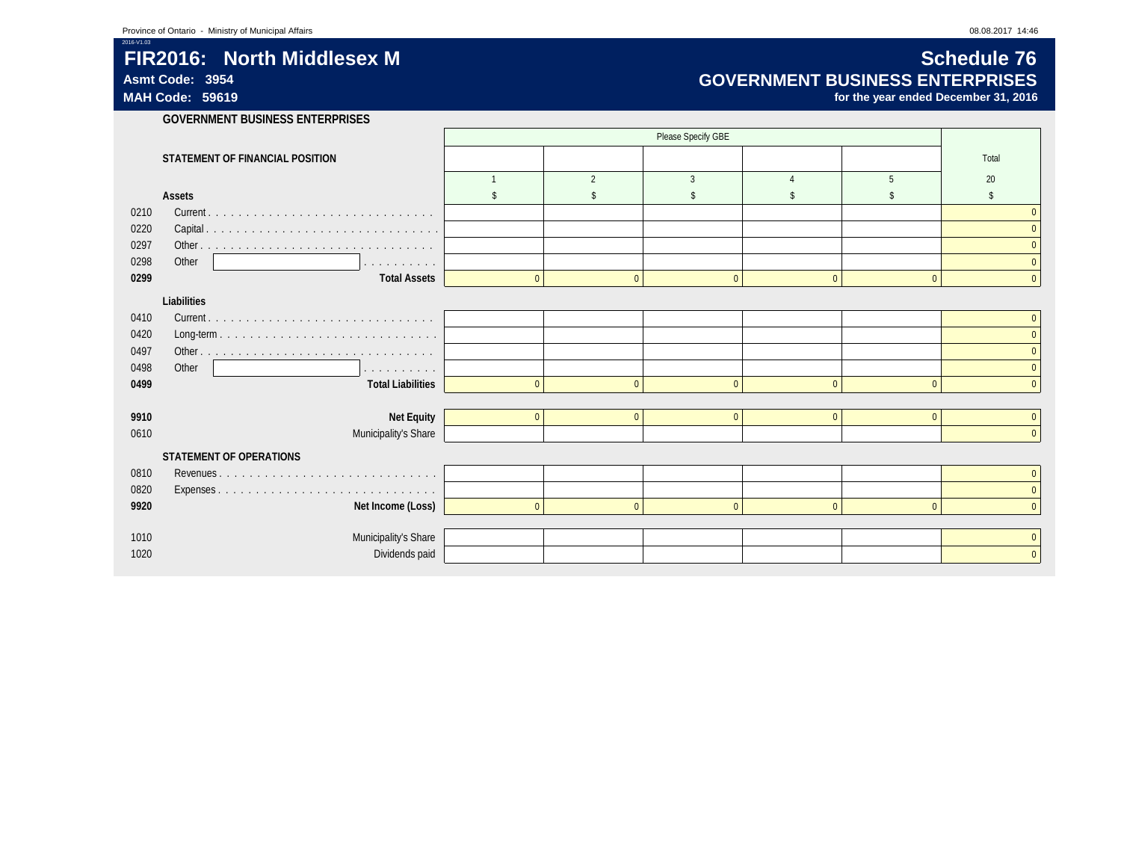## **FIR2016:** North Middlesex M<br>Asmt Code: 3954 **Schedule 76**<br>GOVERNMENT BUSINESS ENTERPRISES **Asmt Code: 3954 GOVERNMENT BUSINESS ENTERPRISES**

for the year ended December 31, 2016

**GOVERNMENT BUSINESS ENTERPRISES**

|      | STATEMENT OF FINANCIAL POSITION      |                |                |                |                |              | Total |
|------|--------------------------------------|----------------|----------------|----------------|----------------|--------------|-------|
|      |                                      |                | $\overline{2}$ | $\overline{3}$ |                | 5            | 20    |
|      | <b>Assets</b>                        |                |                |                |                |              | \$    |
| 0210 |                                      |                |                |                |                |              |       |
| 0220 |                                      |                |                |                |                |              |       |
| 0297 |                                      |                |                |                |                |              |       |
| 0298 | Other<br>.                           |                |                |                |                |              |       |
| 0299 | <b>Total Assets</b>                  | $\overline{0}$ | $\Omega$       | $\Omega$       | $\Omega$       | $\Omega$     |       |
|      | Liabilities                          |                |                |                |                |              |       |
| 0410 |                                      |                |                |                |                |              |       |
| 0420 |                                      |                |                |                |                |              |       |
| 0497 |                                      |                |                |                |                |              |       |
| 0498 | Other<br>والمناور والمناور والمناورة |                |                |                |                |              |       |
| 0499 | <b>Total Liabilities</b>             | $\mathbf{0}$   | $\Omega$       | $\Omega$       | $\Omega$       | $\Omega$     |       |
| 9910 |                                      | $\mathbf{0}$   | $\mathbf{0}$   | $\mathbf{0}$   | $\overline{0}$ | $\mathbf{0}$ |       |
| 0610 | Net Equity<br>Municipality's Share   |                |                |                |                |              |       |
|      |                                      |                |                |                |                |              |       |
|      | STATEMENT OF OPERATIONS              |                |                |                |                |              |       |
| 0810 |                                      |                |                |                |                |              |       |
| 0820 |                                      |                |                |                |                |              |       |
| 9920 | Net Income (Loss)                    | $\mathbf{0}$   | $\Omega$       | $\Omega$       | $\Omega$       | $\Omega$     |       |
| 1010 | Municipality's Share                 |                |                |                |                |              |       |
| 1020 | Dividends paid                       |                |                |                |                |              |       |
|      |                                      |                |                |                |                |              |       |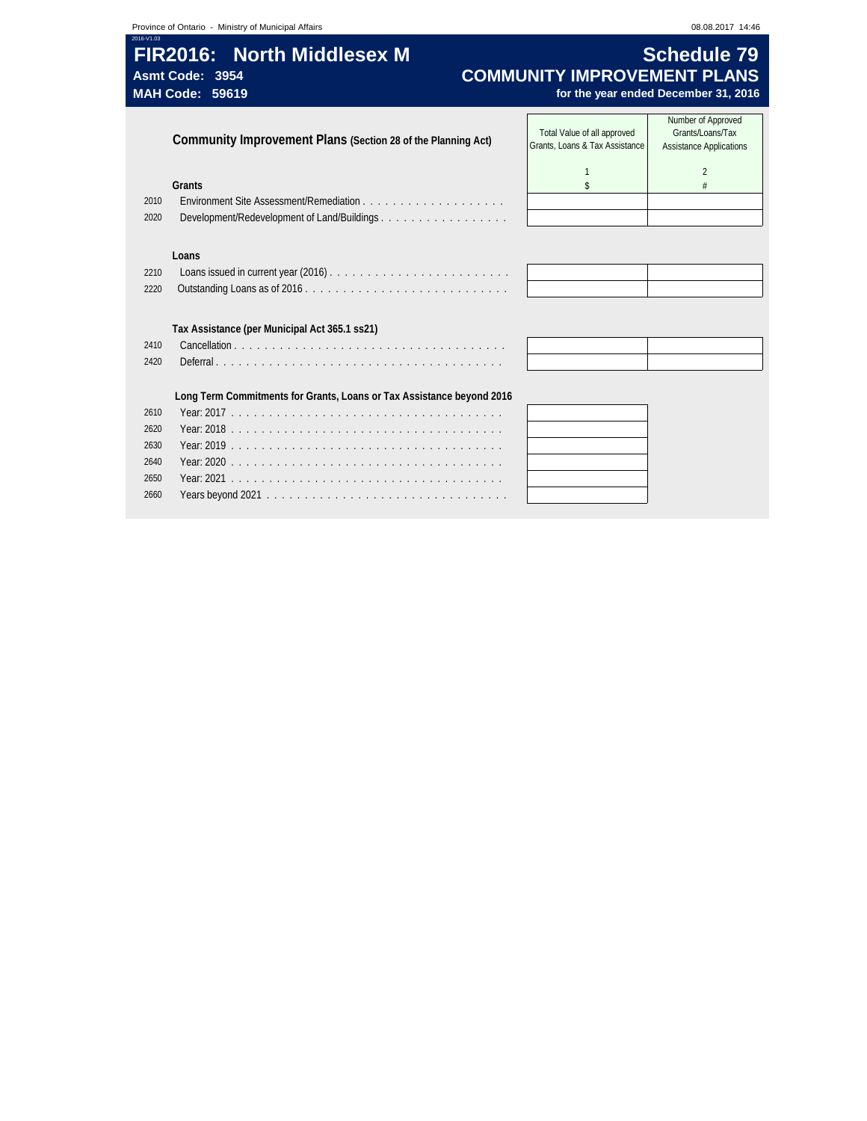$\overline{\phantom{a}}$ 

## **FIR2016:** North Middlesex M **Schedule 79** Asmt Code: 3954 **COMMUNITY IMPROVEMENT PLANS**<br>MAH Code: 59619 *COMMUNITY IMPROVEMENT PLANS*

 $\sqrt{2}$ 

### for the year ended December 31, 2016

|      | Community Improvement Plans (Section 28 of the Planning Act)          | Total Value of all approved<br>Grants, Loans & Tax Assistance | Number of Approved<br>Grants/Loans/Tax<br><b>Assistance Applications</b> |
|------|-----------------------------------------------------------------------|---------------------------------------------------------------|--------------------------------------------------------------------------|
|      |                                                                       |                                                               | $\overline{2}$                                                           |
|      | Grants                                                                | \$                                                            | #                                                                        |
| 2010 |                                                                       |                                                               |                                                                          |
| 2020 |                                                                       |                                                               |                                                                          |
|      |                                                                       |                                                               |                                                                          |
|      | Loans                                                                 |                                                               |                                                                          |
| 2210 |                                                                       |                                                               |                                                                          |
| 2220 |                                                                       |                                                               |                                                                          |
|      |                                                                       |                                                               |                                                                          |
|      | Tax Assistance (per Municipal Act 365.1 ss21)                         |                                                               |                                                                          |
| 2410 |                                                                       |                                                               |                                                                          |
| 2420 |                                                                       |                                                               |                                                                          |
|      |                                                                       |                                                               |                                                                          |
|      | Long Term Commitments for Grants, Loans or Tax Assistance beyond 2016 |                                                               |                                                                          |
| 2610 |                                                                       |                                                               |                                                                          |
| 2620 |                                                                       |                                                               |                                                                          |
| 2630 |                                                                       |                                                               |                                                                          |
| 2640 |                                                                       |                                                               |                                                                          |
| 2650 |                                                                       |                                                               |                                                                          |
| 2660 |                                                                       |                                                               |                                                                          |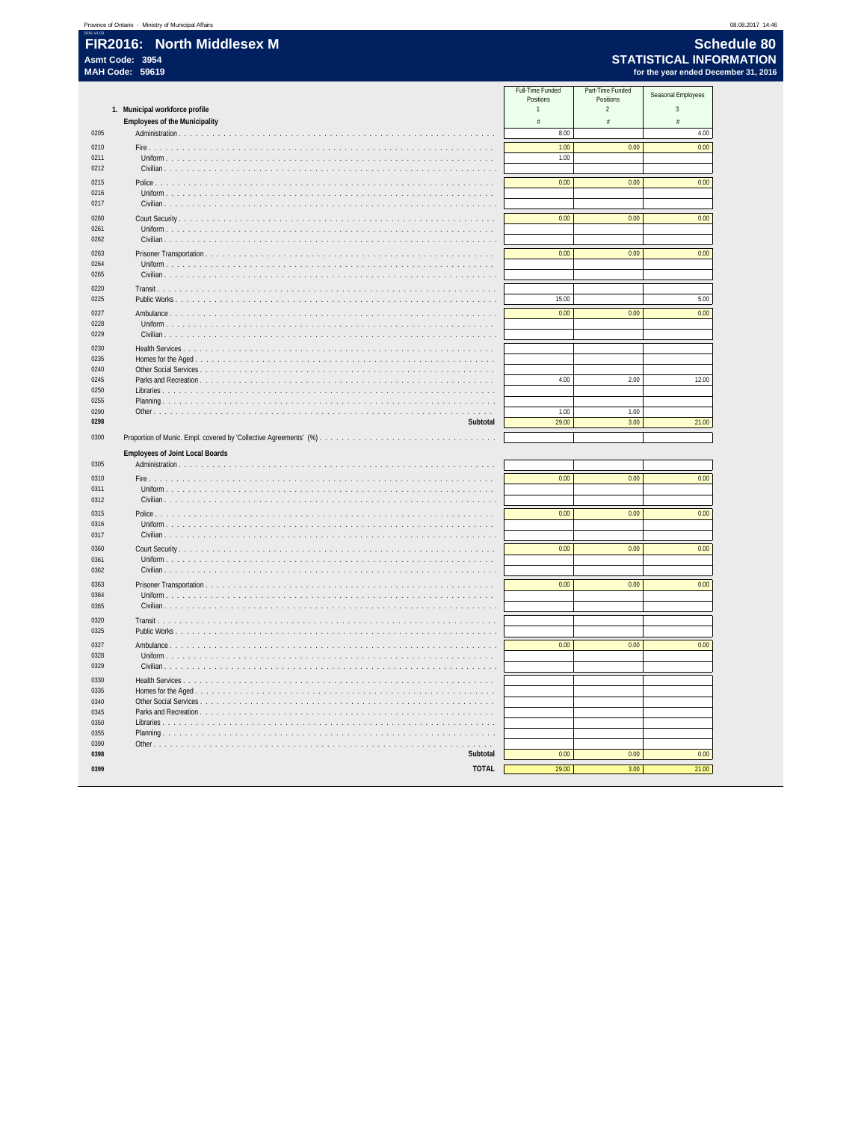08.08.2017 14:46

|              |                                                               | Full-Time Funded<br>Positions<br>1 | Part-Time Funded<br>Positions | Seasonal Employees              |
|--------------|---------------------------------------------------------------|------------------------------------|-------------------------------|---------------------------------|
|              | 1. Municipal workforce profile                                | $\#$                               | $\sqrt{2}$<br>$\#$            | $\sqrt{3}$<br>$\frac{\pi}{\pi}$ |
| 0205         | <b>Employees of the Municipality</b>                          | 8.00                               |                               | 4.00                            |
| 0210         |                                                               | 1.00                               | 0.00                          |                                 |
| 0211         | 1.111                                                         | 1.00                               |                               | 0.00                            |
| 0212         |                                                               |                                    |                               |                                 |
| 0215         |                                                               | 0.00                               | 0.00                          | 0.00                            |
| 0216         |                                                               |                                    |                               |                                 |
| 0217         |                                                               |                                    |                               |                                 |
| 0260         |                                                               | 0.00                               | 0.00                          | 0.00                            |
| 0261         |                                                               |                                    |                               |                                 |
| 0262         |                                                               |                                    |                               |                                 |
| 0263         |                                                               | 0.00                               | 0.00                          | 0.00                            |
| 0264         | Uniform $\ldots$ $\ldots$ $\ldots$ $\ldots$ $\ldots$ $\ldots$ |                                    |                               |                                 |
| 0265         |                                                               |                                    |                               |                                 |
| 0220         | Transit $\ldots$                                              |                                    |                               |                                 |
| 0225         |                                                               | 15.00                              |                               | 5.00                            |
| 0227         |                                                               | 0.00                               | 0.00                          | 0.00                            |
| 0228<br>0229 | Uniform $\ldots$ $\ldots$ $\ldots$ $\ldots$ $\ldots$          |                                    |                               |                                 |
|              | Civilian                                                      |                                    |                               |                                 |
| 0230<br>0235 |                                                               |                                    |                               |                                 |
| 0240         |                                                               |                                    |                               |                                 |
| 0245         | Parks and Recreation                                          | 4.00                               | 2.00                          | 12.00                           |
| 0250         | Libraries                                                     |                                    |                               |                                 |
| 0255         |                                                               |                                    |                               |                                 |
| 0290<br>0298 | Subtotal                                                      | 1.00<br>29.00                      | 1.00<br>3.00                  | 21.00                           |
|              |                                                               |                                    |                               |                                 |
| 0300         |                                                               |                                    |                               |                                 |
|              | <b>Employees of Joint Local Boards</b>                        |                                    |                               |                                 |
| 0305         |                                                               |                                    |                               |                                 |
| 0310         |                                                               | 0.00                               | 0.00                          | 0.00                            |
| 0311<br>0312 |                                                               |                                    |                               |                                 |
|              |                                                               |                                    |                               |                                 |
| 0315<br>0316 |                                                               | 0.00                               | 0.00                          | 0.00                            |
| 0317         | Civilian                                                      |                                    |                               |                                 |
| 0360         |                                                               | 0.00                               | 0.00                          | 0.00                            |
| 0361         | Uniform                                                       |                                    |                               |                                 |
| 0362         | Civilian                                                      |                                    |                               |                                 |
| 0363         |                                                               | 0.00                               | 0.00                          | 0.00                            |
| 0364         | Uniform                                                       |                                    |                               |                                 |
| 0365         | Civilian                                                      |                                    |                               |                                 |
| 0320         | Transit<br>.                                                  |                                    |                               |                                 |
| 0325         |                                                               |                                    |                               |                                 |
| 0327         | Ambulance                                                     | 0.00                               | 0.00                          | 0.00                            |
| 0328         | Uniform                                                       |                                    |                               |                                 |
| 0329         | Civilian                                                      |                                    |                               |                                 |
| 0330         | Health Services                                               |                                    |                               |                                 |
| 0335<br>0340 | Homes for the Aged                                            |                                    |                               |                                 |
| 0345         | Parks and Recreation                                          |                                    |                               |                                 |
| 0350         |                                                               |                                    |                               |                                 |
| 0355         | and a straight and                                            |                                    |                               |                                 |
| 0390         |                                                               |                                    |                               |                                 |
| 0398         | Subtotal                                                      | 0.00                               | 0.00                          | 0.00                            |
| 0399         | <b>TOTAL</b>                                                  | 29.00                              | 3.00                          | 21.00                           |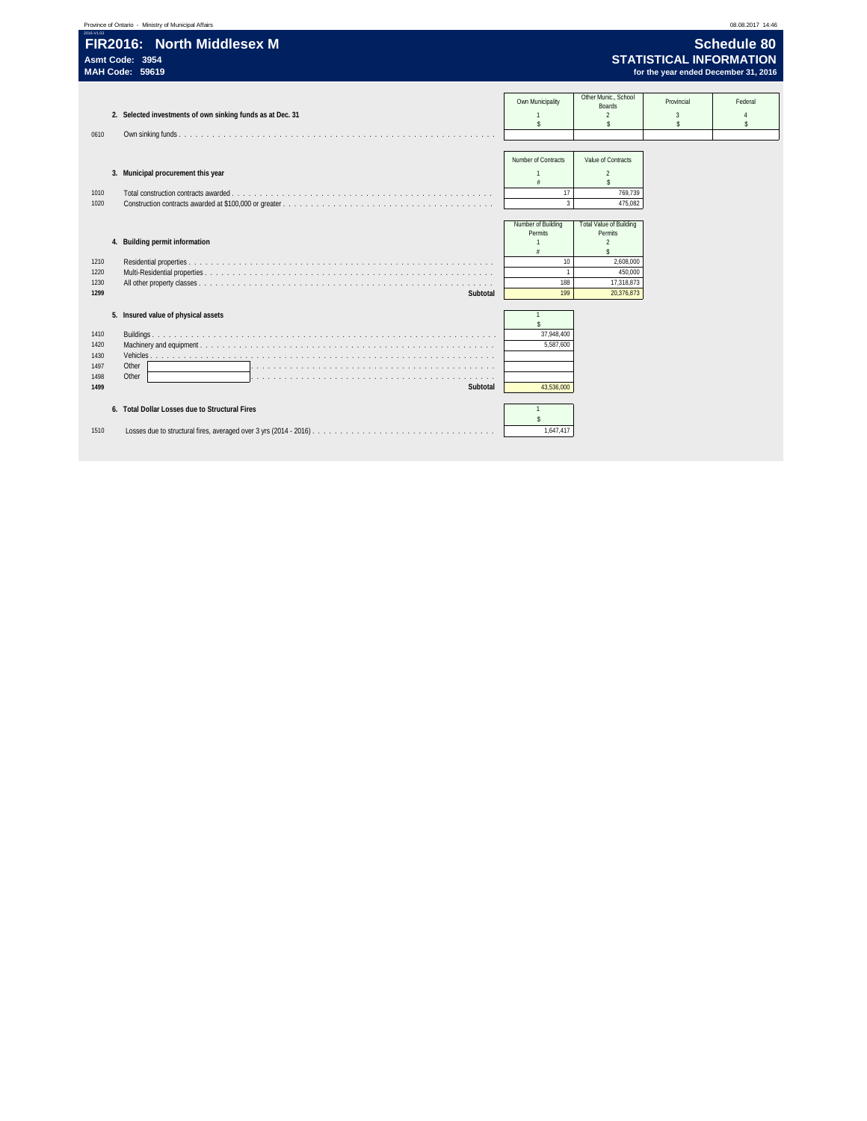| 2016-V1.03<br>FIR2016: North Middlesex M<br>Asmt Code: 3954<br>MAH Code: 59619                                                                                                                                                                                                | <b>Schedule 80</b><br><b>STATISTICAL INFORMATION</b><br>for the year ended December 31, 2016 |
|-------------------------------------------------------------------------------------------------------------------------------------------------------------------------------------------------------------------------------------------------------------------------------|----------------------------------------------------------------------------------------------|
| Other Munic School<br>Own Municipality<br>Provincial<br><b>Boards</b><br>2. Selected investments of own sinking funds as at Dec. 31<br>$\overline{2}$<br>$\overline{3}$<br>$\hat{\mathbf{S}}$<br>$\hat{\mathbf{S}}$<br>$\mathbf{\hat{S}}$<br>0610                             | Federal<br>Ŝ.                                                                                |
| Number of Contracts<br>Value of Contracts<br>3. Municipal procurement this year<br>$\mathfrak{p}$<br>$\hat{\mathbf{S}}$<br>17<br>Total construction contracts awarded<br>769,739<br>1010<br>$\overline{3}$<br>1020<br>475,082                                                 |                                                                                              |
| Number of Building<br><b>Total Value of Building</b><br>Permits<br>Permits<br>4. Building permit information<br>$\mathfrak{p}$<br>$\hat{\mathbf{x}}$<br>10<br>2,608,000<br>1210<br>1<br>450,000<br>1220<br>188<br>17,318,873<br>1230<br>1299<br>199<br>20,376,873<br>Subtotal |                                                                                              |
| 5. Insured value of physical assets<br>37.948.400<br>1410<br>5.587.600<br>1420<br>1430<br>1497<br>Other<br>1498<br>Other<br>a constitution de la constitution de la constitution de la constitution de la constitution de la constitution<br>1499<br>43,536,000<br>Subtotal   |                                                                                              |
| 6. Total Dollar Losses due to Structural Fires<br>$\hat{\mathbf{S}}$<br>1,647,417<br>1510                                                                                                                                                                                     |                                                                                              |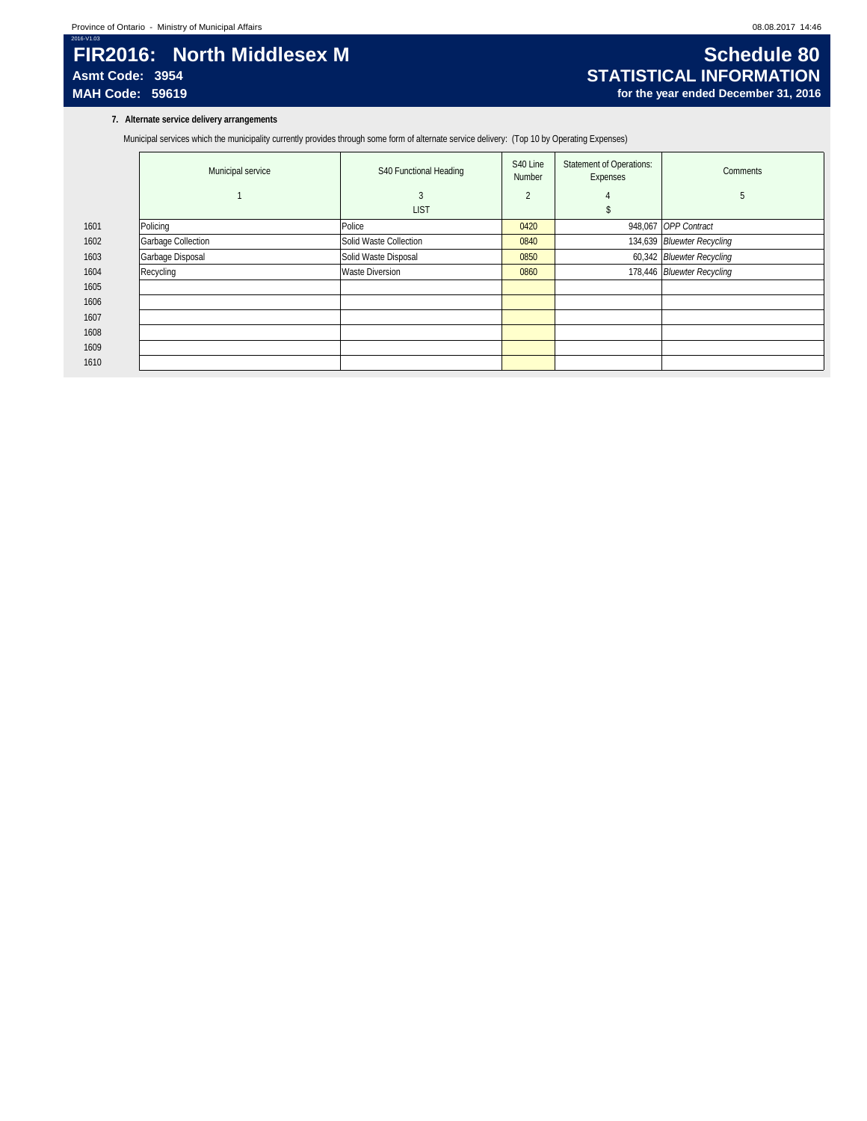## 2016-V1.03 **FIR2016: North Middlesex M Schedule 80**<br>Asmt Code: 3954 **STATISTICAL INFORMATION**

### **7. Alternate service delivery arrangements**

Municipal services which the municipality currently provides through some form of alternate service delivery: (Top 10 by Operating Expenses)

|      | Municipal service  | S40 Functional Heading | S40 Line<br>Number       | <b>Statement of Operations:</b><br>Expenses | Comments                   |
|------|--------------------|------------------------|--------------------------|---------------------------------------------|----------------------------|
|      |                    | 3                      | $\overline{\phantom{a}}$ | 4                                           | 5                          |
|      |                    | <b>LIST</b>            |                          |                                             |                            |
| 1601 | Policing           | Police                 | 0420                     |                                             | 948,067 OPP Contract       |
| 1602 | Garbage Collection | Solid Waste Collection | 0840                     |                                             | 134,639 Bluewter Recycling |
| 1603 | Garbage Disposal   | Solid Waste Disposal   | 0850                     |                                             | 60,342 Bluewter Recycling  |
| 1604 | Recycling          | <b>Waste Diversion</b> | 0860                     |                                             | 178,446 Bluewter Recycling |
| 1605 |                    |                        |                          |                                             |                            |
| 1606 |                    |                        |                          |                                             |                            |
| 1607 |                    |                        |                          |                                             |                            |
| 1608 |                    |                        |                          |                                             |                            |
| 1609 |                    |                        |                          |                                             |                            |
| 1610 |                    |                        |                          |                                             |                            |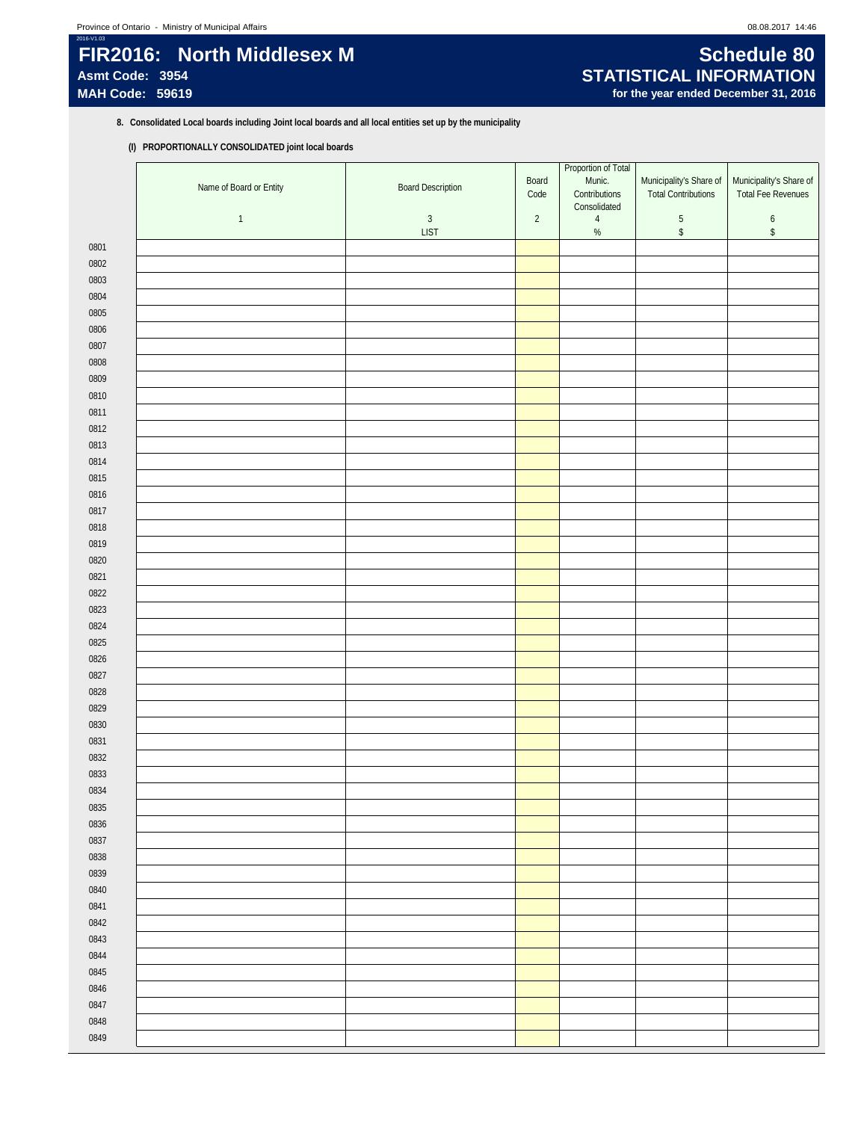## 2016-V1.03 **FIR2016: North Middlesex M Schedule 80**<br>Asmt Code: 3954 **STATISTICAL INFORMATION Asmt Code: 3954 STATISTICAL INFORMATION**

# for the year ended December 31, 2016

**8. Consolidated Local boards including Joint local boards and all local entities set up by the municipality**

### **(I) PROPORTIONALLY CONSOLIDATED joint local boards**

|              | Name of Board or Entity | <b>Board Description</b>  | Board<br>Code | Proportion of Total<br>Munic.<br>Contributions<br>Consolidated | Municipality's Share of<br>Total Contributions | Municipality's Share of<br>Total Fee Revenues |
|--------------|-------------------------|---------------------------|---------------|----------------------------------------------------------------|------------------------------------------------|-----------------------------------------------|
|              | $\mathbf{1}$            | $\sqrt{3}$<br><b>LIST</b> | $\sqrt{2}$    | $\sqrt{4}$<br>$\%$                                             | $\,$ 5 $\,$<br>$\,$                            | $\boldsymbol{6}$<br>\$                        |
| 0801         |                         |                           |               |                                                                |                                                |                                               |
| 0802         |                         |                           |               |                                                                |                                                |                                               |
| 0803         |                         |                           |               |                                                                |                                                |                                               |
| 0804         |                         |                           |               |                                                                |                                                |                                               |
| 0805         |                         |                           |               |                                                                |                                                |                                               |
| 0806         |                         |                           |               |                                                                |                                                |                                               |
| 0807         |                         |                           |               |                                                                |                                                |                                               |
| 0808         |                         |                           |               |                                                                |                                                |                                               |
| 0809         |                         |                           |               |                                                                |                                                |                                               |
| 0810         |                         |                           |               |                                                                |                                                |                                               |
| 0811         |                         |                           |               |                                                                |                                                |                                               |
| 0812         |                         |                           |               |                                                                |                                                |                                               |
| 0813         |                         |                           |               |                                                                |                                                |                                               |
| 0814         |                         |                           |               |                                                                |                                                |                                               |
| 0815         |                         |                           |               |                                                                |                                                |                                               |
| 0816         |                         |                           |               |                                                                |                                                |                                               |
| 0817         |                         |                           |               |                                                                |                                                |                                               |
| 0818         |                         |                           |               |                                                                |                                                |                                               |
| 0819         |                         |                           |               |                                                                |                                                |                                               |
| 0820         |                         |                           |               |                                                                |                                                |                                               |
| 0821         |                         |                           |               |                                                                |                                                |                                               |
| 0822         |                         |                           |               |                                                                |                                                |                                               |
| 0823         |                         |                           |               |                                                                |                                                |                                               |
| 0824         |                         |                           |               |                                                                |                                                |                                               |
| 0825         |                         |                           |               |                                                                |                                                |                                               |
| 0826<br>0827 |                         |                           |               |                                                                |                                                |                                               |
| 0828         |                         |                           |               |                                                                |                                                |                                               |
| 0829         |                         |                           |               |                                                                |                                                |                                               |
| 0830         |                         |                           |               |                                                                |                                                |                                               |
| 0831         |                         |                           |               |                                                                |                                                |                                               |
| 0832         |                         |                           |               |                                                                |                                                |                                               |
| 0833         |                         |                           |               |                                                                |                                                |                                               |
| 0834         |                         |                           |               |                                                                |                                                |                                               |
| 0835         |                         |                           |               |                                                                |                                                |                                               |
| 0836         |                         |                           |               |                                                                |                                                |                                               |
| 0837         |                         |                           |               |                                                                |                                                |                                               |
| 0838         |                         |                           |               |                                                                |                                                |                                               |
| 0839         |                         |                           |               |                                                                |                                                |                                               |
| 0840         |                         |                           |               |                                                                |                                                |                                               |
| 0841         |                         |                           |               |                                                                |                                                |                                               |
| 0842         |                         |                           |               |                                                                |                                                |                                               |
| 0843         |                         |                           |               |                                                                |                                                |                                               |
| 0844         |                         |                           |               |                                                                |                                                |                                               |
| 0845         |                         |                           |               |                                                                |                                                |                                               |
| 0846         |                         |                           |               |                                                                |                                                |                                               |
| 0847         |                         |                           |               |                                                                |                                                |                                               |
| 0848         |                         |                           |               |                                                                |                                                |                                               |
| 0849         |                         |                           |               |                                                                |                                                |                                               |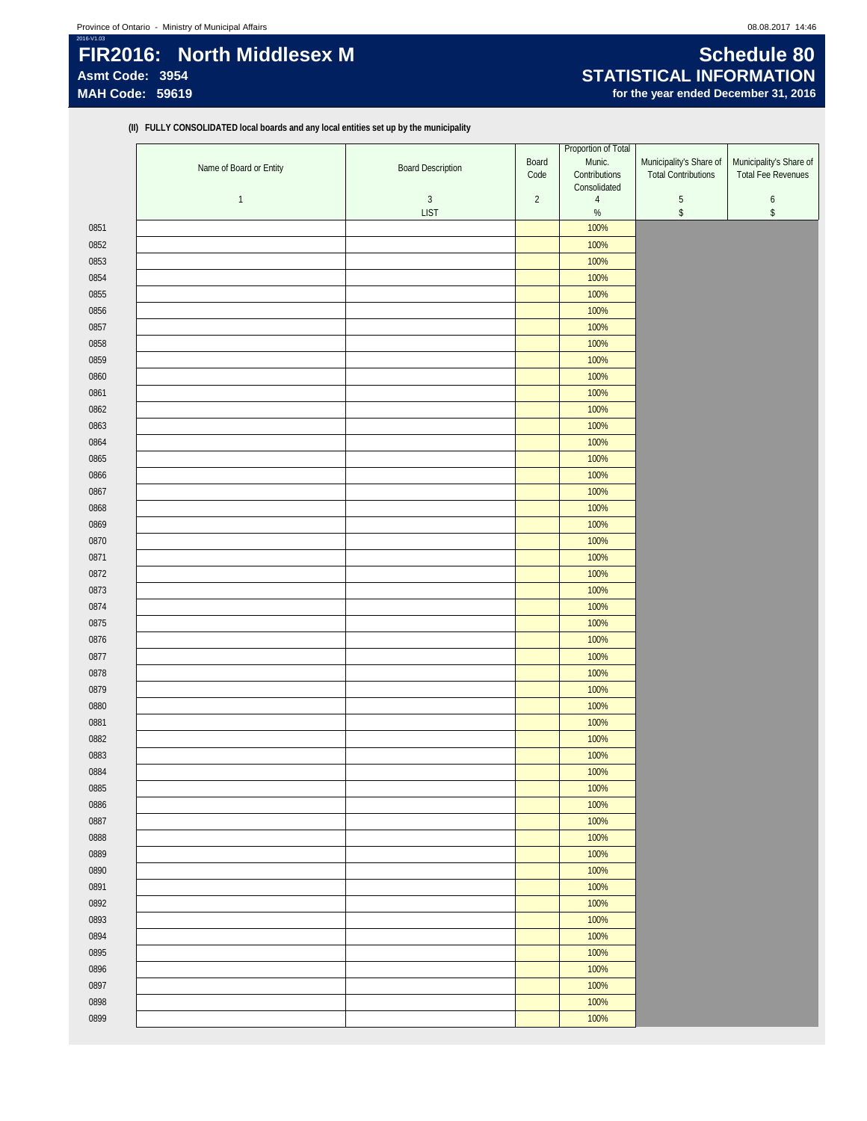## 2016-V1.03 **FIR2016: North Middlesex M Schedule 80**<br>Asmt Code: 3954 **STATISTICAL INFORMATION** Asmt Code: 3954<br>
MAH Code: 59619<br>
MAH Code: 59619<br>
MAH Code: 59619

# for the year ended December 31, 2016

**(II) FULLY CONSOLIDATED local boards and any local entities set up by the municipality**

|      |                         |                          | Proportion of Total |                                |                            |                           |
|------|-------------------------|--------------------------|---------------------|--------------------------------|----------------------------|---------------------------|
|      | Name of Board or Entity | <b>Board Description</b> | Board               | Munic.                         | Municipality's Share of    | Municipality's Share of   |
|      |                         |                          | Code                | Contributions                  | <b>Total Contributions</b> | <b>Total Fee Revenues</b> |
|      | $\mathbf{1}$            | $\mathbf{3}$             | $\overline{2}$      | Consolidated<br>$\overline{4}$ | 5                          | $\boldsymbol{6}$          |
|      |                         | <b>LIST</b>              |                     | $\%$                           | \$                         | $$\mathbb{S}$$            |
| 0851 |                         |                          |                     | 100%                           |                            |                           |
| 0852 |                         |                          |                     | 100%                           |                            |                           |
| 0853 |                         |                          |                     | 100%                           |                            |                           |
|      |                         |                          |                     |                                |                            |                           |
| 0854 |                         |                          |                     | 100%                           |                            |                           |
| 0855 |                         |                          |                     | 100%                           |                            |                           |
| 0856 |                         |                          |                     | 100%                           |                            |                           |
| 0857 |                         |                          |                     | 100%                           |                            |                           |
| 0858 |                         |                          |                     | 100%                           |                            |                           |
| 0859 |                         |                          |                     | 100%                           |                            |                           |
| 0860 |                         |                          |                     | 100%                           |                            |                           |
| 0861 |                         |                          |                     | 100%                           |                            |                           |
| 0862 |                         |                          |                     | 100%                           |                            |                           |
| 0863 |                         |                          |                     | 100%                           |                            |                           |
| 0864 |                         |                          |                     | 100%                           |                            |                           |
| 0865 |                         |                          |                     | 100%                           |                            |                           |
| 0866 |                         |                          |                     | 100%                           |                            |                           |
| 0867 |                         |                          |                     | 100%                           |                            |                           |
| 0868 |                         |                          |                     | 100%                           |                            |                           |
| 0869 |                         |                          |                     | 100%                           |                            |                           |
| 0870 |                         |                          |                     | 100%                           |                            |                           |
| 0871 |                         |                          |                     | 100%                           |                            |                           |
| 0872 |                         |                          |                     | 100%                           |                            |                           |
| 0873 |                         |                          |                     | 100%                           |                            |                           |
| 0874 |                         |                          |                     | 100%                           |                            |                           |
| 0875 |                         |                          |                     | 100%                           |                            |                           |
| 0876 |                         |                          |                     | 100%                           |                            |                           |
|      |                         |                          |                     | 100%                           |                            |                           |
| 0877 |                         |                          |                     |                                |                            |                           |
| 0878 |                         |                          |                     | 100%                           |                            |                           |
| 0879 |                         |                          |                     | 100%                           |                            |                           |
| 0880 |                         |                          |                     | 100%                           |                            |                           |
| 0881 |                         |                          |                     | 100%                           |                            |                           |
| 0882 |                         |                          |                     | 100%                           |                            |                           |
| 0883 |                         |                          |                     | 100%                           |                            |                           |
| 0884 |                         |                          |                     | 100%                           |                            |                           |
| 0885 |                         |                          |                     | 100%                           |                            |                           |
| 0886 |                         |                          |                     | 100%                           |                            |                           |
| 0887 |                         |                          |                     | 100%                           |                            |                           |
| 0888 |                         |                          |                     | 100%                           |                            |                           |
| 0889 |                         |                          |                     | 100%                           |                            |                           |
| 0890 |                         |                          |                     | 100%                           |                            |                           |
| 0891 |                         |                          |                     | 100%                           |                            |                           |
| 0892 |                         |                          |                     | 100%                           |                            |                           |
| 0893 |                         |                          |                     | 100%                           |                            |                           |
| 0894 |                         |                          |                     | 100%                           |                            |                           |
| 0895 |                         |                          |                     | 100%                           |                            |                           |
| 0896 |                         |                          |                     | 100%                           |                            |                           |
| 0897 |                         |                          |                     | 100%                           |                            |                           |
| 0898 |                         |                          |                     | 100%                           |                            |                           |
| 0899 |                         |                          |                     | 100%                           |                            |                           |
|      |                         |                          |                     |                                |                            |                           |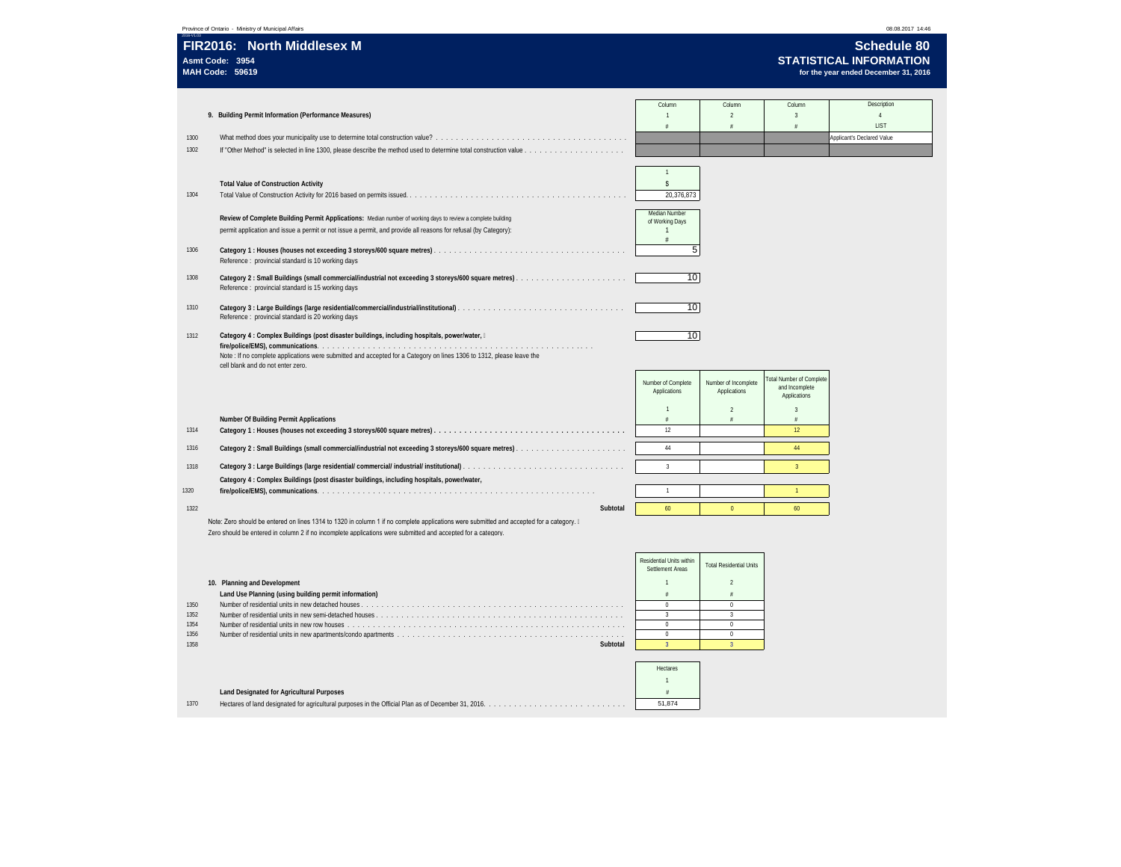|                                      | Province of Ontario - Ministry of Municipal Affairs                                                                                                                                                                                                                            |          |                                                                                                                                      |                                                                                                                                       |                                                                   | 08.08.2017 14:46                                     |
|--------------------------------------|--------------------------------------------------------------------------------------------------------------------------------------------------------------------------------------------------------------------------------------------------------------------------------|----------|--------------------------------------------------------------------------------------------------------------------------------------|---------------------------------------------------------------------------------------------------------------------------------------|-------------------------------------------------------------------|------------------------------------------------------|
|                                      | FIR2016: North Middlesex M<br>Asmt Code: 3954                                                                                                                                                                                                                                  |          |                                                                                                                                      |                                                                                                                                       |                                                                   | <b>Schedule 80</b><br><b>STATISTICAL INFORMATION</b> |
|                                      | <b>MAH Code: 59619</b>                                                                                                                                                                                                                                                         |          |                                                                                                                                      |                                                                                                                                       |                                                                   | for the year ended December 31, 2016                 |
|                                      | 9. Building Permit Information (Performance Measures)                                                                                                                                                                                                                          |          | Column<br>$\mathbf{1}$<br>¥                                                                                                          | Column<br>$\overline{2}$                                                                                                              | Column<br>$\overline{3}$                                          | Description<br>$\overline{4}$<br>LIST                |
| 1300<br>1302                         |                                                                                                                                                                                                                                                                                |          |                                                                                                                                      |                                                                                                                                       |                                                                   | Applicant's Declared Value                           |
| 1304                                 | <b>Total Value of Construction Activity</b><br>Review of Complete Building Permit Applications: Median number of working days to review a complete building<br>permit application and issue a permit or not issue a permit, and provide all reasons for refusal (by Category): |          | $\mathbf{1}$<br>$\hat{\mathbf{S}}$<br>20,376,873<br>Median Number<br>of Working Days<br>$\mathbf{1}$                                 |                                                                                                                                       |                                                                   |                                                      |
| 1306                                 | Reference : provincial standard is 10 working days                                                                                                                                                                                                                             |          | 5 <sub>1</sub>                                                                                                                       |                                                                                                                                       |                                                                   |                                                      |
| 1308                                 | Reference : provincial standard is 15 working days                                                                                                                                                                                                                             |          | 10 <sup>1</sup>                                                                                                                      |                                                                                                                                       |                                                                   |                                                      |
| 1310                                 | Reference : provincial standard is 20 working days                                                                                                                                                                                                                             |          | 10                                                                                                                                   |                                                                                                                                       |                                                                   |                                                      |
| 1312                                 | Category 4 : Complex Buildings (post disaster buildings, including hospitals, power/water, II<br>Note: If no complete applications were submitted and accepted for a Category on lines 1306 to 1312, please leave the<br>cell blank and do not enter zero.                     |          | 10 <sup>1</sup>                                                                                                                      |                                                                                                                                       |                                                                   |                                                      |
|                                      |                                                                                                                                                                                                                                                                                |          | Number of Complete<br>Applications                                                                                                   | Number of Incomplete<br>Applications                                                                                                  | <b>Total Number of Complete</b><br>and Incomplete<br>Applications |                                                      |
| 1314                                 | Number Of Building Permit Applications                                                                                                                                                                                                                                         |          | $\overline{1}$<br>12                                                                                                                 | $\mathcal{P}$                                                                                                                         | $\mathcal{R}$<br>#<br>12                                          |                                                      |
| 1316                                 |                                                                                                                                                                                                                                                                                |          | 44                                                                                                                                   |                                                                                                                                       | 44                                                                |                                                      |
| 1318                                 | Category 4 : Complex Buildings (post disaster buildings, including hospitals, power/water,                                                                                                                                                                                     |          | $\overline{3}$                                                                                                                       |                                                                                                                                       | $\overline{3}$                                                    |                                                      |
| 1320<br>1322                         |                                                                                                                                                                                                                                                                                | Subtotal | $\overline{1}$<br>60                                                                                                                 | $\Omega$                                                                                                                              | $\mathbf{1}$<br>60                                                |                                                      |
|                                      | Note: Zero should be entered on lines 1314 to 1320 in column 1 if no complete applications were submitted and accepted for a category. II<br>Zero should be entered in column 2 if no incomplete applications were submitted and accepted for a category.                      |          |                                                                                                                                      |                                                                                                                                       |                                                                   |                                                      |
| 1350<br>1352<br>1354<br>1356<br>1358 | 10. Planning and Development<br>Land Use Planning (using building permit information)                                                                                                                                                                                          | Subtotal | Residential Units within<br>Settlement Areas<br>1<br>$\#$<br>$\,0\,$<br>$\mathbf{3}$<br>$\mathbf{0}$<br>$\mathbf 0$<br>$\mathcal{R}$ | <b>Total Residential Units</b><br>$\mathcal{L}$<br>$\#$<br>$\theta$<br>$\mathbf{3}$<br>$\mathbf{0}$<br>$\mathbf{0}$<br>$\overline{3}$ |                                                                   |                                                      |
| 1370                                 | Land Designated for Agricultural Purposes                                                                                                                                                                                                                                      |          | Hectares<br>$\overline{1}$<br>51,874                                                                                                 |                                                                                                                                       |                                                                   |                                                      |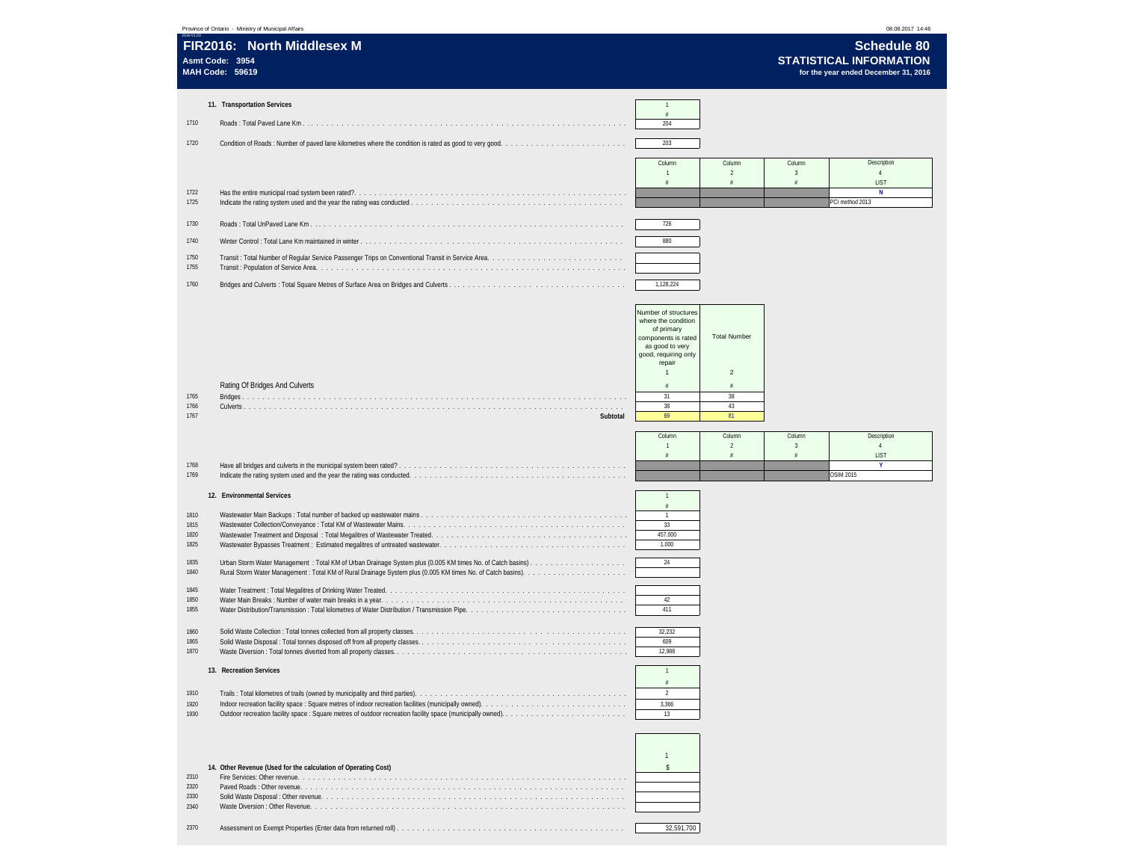|                                              | Province of Ontario - Ministry of Municipal Affairs                    |                                                                                                                                                                                                          |                                                                                      |                                        | 08.08.2017 14:46                                                                             |  |
|----------------------------------------------|------------------------------------------------------------------------|----------------------------------------------------------------------------------------------------------------------------------------------------------------------------------------------------------|--------------------------------------------------------------------------------------|----------------------------------------|----------------------------------------------------------------------------------------------|--|
| Asmt Code: 3954<br><b>MAH Code: 59619</b>    | FIR2016: North Middlesex M                                             |                                                                                                                                                                                                          |                                                                                      |                                        | <b>Schedule 80</b><br><b>STATISTICAL INFORMATION</b><br>for the year ended December 31, 2016 |  |
| 1710<br>1720                                 | 11. Transportation Services                                            | $\overline{1}$<br>204<br>203                                                                                                                                                                             |                                                                                      |                                        |                                                                                              |  |
| 1722<br>1725<br>1730<br>1740<br>1750<br>1755 | Indicate the rating system used and the year the rating was conducted. | Column<br>$\overline{1}$<br>#<br>726<br>880                                                                                                                                                              | Column<br>$\overline{2}$<br>#                                                        | Column<br>$\overline{\mathbf{3}}$<br># | Description<br>$\overline{4}$<br>LIST<br>N<br>PCI method 2013                                |  |
| 1760<br>1765<br>1766<br>1767                 | Rating Of Bridges And Culverts<br>Subtotal                             | 1,128,224<br>Number of structures<br>where the condition<br>of primary<br>components is rated<br>as good to very<br>good, requiring only<br>repair<br>$\overline{1}$<br>$\#$<br>31<br>38<br>69<br>Column | <b>Total Number</b><br>$\overline{2}$<br>$\frac{a}{\pi}$<br>38<br>43<br>81<br>Column | Column                                 | Description                                                                                  |  |
| 1768<br>1769                                 |                                                                        | $\mathbf{1}$<br>$\#$                                                                                                                                                                                     | $\overline{2}$<br>$\#$                                                               | $\overline{3}$<br>$\#$                 | $\frac{4}{3}$<br>LIST<br>Y.<br><b>OSIM 2015</b>                                              |  |
| 1810<br>1815<br>1820<br>1825<br>1835<br>1840 | 12. Environmental Services                                             | $\overline{1}$<br>$\#$<br>$\overline{1}$<br>33<br>457.000<br>1.000<br>24                                                                                                                                 |                                                                                      |                                        |                                                                                              |  |
| 1845<br>1850<br>1855<br>1860                 |                                                                        | 42<br>411<br>32,232                                                                                                                                                                                      |                                                                                      |                                        |                                                                                              |  |
| 1865<br>1870<br>1910<br>1920<br>1930         | 13. Recreation Services                                                | 609<br>12,988<br>$\overline{1}$<br>$\frac{\mu}{B}$<br>$\overline{2}$<br>3,366<br>13                                                                                                                      |                                                                                      |                                        |                                                                                              |  |
|                                              |                                                                        |                                                                                                                                                                                                          |                                                                                      |                                        |                                                                                              |  |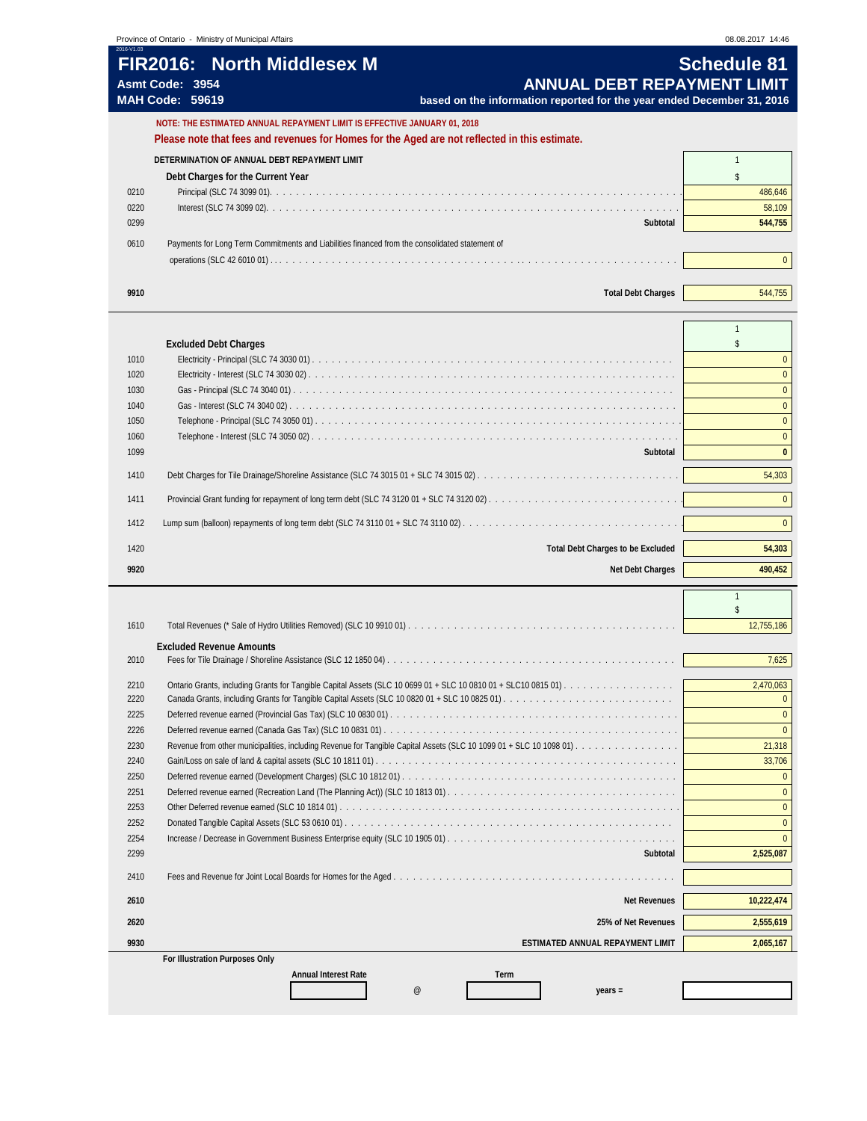## **FIR2016: North Middlesex M Contract Contract Contract Contract Contract Contract Contract Contract Contract Contract Contract Contract Contract Contract Contract Contract Contract Contract Contract Contract Contract Con** Asmt Code: 3954<br>MAH Code: 59619 **ANNUAL DEBT REPAYMENT LIMIT**<br>MAH Code: 59619 **based on the information reported for the year ended December 31, 2016 MAH Code: 59619 based on the information reported for the year ended December 31, 2016**

|      | NOTE: THE ESTIMATED ANNUAL REPAYMENT LIMIT IS EFFECTIVE JANUARY 01. 2018                       |         |
|------|------------------------------------------------------------------------------------------------|---------|
|      | Please note that fees and revenues for Homes for the Aged are not reflected in this estimate.  |         |
|      | DETERMINATION OF ANNUAL DEBT REPAYMENT LIMIT                                                   |         |
|      | Debt Charges for the Current Year                                                              |         |
| 0210 |                                                                                                | 486,646 |
| 0220 |                                                                                                | 58,109  |
| 0299 | Subtotal                                                                                       | 544,755 |
| 0610 | Payments for Long Term Commitments and Liabilities financed from the consolidated statement of |         |
|      |                                                                                                |         |
|      |                                                                                                |         |
| 9910 | <b>Total Debt Charges</b>                                                                      | 544,755 |
|      |                                                                                                |         |

|      | <b>Excluded Debt Charges</b>                                                                                                                                            |              |
|------|-------------------------------------------------------------------------------------------------------------------------------------------------------------------------|--------------|
| 1010 |                                                                                                                                                                         | $\Omega$     |
| 1020 |                                                                                                                                                                         |              |
| 1030 |                                                                                                                                                                         | $\Omega$     |
| 1040 |                                                                                                                                                                         | $\Omega$     |
| 1050 |                                                                                                                                                                         | $\Omega$     |
| 1060 |                                                                                                                                                                         | $\Omega$     |
| 1099 | Subtotal                                                                                                                                                                | $\mathbf{0}$ |
| 1410 |                                                                                                                                                                         | 54,303       |
| 1411 |                                                                                                                                                                         | $\Omega$     |
| 1412 | Lump sum (balloon) repayments of long term debt (SLC 74 3110 01 + SLC 74 3110 02) $\ldots \ldots \ldots \ldots \ldots \ldots \ldots \ldots \ldots \ldots \ldots \ldots$ | $\Omega$     |
| 1420 | <b>Total Debt Charges to be Excluded</b>                                                                                                                                | 54,303       |
| 9920 | <b>Net Debt Charges</b>                                                                                                                                                 | 490,452      |
|      |                                                                                                                                                                         |              |

| 1610                           |                                                                                                                     | 12,755,186 |  |  |
|--------------------------------|---------------------------------------------------------------------------------------------------------------------|------------|--|--|
|                                | <b>Excluded Revenue Amounts</b>                                                                                     |            |  |  |
| 2010                           |                                                                                                                     | 7,625      |  |  |
| 2210                           |                                                                                                                     | 2,470,063  |  |  |
| 2220                           |                                                                                                                     |            |  |  |
| 2225                           |                                                                                                                     |            |  |  |
| 2226                           | Deferred revenue earned (Canada Gas Tax) (SLC 10 0831 01).                                                          |            |  |  |
| 2230                           | Revenue from other municipalities, including Revenue for Tangible Capital Assets (SLC 10 1099 01 + SLC 10 1098 01). | 21,318     |  |  |
| 2240                           |                                                                                                                     | 33,706     |  |  |
| 2250                           |                                                                                                                     |            |  |  |
| 2251                           |                                                                                                                     |            |  |  |
| 2253                           |                                                                                                                     | $\Omega$   |  |  |
| 2252                           |                                                                                                                     |            |  |  |
| 2254                           |                                                                                                                     |            |  |  |
| 2299                           | Subtotal                                                                                                            | 2,525,087  |  |  |
| 2410                           |                                                                                                                     |            |  |  |
|                                |                                                                                                                     |            |  |  |
| 2610                           | <b>Net Revenues</b>                                                                                                 | 10,222,474 |  |  |
| 2620                           | 25% of Net Revenues                                                                                                 | 2,555,619  |  |  |
| 9930                           | ESTIMATED ANNUAL REPAYMENT LIMIT                                                                                    | 2,065,167  |  |  |
| For Illustration Purposes Only |                                                                                                                     |            |  |  |
|                                | <b>Annual Interest Rate</b><br>Term                                                                                 |            |  |  |
|                                | @<br>$vears =$                                                                                                      |            |  |  |